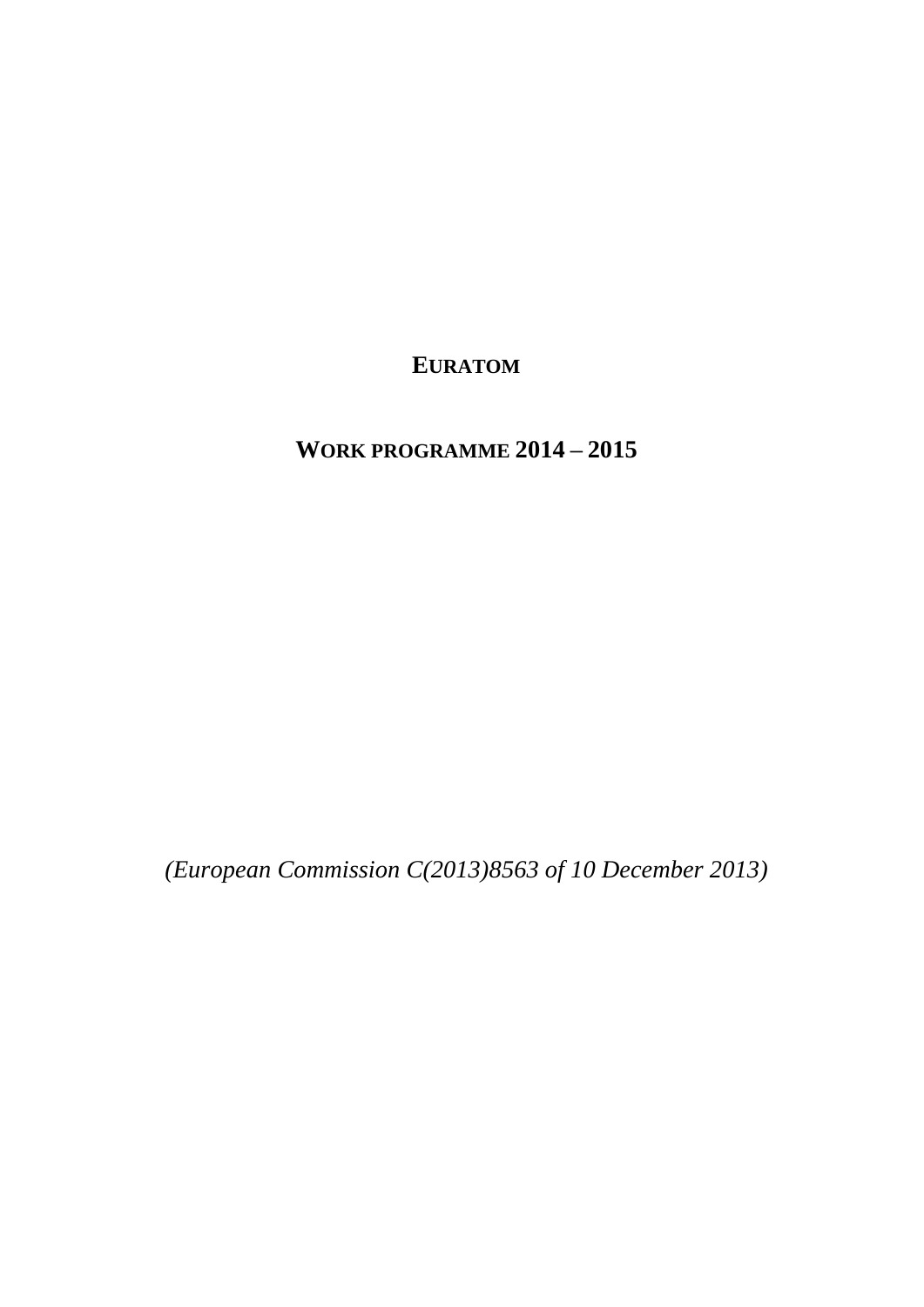**EURATOM** 

**WORK PROGRAMME 2014 – 2015**

*(European Commission C(2013)8563 of 10 December 2013)*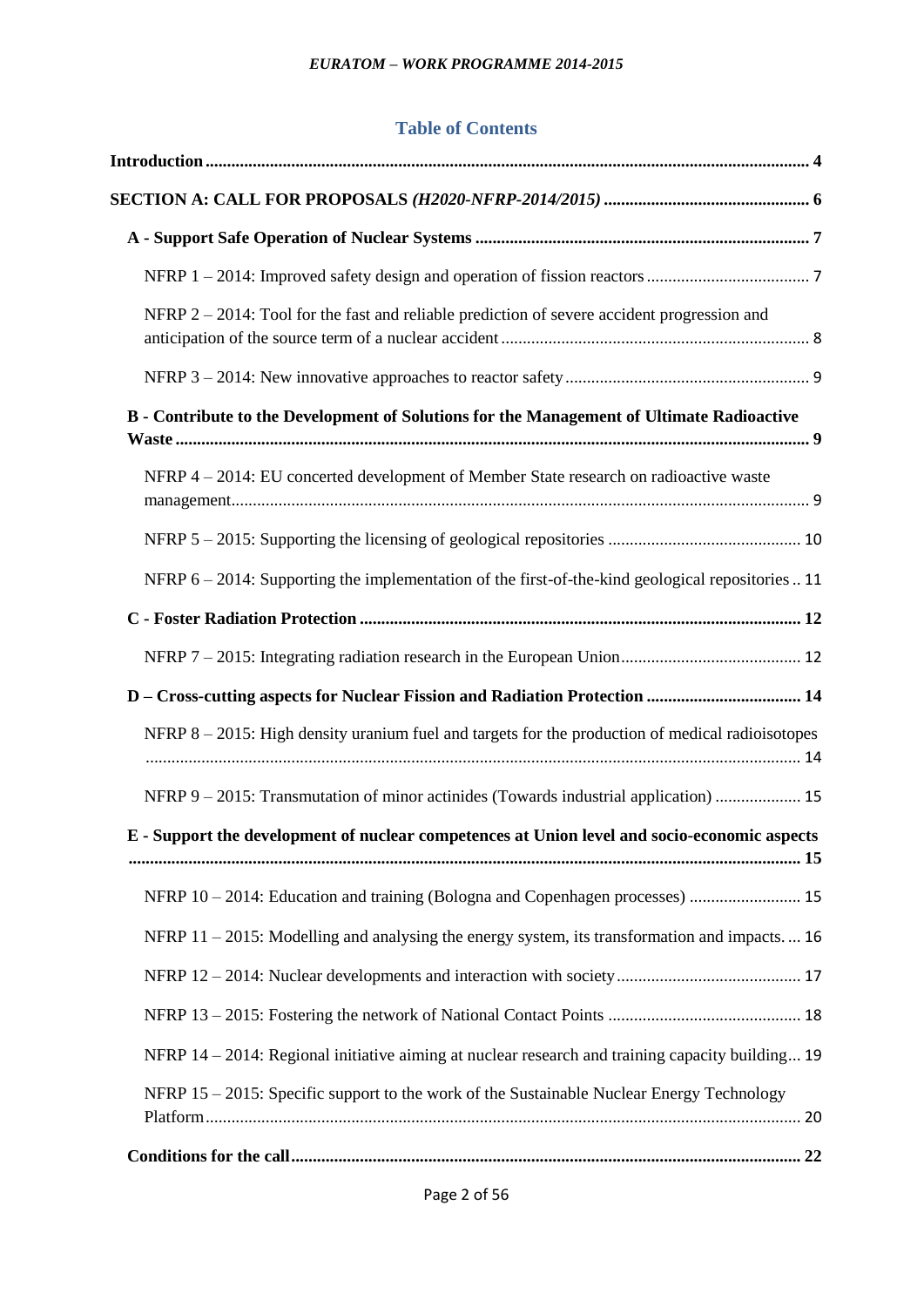## **Table of Contents**

| NFRP $2 - 2014$ : Tool for the fast and reliable prediction of severe accident progression and      |
|-----------------------------------------------------------------------------------------------------|
|                                                                                                     |
| B - Contribute to the Development of Solutions for the Management of Ultimate Radioactive           |
| NFRP 4 – 2014: EU concerted development of Member State research on radioactive waste               |
|                                                                                                     |
| NFRP 6 – 2014: Supporting the implementation of the first-of-the-kind geological repositories  11   |
|                                                                                                     |
|                                                                                                     |
| D - Cross-cutting aspects for Nuclear Fission and Radiation Protection  14                          |
| NFRP $8 - 2015$ : High density uranium fuel and targets for the production of medical radioisotopes |
| NFRP 9 - 2015: Transmutation of minor actinides (Towards industrial application)  15                |
| E - Support the development of nuclear competences at Union level and socio-economic aspects        |
| NFRP 10 - 2014: Education and training (Bologna and Copenhagen processes)  15                       |
| NFRP 11 - 2015: Modelling and analysing the energy system, its transformation and impacts 16        |
|                                                                                                     |
|                                                                                                     |
| NFRP 14 – 2014: Regional initiative aiming at nuclear research and training capacity building 19    |
| NFRP $15 - 2015$ : Specific support to the work of the Sustainable Nuclear Energy Technology        |
|                                                                                                     |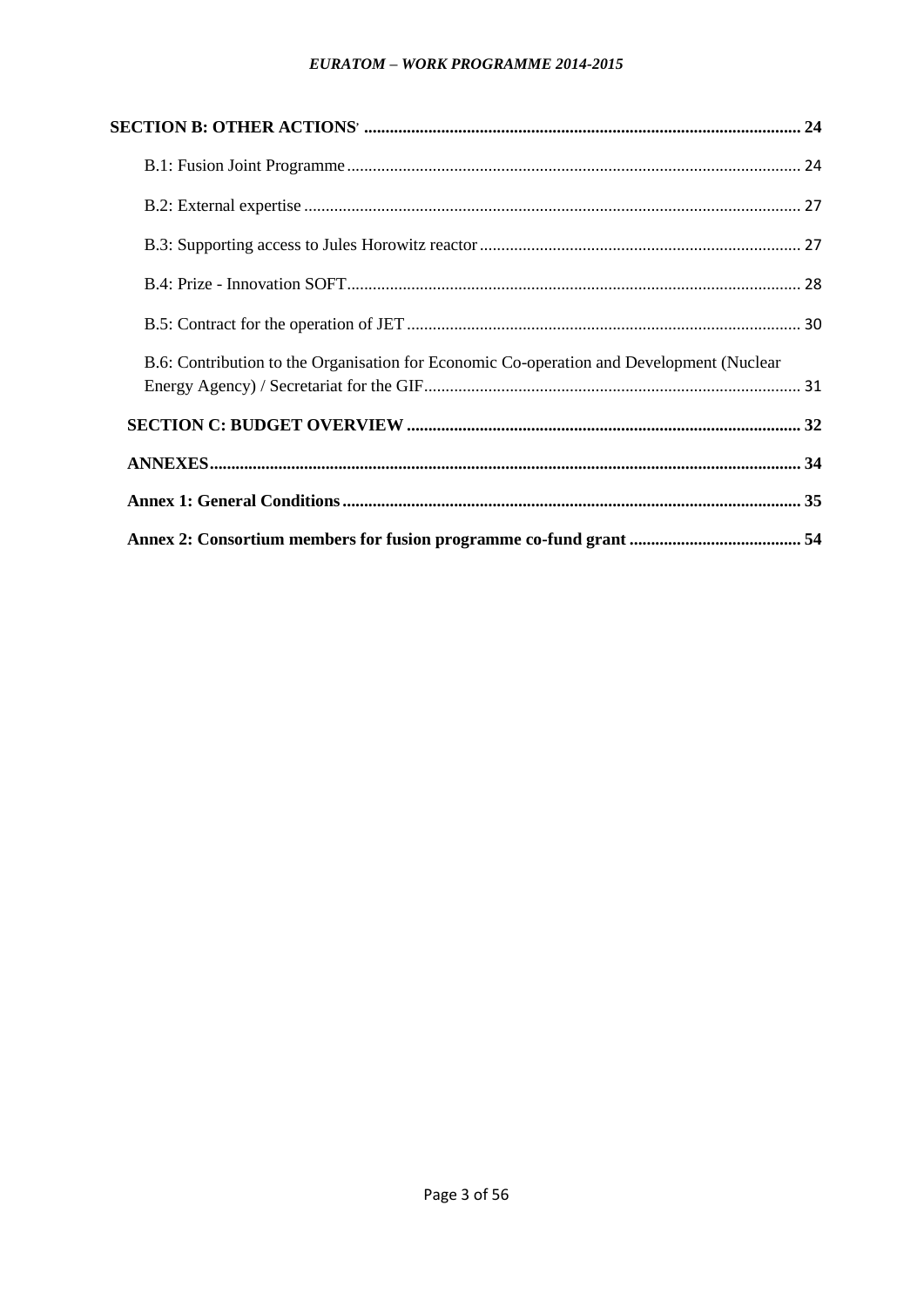### **EURATOM - WORK PROGRAMME 2014-2015**

| B.6: Contribution to the Organisation for Economic Co-operation and Development (Nuclear |  |
|------------------------------------------------------------------------------------------|--|
|                                                                                          |  |
|                                                                                          |  |
|                                                                                          |  |
|                                                                                          |  |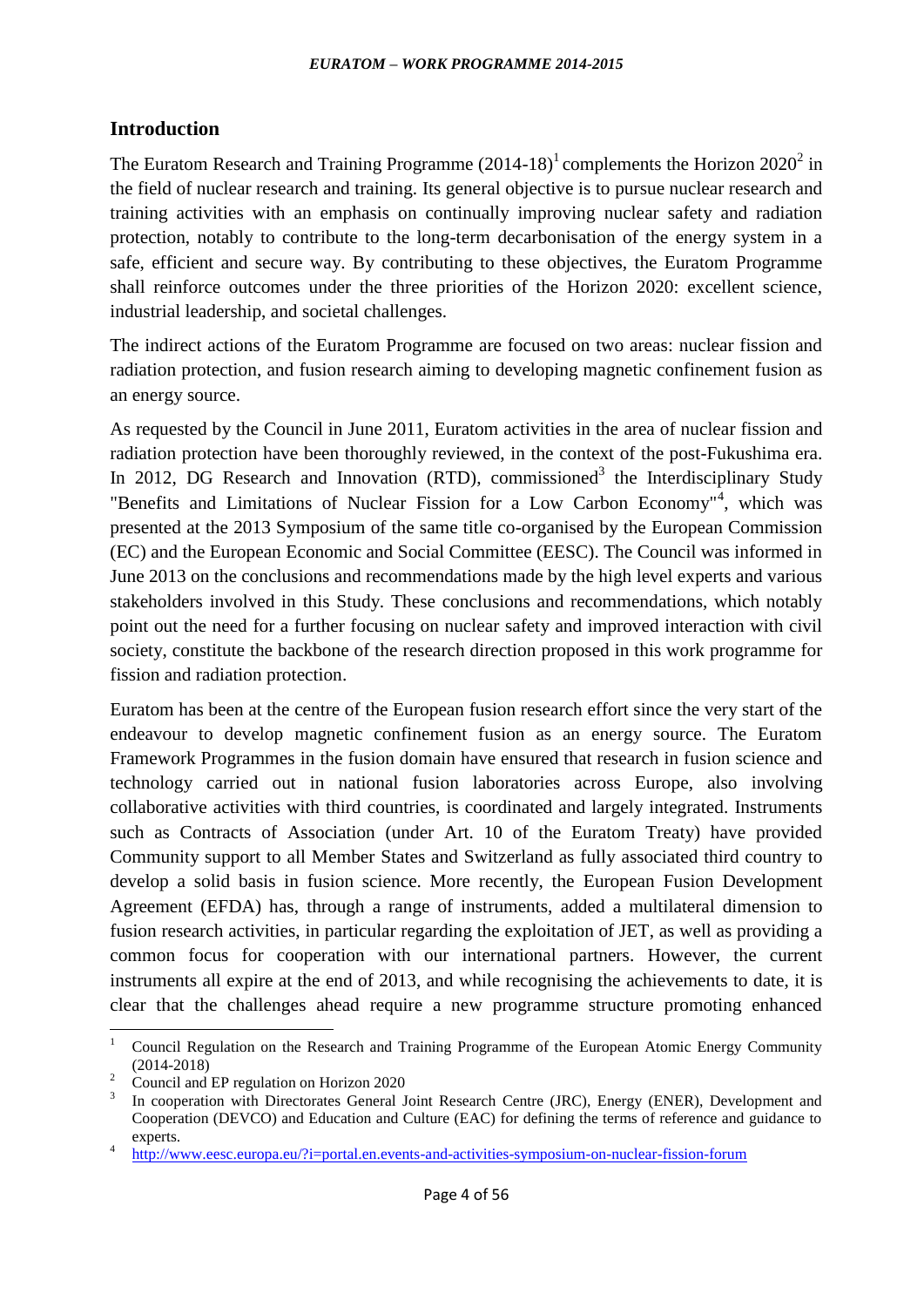## <span id="page-3-0"></span>**Introduction**

The Euratom Research and Training Programme  $(2014-18)^1$  complements the Horizon  $2020^2$  in the field of nuclear research and training. Its general objective is to pursue nuclear research and training activities with an emphasis on continually improving nuclear safety and radiation protection, notably to contribute to the long-term decarbonisation of the energy system in a safe, efficient and secure way. By contributing to these objectives, the Euratom Programme shall reinforce outcomes under the three priorities of the Horizon 2020: excellent science, industrial leadership, and societal challenges.

The indirect actions of the Euratom Programme are focused on two areas: nuclear fission and radiation protection, and fusion research aiming to developing magnetic confinement fusion as an energy source.

As requested by the Council in June 2011, Euratom activities in the area of nuclear fission and radiation protection have been thoroughly reviewed, in the context of the post-Fukushima era. In 2012, DG Research and Innovation (RTD), commissioned<sup>3</sup> the Interdisciplinary Study "Benefits and Limitations of Nuclear Fission for a Low Carbon Economy"<sup>4</sup>, which was presented at the 2013 Symposium of the same title co-organised by the European Commission (EC) and the European Economic and Social Committee (EESC). The Council was informed in June 2013 on the conclusions and recommendations made by the high level experts and various stakeholders involved in this Study. These conclusions and recommendations, which notably point out the need for a further focusing on nuclear safety and improved interaction with civil society, constitute the backbone of the research direction proposed in this work programme for fission and radiation protection.

Euratom has been at the centre of the European fusion research effort since the very start of the endeavour to develop magnetic confinement fusion as an energy source. The Euratom Framework Programmes in the fusion domain have ensured that research in fusion science and technology carried out in national fusion laboratories across Europe, also involving collaborative activities with third countries, is coordinated and largely integrated. Instruments such as Contracts of Association (under Art. 10 of the Euratom Treaty) have provided Community support to all Member States and Switzerland as fully associated third country to develop a solid basis in fusion science. More recently, the European Fusion Development Agreement (EFDA) has, through a range of instruments, added a multilateral dimension to fusion research activities, in particular regarding the exploitation of JET, as well as providing a common focus for cooperation with our international partners. However, the current instruments all expire at the end of 2013, and while recognising the achievements to date, it is clear that the challenges ahead require a new programme structure promoting enhanced

l <sup>1</sup> Council Regulation on the Research and Training Programme of the European Atomic Energy Community (2014-2018)

<sup>&</sup>lt;sup>2</sup> Council and EP regulation on Horizon 2020

<sup>3</sup> In cooperation with Directorates General Joint Research Centre (JRC), Energy (ENER), Development and Cooperation (DEVCO) and Education and Culture (EAC) for defining the terms of reference and guidance to experts.

<sup>4</sup> <http://www.eesc.europa.eu/?i=portal.en.events-and-activities-symposium-on-nuclear-fission-forum>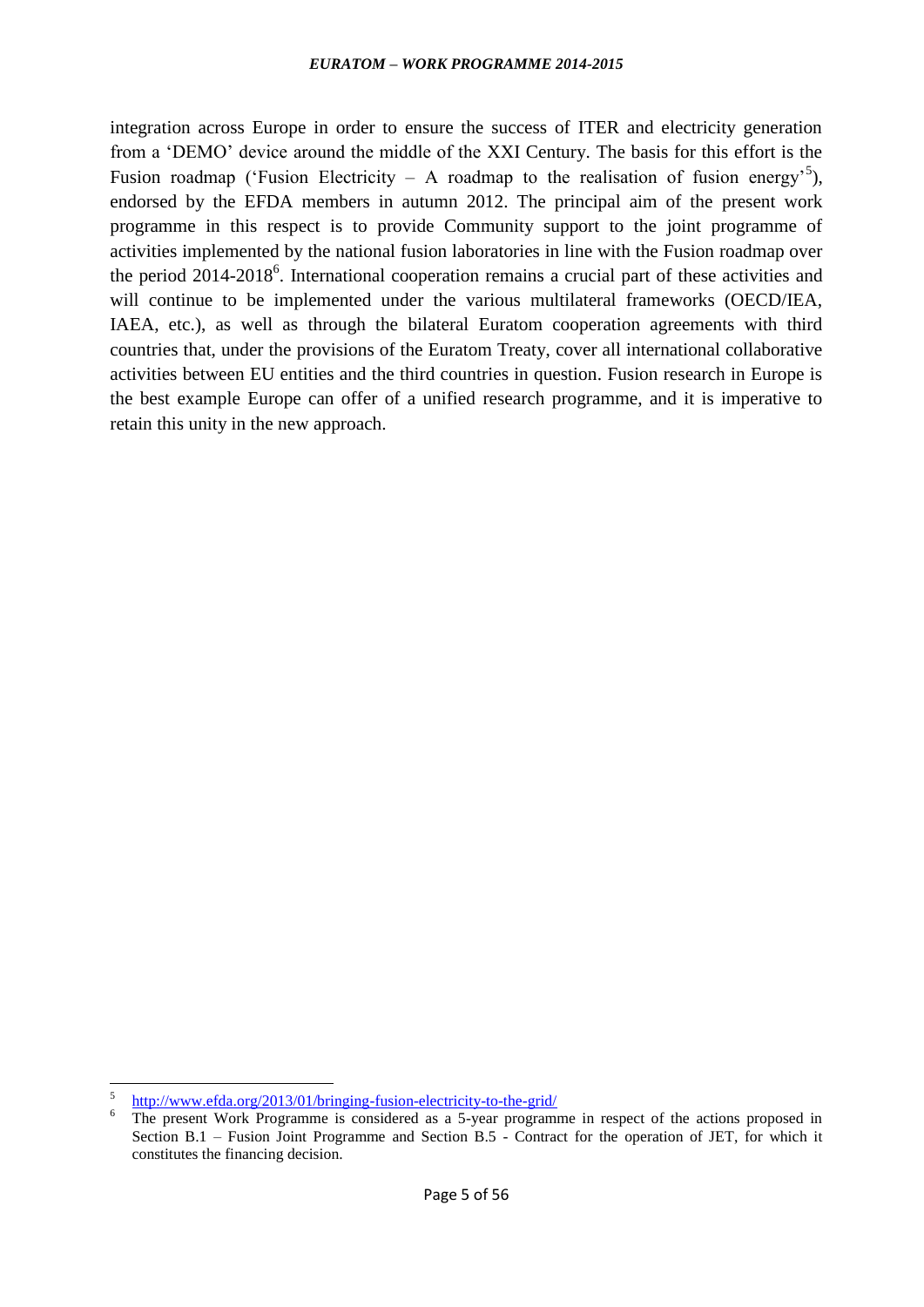integration across Europe in order to ensure the success of ITER and electricity generation from a 'DEMO' device around the middle of the XXI Century. The basis for this effort is the Fusion roadmap ('Fusion Electricity – A roadmap to the realisation of fusion energy<sup>55</sup>), endorsed by the EFDA members in autumn 2012. The principal aim of the present work programme in this respect is to provide Community support to the joint programme of activities implemented by the national fusion laboratories in line with the Fusion roadmap over the period 2014-2018<sup>6</sup>. International cooperation remains a crucial part of these activities and will continue to be implemented under the various multilateral frameworks (OECD/IEA, IAEA, etc.), as well as through the bilateral Euratom cooperation agreements with third countries that, under the provisions of the Euratom Treaty, cover all international collaborative activities between EU entities and the third countries in question. Fusion research in Europe is the best example Europe can offer of a unified research programme, and it is imperative to retain this unity in the new approach.

 $\overline{\phantom{a}}$ 

<sup>5</sup> <http://www.efda.org/2013/01/bringing-fusion-electricity-to-the-grid/>

<sup>&</sup>lt;sup>6</sup> The present Work Programme is considered as a 5-year programme in respect of the actions proposed in Section B.1 – Fusion Joint Programme and Section B.5 - Contract for the operation of JET, for which it constitutes the financing decision.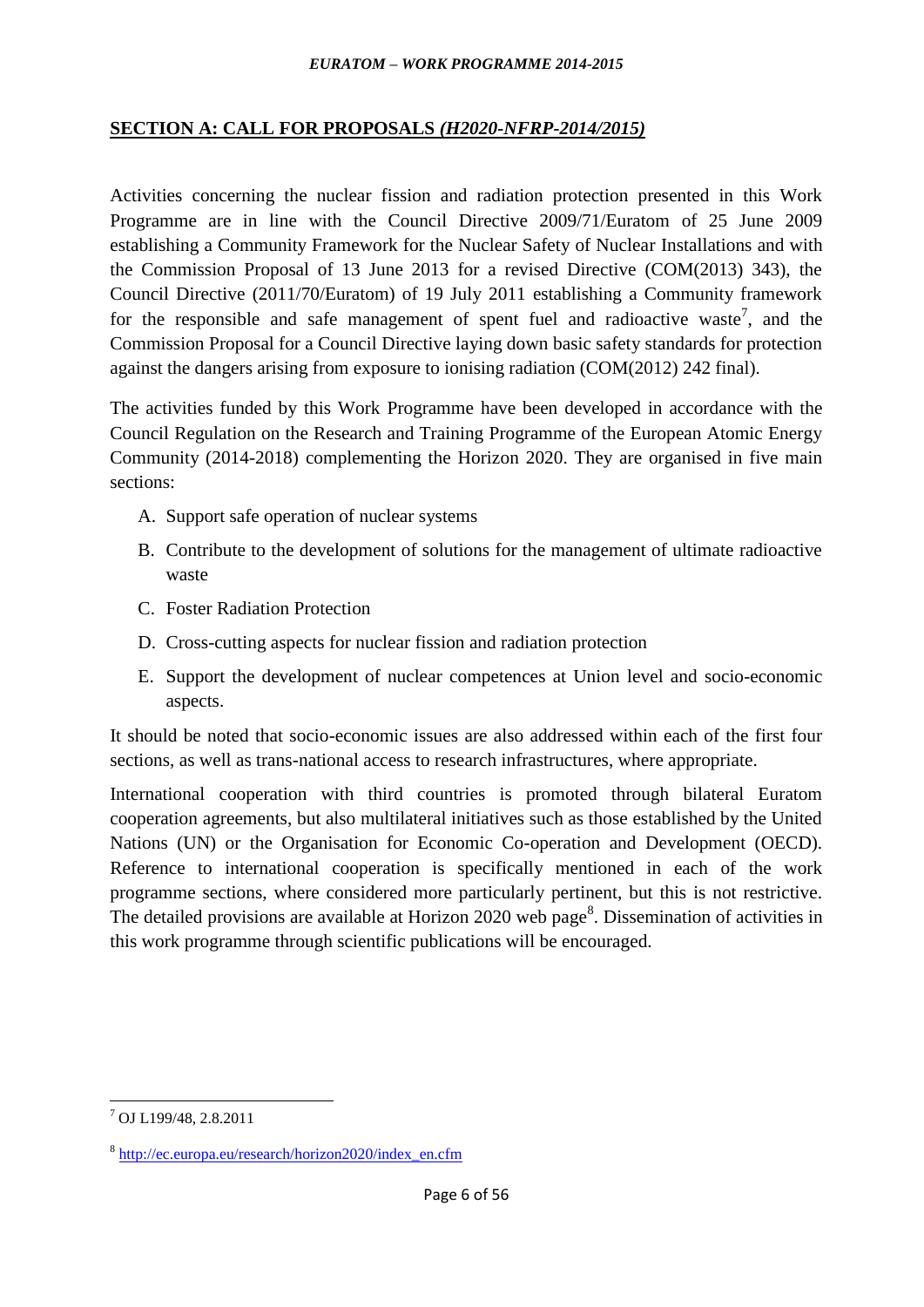### *EURATOM – WORK PROGRAMME 2014-2015*

## <span id="page-5-0"></span>**SECTION A: CALL FOR PROPOSALS** *(H2020-NFRP-2014/2015)*

Activities concerning the nuclear fission and radiation protection presented in this Work Programme are in line with the Council Directive 2009/71/Euratom of 25 June 2009 establishing a Community Framework for the Nuclear Safety of Nuclear Installations and with the Commission Proposal of 13 June 2013 for a revised Directive (COM(2013) 343), the Council Directive (2011/70/Euratom) of 19 July 2011 establishing a Community framework for the responsible and safe management of spent fuel and radioactive waste<sup>7</sup>, and the Commission Proposal for a Council Directive laying down basic safety standards for protection against the dangers arising from exposure to ionising radiation (COM(2012) 242 final).

The activities funded by this Work Programme have been developed in accordance with the Council Regulation on the Research and Training Programme of the European Atomic Energy Community (2014-2018) complementing the Horizon 2020. They are organised in five main sections:

- A. Support safe operation of nuclear systems
- B. Contribute to the development of solutions for the management of ultimate radioactive waste
- C. Foster Radiation Protection
- D. Cross-cutting aspects for nuclear fission and radiation protection
- E. Support the development of nuclear competences at Union level and socio-economic aspects.

It should be noted that socio-economic issues are also addressed within each of the first four sections, as well as trans-national access to research infrastructures, where appropriate.

International cooperation with third countries is promoted through bilateral Euratom cooperation agreements, but also multilateral initiatives such as those established by the United Nations (UN) or the Organisation for Economic Co-operation and Development (OECD). Reference to international cooperation is specifically mentioned in each of the work programme sections, where considered more particularly pertinent, but this is not restrictive. The detailed provisions are available at Horizon 2020 web page<sup>8</sup>. Dissemination of activities in this work programme through scientific publications will be encouraged.

 $\overline{\phantom{a}}$ <sup>7</sup> OJ L199/48, 2.8.2011

<sup>&</sup>lt;sup>8</sup> [http://ec.europa.eu/research/horizon2020/index\\_en.cfm](http://ec.europa.eu/research/horizon2020/index_en.cfm)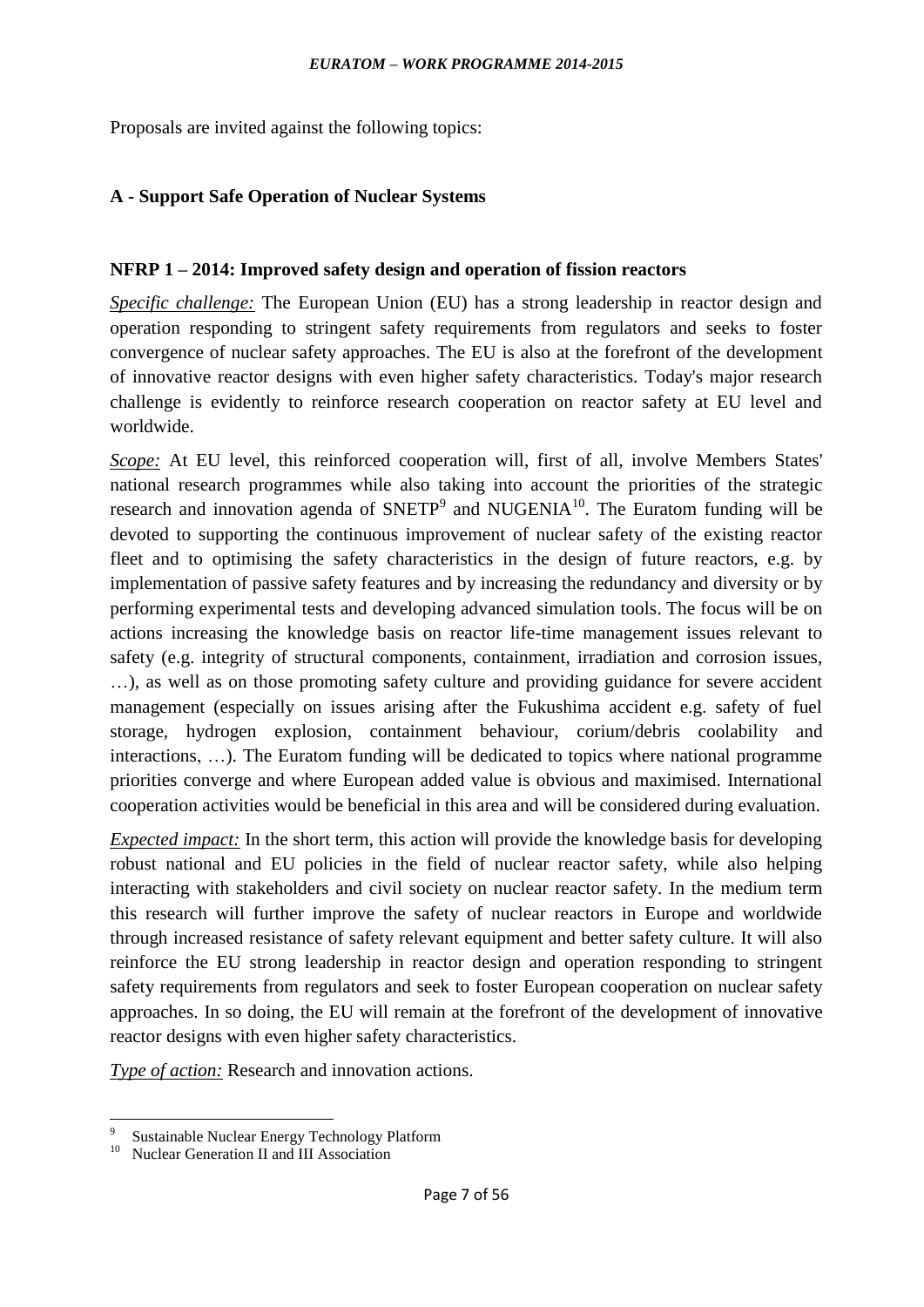Proposals are invited against the following topics:

## <span id="page-6-0"></span>**A - Support Safe Operation of Nuclear Systems**

### <span id="page-6-1"></span>**NFRP 1 – 2014: Improved safety design and operation of fission reactors**

*Specific challenge:* The European Union (EU) has a strong leadership in reactor design and operation responding to stringent safety requirements from regulators and seeks to foster convergence of nuclear safety approaches. The EU is also at the forefront of the development of innovative reactor designs with even higher safety characteristics. Today's major research challenge is evidently to reinforce research cooperation on reactor safety at EU level and worldwide.

*Scope:* At EU level, this reinforced cooperation will, first of all, involve Members States' national research programmes while also taking into account the priorities of the strategic research and innovation agenda of  $SNETP<sup>9</sup>$  and  $NUGENIA<sup>10</sup>$ . The Euratom funding will be devoted to supporting the continuous improvement of nuclear safety of the existing reactor fleet and to optimising the safety characteristics in the design of future reactors, e.g. by implementation of passive safety features and by increasing the redundancy and diversity or by performing experimental tests and developing advanced simulation tools. The focus will be on actions increasing the knowledge basis on reactor life-time management issues relevant to safety (e.g. integrity of structural components, containment, irradiation and corrosion issues, …), as well as on those promoting safety culture and providing guidance for severe accident management (especially on issues arising after the Fukushima accident e.g. safety of fuel storage, hydrogen explosion, containment behaviour, corium/debris coolability and interactions, …). The Euratom funding will be dedicated to topics where national programme priorities converge and where European added value is obvious and maximised. International cooperation activities would be beneficial in this area and will be considered during evaluation.

*Expected impact:* In the short term, this action will provide the knowledge basis for developing robust national and EU policies in the field of nuclear reactor safety, while also helping interacting with stakeholders and civil society on nuclear reactor safety. In the medium term this research will further improve the safety of nuclear reactors in Europe and worldwide through increased resistance of safety relevant equipment and better safety culture. It will also reinforce the EU strong leadership in reactor design and operation responding to stringent safety requirements from regulators and seek to foster European cooperation on nuclear safety approaches. In so doing, the EU will remain at the forefront of the development of innovative reactor designs with even higher safety characteristics.

*Type of action:* Research and innovation actions.

 $\overline{a}$ 

<sup>9</sup> Sustainable Nuclear Energy Technology Platform

<sup>&</sup>lt;sup>10</sup> Nuclear Generation II and III Association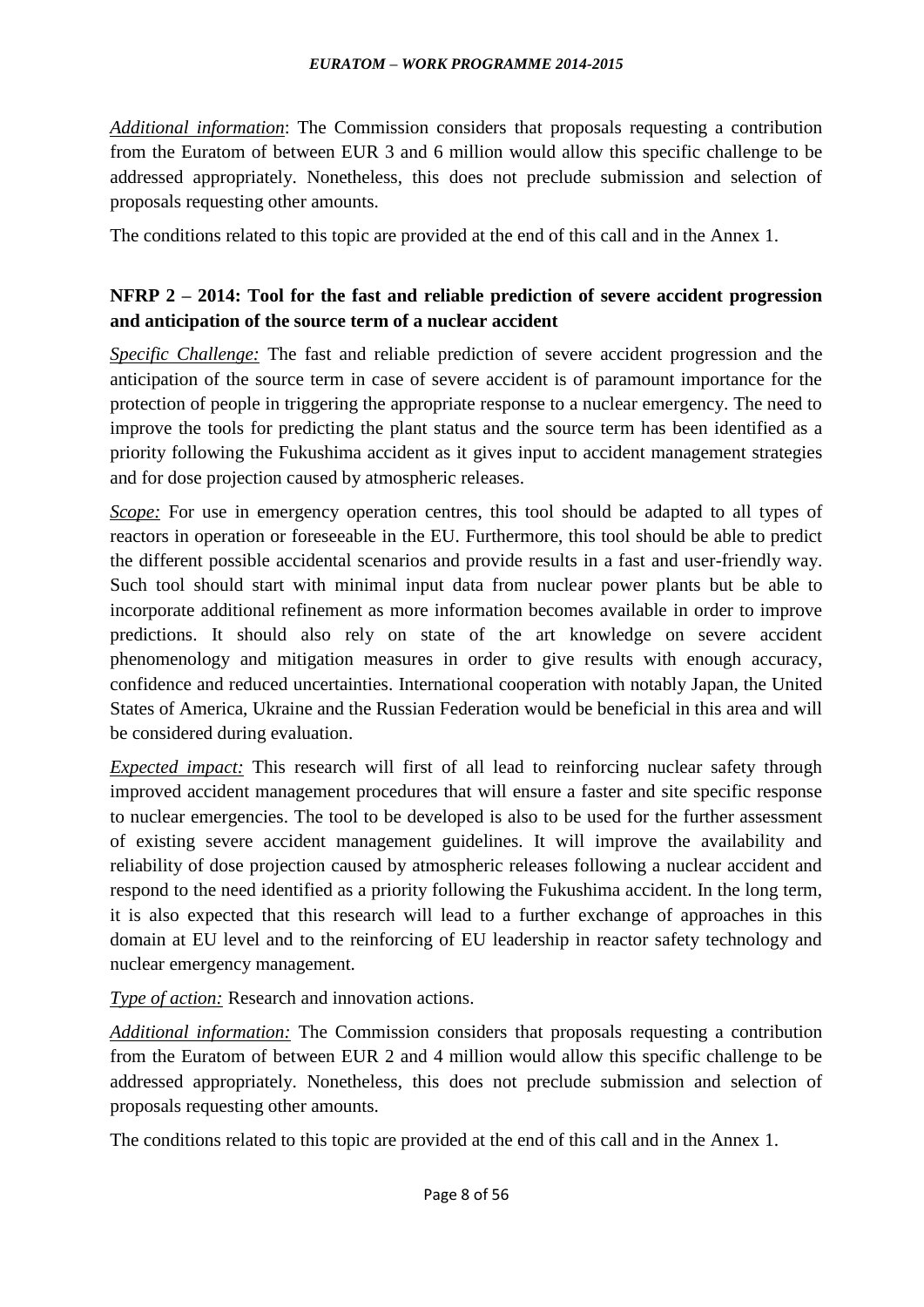*Additional information*: The Commission considers that proposals requesting a contribution from the Euratom of between EUR 3 and 6 million would allow this specific challenge to be addressed appropriately. Nonetheless, this does not preclude submission and selection of proposals requesting other amounts.

The conditions related to this topic are provided at the end of this call and in the Annex 1.

## <span id="page-7-0"></span>**NFRP 2 – 2014: Tool for the fast and reliable prediction of severe accident progression and anticipation of the source term of a nuclear accident**

*Specific Challenge:* The fast and reliable prediction of severe accident progression and the anticipation of the source term in case of severe accident is of paramount importance for the protection of people in triggering the appropriate response to a nuclear emergency. The need to improve the tools for predicting the plant status and the source term has been identified as a priority following the Fukushima accident as it gives input to accident management strategies and for dose projection caused by atmospheric releases.

*Scope:* For use in emergency operation centres, this tool should be adapted to all types of reactors in operation or foreseeable in the EU. Furthermore, this tool should be able to predict the different possible accidental scenarios and provide results in a fast and user-friendly way. Such tool should start with minimal input data from nuclear power plants but be able to incorporate additional refinement as more information becomes available in order to improve predictions. It should also rely on state of the art knowledge on severe accident phenomenology and mitigation measures in order to give results with enough accuracy, confidence and reduced uncertainties. International cooperation with notably Japan, the United States of America, Ukraine and the Russian Federation would be beneficial in this area and will be considered during evaluation.

*Expected impact:* This research will first of all lead to reinforcing nuclear safety through improved accident management procedures that will ensure a faster and site specific response to nuclear emergencies. The tool to be developed is also to be used for the further assessment of existing severe accident management guidelines. It will improve the availability and reliability of dose projection caused by atmospheric releases following a nuclear accident and respond to the need identified as a priority following the Fukushima accident. In the long term, it is also expected that this research will lead to a further exchange of approaches in this domain at EU level and to the reinforcing of EU leadership in reactor safety technology and nuclear emergency management.

*Type of action:* Research and innovation actions.

*Additional information:* The Commission considers that proposals requesting a contribution from the Euratom of between EUR 2 and 4 million would allow this specific challenge to be addressed appropriately. Nonetheless, this does not preclude submission and selection of proposals requesting other amounts.

The conditions related to this topic are provided at the end of this call and in the Annex 1.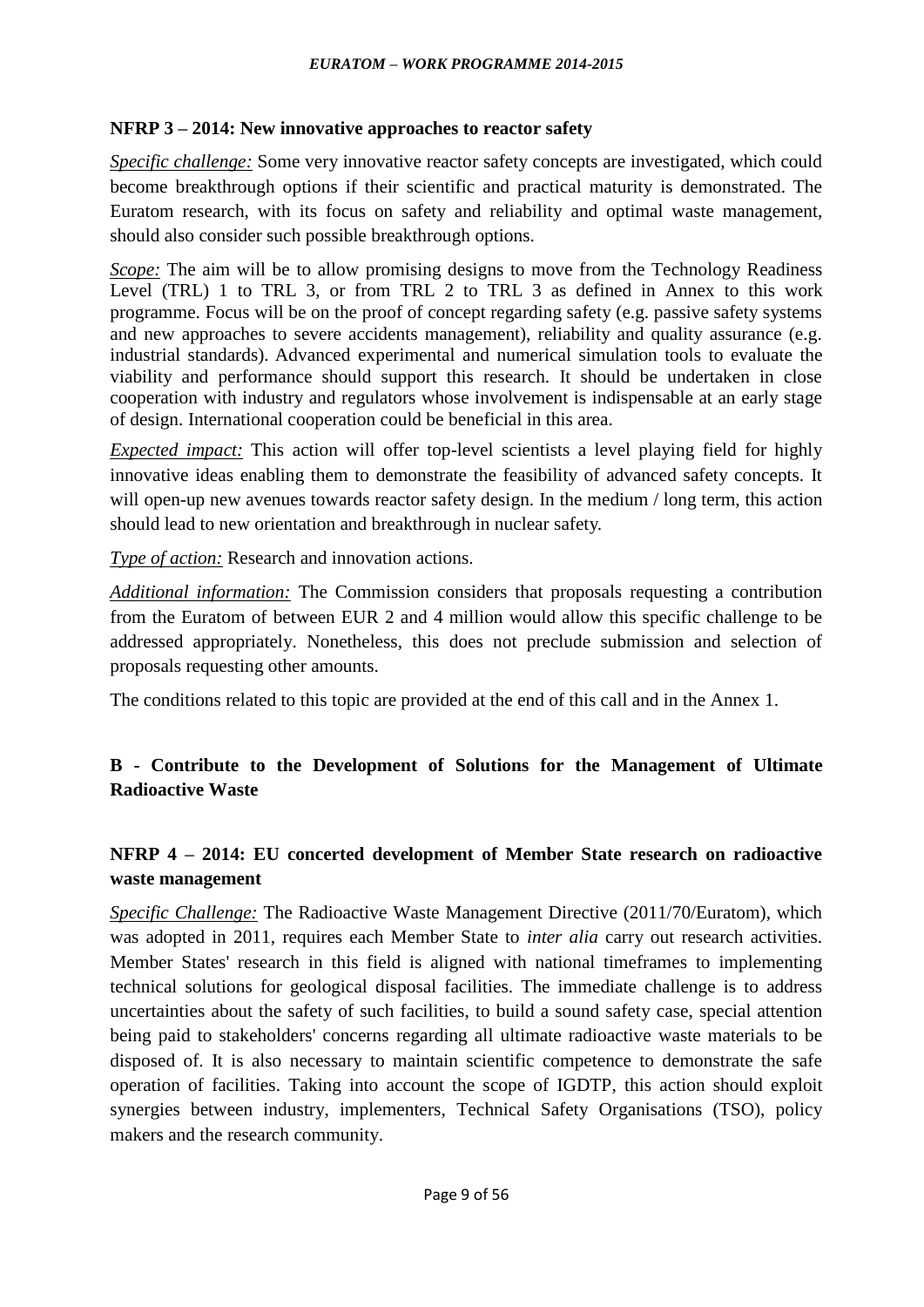## <span id="page-8-0"></span>**NFRP 3 – 2014: New innovative approaches to reactor safety**

*Specific challenge:* Some very innovative reactor safety concepts are investigated, which could become breakthrough options if their scientific and practical maturity is demonstrated. The Euratom research, with its focus on safety and reliability and optimal waste management, should also consider such possible breakthrough options.

*Scope:* The aim will be to allow promising designs to move from the Technology Readiness Level (TRL) 1 to TRL 3, or from TRL 2 to TRL 3 as defined in Annex to this work programme. Focus will be on the proof of concept regarding safety (e.g. passive safety systems and new approaches to severe accidents management), reliability and quality assurance (e.g. industrial standards). Advanced experimental and numerical simulation tools to evaluate the viability and performance should support this research. It should be undertaken in close cooperation with industry and regulators whose involvement is indispensable at an early stage of design. International cooperation could be beneficial in this area.

*Expected impact:* This action will offer top-level scientists a level playing field for highly innovative ideas enabling them to demonstrate the feasibility of advanced safety concepts. It will open-up new avenues towards reactor safety design. In the medium / long term, this action should lead to new orientation and breakthrough in nuclear safety.

*Type of action:* Research and innovation actions.

*Additional information:* The Commission considers that proposals requesting a contribution from the Euratom of between EUR 2 and 4 million would allow this specific challenge to be addressed appropriately. Nonetheless, this does not preclude submission and selection of proposals requesting other amounts.

The conditions related to this topic are provided at the end of this call and in the Annex 1.

# <span id="page-8-1"></span>**B - Contribute to the Development of Solutions for the Management of Ultimate Radioactive Waste**

# <span id="page-8-2"></span>**NFRP 4 – 2014: EU concerted development of Member State research on radioactive waste management**

*Specific Challenge:* The Radioactive Waste Management Directive (2011/70/Euratom), which was adopted in 2011, requires each Member State to *inter alia* carry out research activities. Member States' research in this field is aligned with national timeframes to implementing technical solutions for geological disposal facilities. The immediate challenge is to address uncertainties about the safety of such facilities, to build a sound safety case, special attention being paid to stakeholders' concerns regarding all ultimate radioactive waste materials to be disposed of. It is also necessary to maintain scientific competence to demonstrate the safe operation of facilities. Taking into account the scope of IGDTP, this action should exploit synergies between industry, implementers, Technical Safety Organisations (TSO), policy makers and the research community.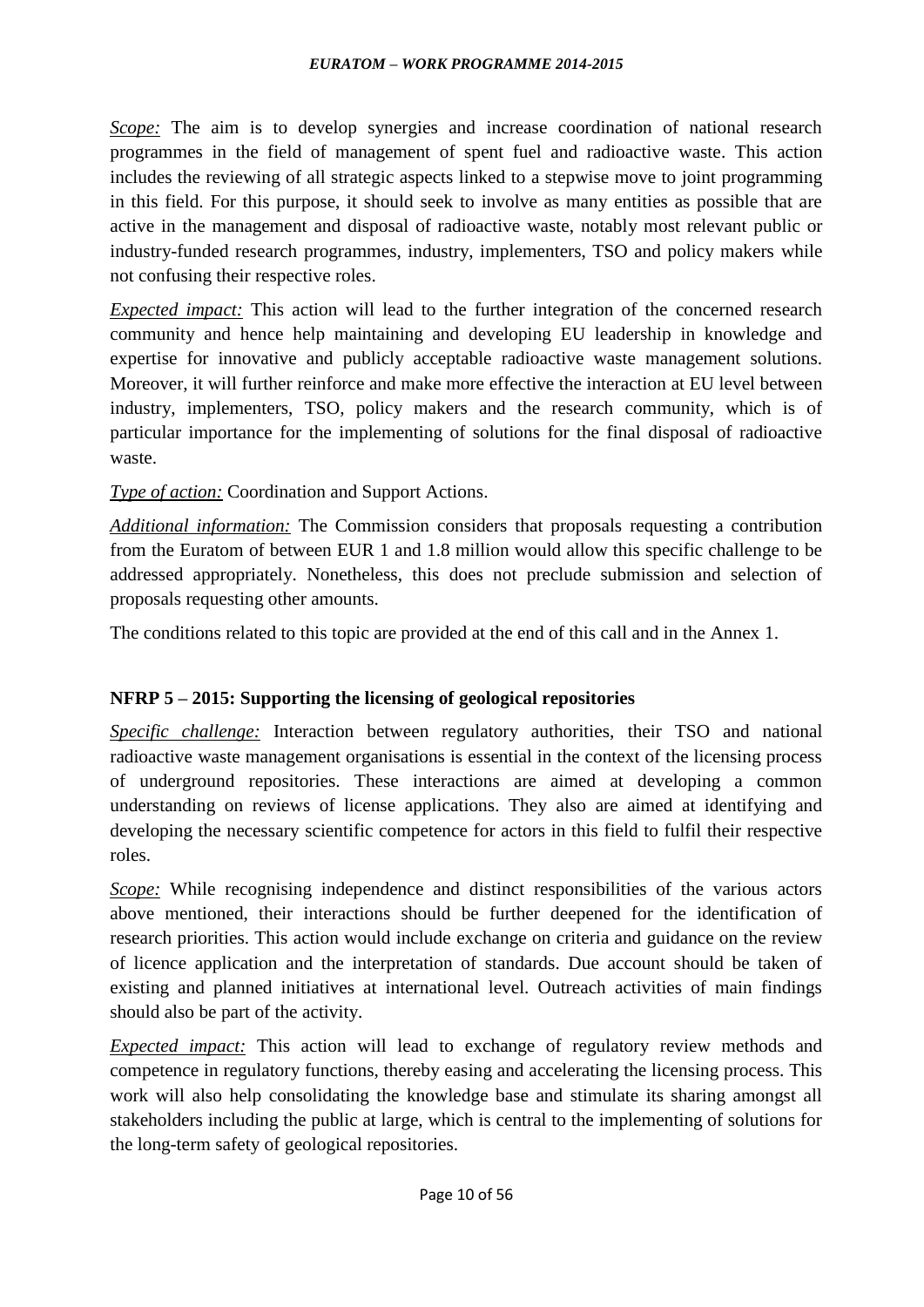### *EURATOM – WORK PROGRAMME 2014-2015*

*Scope:* The aim is to develop synergies and increase coordination of national research programmes in the field of management of spent fuel and radioactive waste. This action includes the reviewing of all strategic aspects linked to a stepwise move to joint programming in this field. For this purpose, it should seek to involve as many entities as possible that are active in the management and disposal of radioactive waste, notably most relevant public or industry-funded research programmes, industry, implementers, TSO and policy makers while not confusing their respective roles.

*Expected impact:* This action will lead to the further integration of the concerned research community and hence help maintaining and developing EU leadership in knowledge and expertise for innovative and publicly acceptable radioactive waste management solutions. Moreover, it will further reinforce and make more effective the interaction at EU level between industry, implementers, TSO, policy makers and the research community, which is of particular importance for the implementing of solutions for the final disposal of radioactive waste.

*Type of action:* Coordination and Support Actions.

*Additional information:* The Commission considers that proposals requesting a contribution from the Euratom of between EUR 1 and 1.8 million would allow this specific challenge to be addressed appropriately. Nonetheless, this does not preclude submission and selection of proposals requesting other amounts.

The conditions related to this topic are provided at the end of this call and in the Annex 1.

# <span id="page-9-0"></span>**NFRP 5 – 2015: Supporting the licensing of geological repositories**

*Specific challenge:* Interaction between regulatory authorities, their TSO and national radioactive waste management organisations is essential in the context of the licensing process of underground repositories. These interactions are aimed at developing a common understanding on reviews of license applications. They also are aimed at identifying and developing the necessary scientific competence for actors in this field to fulfil their respective roles.

*Scope:* While recognising independence and distinct responsibilities of the various actors above mentioned, their interactions should be further deepened for the identification of research priorities. This action would include exchange on criteria and guidance on the review of licence application and the interpretation of standards. Due account should be taken of existing and planned initiatives at international level. Outreach activities of main findings should also be part of the activity.

*Expected impact:* This action will lead to exchange of regulatory review methods and competence in regulatory functions, thereby easing and accelerating the licensing process. This work will also help consolidating the knowledge base and stimulate its sharing amongst all stakeholders including the public at large, which is central to the implementing of solutions for the long-term safety of geological repositories.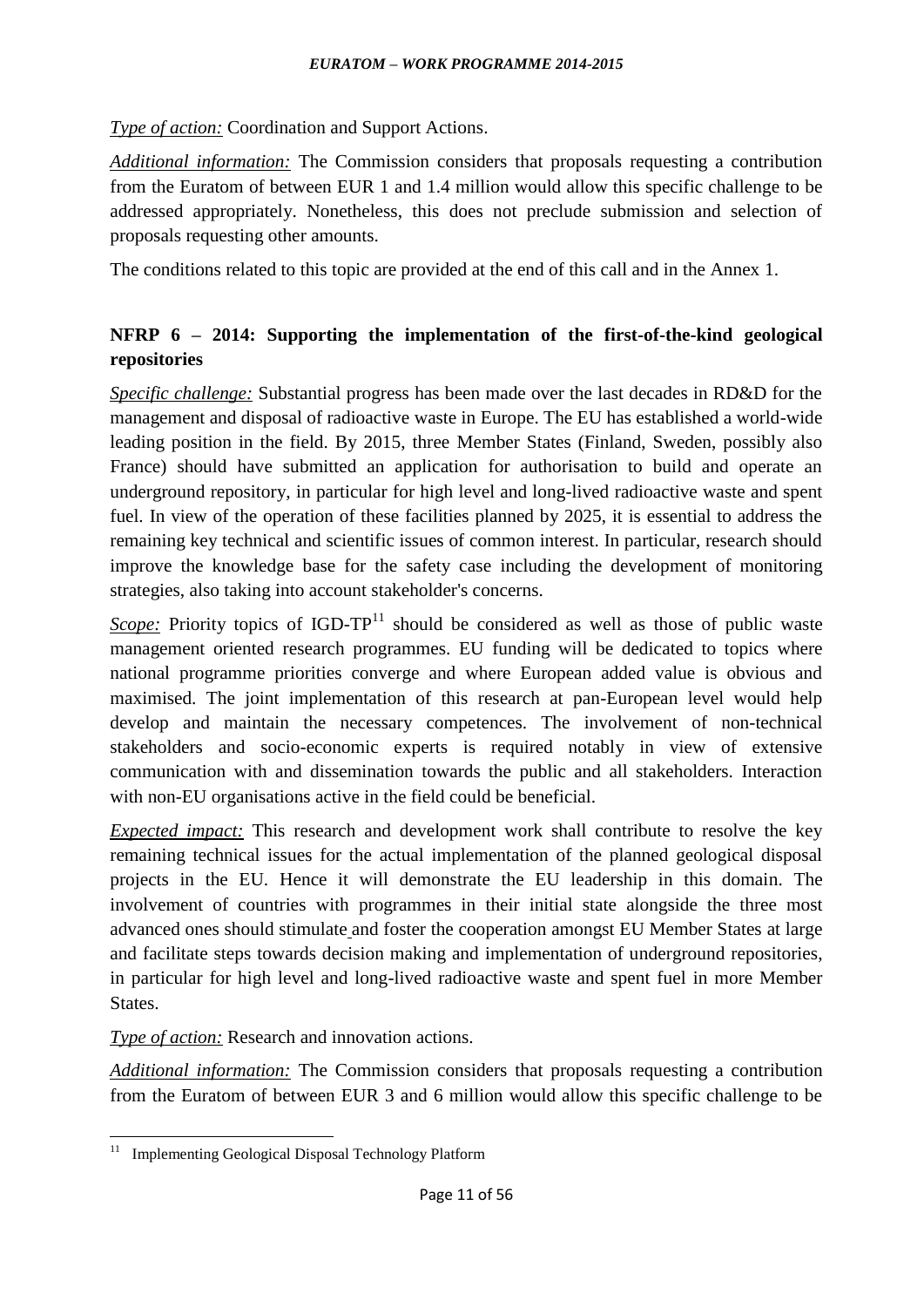*Type of action:* Coordination and Support Actions.

*Additional information:* The Commission considers that proposals requesting a contribution from the Euratom of between EUR 1 and 1.4 million would allow this specific challenge to be addressed appropriately. Nonetheless, this does not preclude submission and selection of proposals requesting other amounts.

The conditions related to this topic are provided at the end of this call and in the Annex 1.

# <span id="page-10-0"></span>**NFRP 6 – 2014: Supporting the implementation of the first-of-the-kind geological repositories**

*Specific challenge:* Substantial progress has been made over the last decades in RD&D for the management and disposal of radioactive waste in Europe. The EU has established a world-wide leading position in the field. By 2015, three Member States (Finland, Sweden, possibly also France) should have submitted an application for authorisation to build and operate an underground repository, in particular for high level and long-lived radioactive waste and spent fuel. In view of the operation of these facilities planned by 2025, it is essential to address the remaining key technical and scientific issues of common interest. In particular, research should improve the knowledge base for the safety case including the development of monitoring strategies, also taking into account stakeholder's concerns.

*Scope:* Priority topics of IGD-TP $^{11}$  should be considered as well as those of public waste management oriented research programmes. EU funding will be dedicated to topics where national programme priorities converge and where European added value is obvious and maximised. The joint implementation of this research at pan-European level would help develop and maintain the necessary competences. The involvement of non-technical stakeholders and socio-economic experts is required notably in view of extensive communication with and dissemination towards the public and all stakeholders. Interaction with non-EU organisations active in the field could be beneficial.

*Expected impact:* This research and development work shall contribute to resolve the key remaining technical issues for the actual implementation of the planned geological disposal projects in the EU. Hence it will demonstrate the EU leadership in this domain. The involvement of countries with programmes in their initial state alongside the three most advanced ones should stimulate and foster the cooperation amongst EU Member States at large and facilitate steps towards decision making and implementation of underground repositories, in particular for high level and long-lived radioactive waste and spent fuel in more Member States.

*Type of action:* Research and innovation actions.

*Additional information:* The Commission considers that proposals requesting a contribution from the Euratom of between EUR 3 and 6 million would allow this specific challenge to be

 $11\,$ <sup>11</sup> Implementing Geological Disposal Technology Platform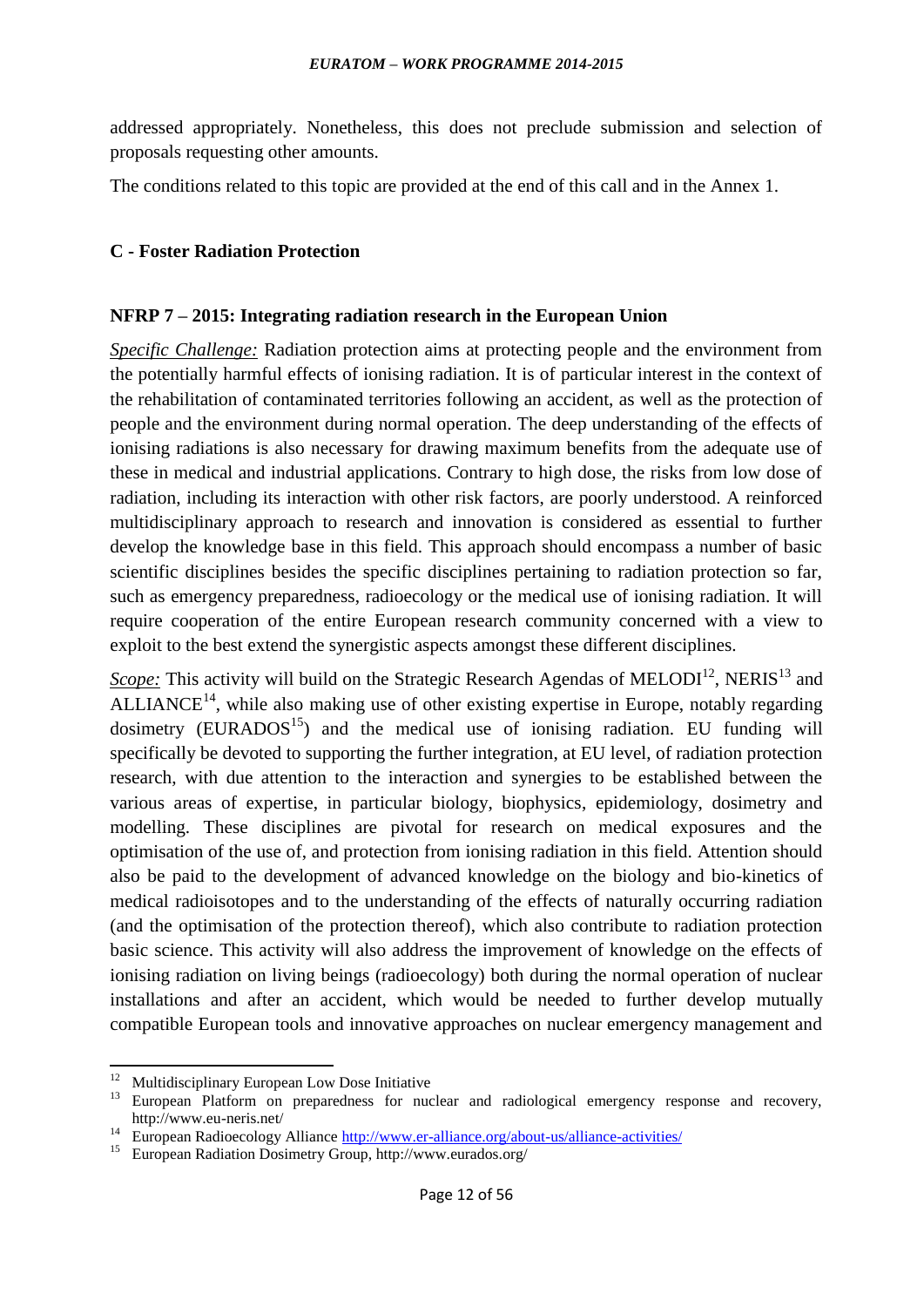addressed appropriately. Nonetheless, this does not preclude submission and selection of proposals requesting other amounts.

The conditions related to this topic are provided at the end of this call and in the Annex 1.

## <span id="page-11-0"></span>**C - Foster Radiation Protection**

## <span id="page-11-1"></span>**NFRP 7 – 2015: Integrating radiation research in the European Union**

*Specific Challenge:* Radiation protection aims at protecting people and the environment from the potentially harmful effects of ionising radiation. It is of particular interest in the context of the rehabilitation of contaminated territories following an accident, as well as the protection of people and the environment during normal operation. The deep understanding of the effects of ionising radiations is also necessary for drawing maximum benefits from the adequate use of these in medical and industrial applications. Contrary to high dose, the risks from low dose of radiation, including its interaction with other risk factors, are poorly understood. A reinforced multidisciplinary approach to research and innovation is considered as essential to further develop the knowledge base in this field. This approach should encompass a number of basic scientific disciplines besides the specific disciplines pertaining to radiation protection so far, such as emergency preparedness, radioecology or the medical use of ionising radiation. It will require cooperation of the entire European research community concerned with a view to exploit to the best extend the synergistic aspects amongst these different disciplines.

Scope: This activity will build on the Strategic Research Agendas of MELODI<sup>12</sup>, NERIS<sup>13</sup> and ALLIANCE<sup>14</sup>, while also making use of other existing expertise in Europe, notably regarding dosimetry  $(EURADOS^{15})$  and the medical use of ionising radiation. EU funding will specifically be devoted to supporting the further integration, at EU level, of radiation protection research, with due attention to the interaction and synergies to be established between the various areas of expertise, in particular biology, biophysics, epidemiology, dosimetry and modelling. These disciplines are pivotal for research on medical exposures and the optimisation of the use of, and protection from ionising radiation in this field. Attention should also be paid to the development of advanced knowledge on the biology and bio-kinetics of medical radioisotopes and to the understanding of the effects of naturally occurring radiation (and the optimisation of the protection thereof), which also contribute to radiation protection basic science. This activity will also address the improvement of knowledge on the effects of ionising radiation on living beings (radioecology) both during the normal operation of nuclear installations and after an accident, which would be needed to further develop mutually compatible European tools and innovative approaches on nuclear emergency management and

 $\overline{\phantom{a}}$ 

 $12$  Multidisciplinary European Low Dose Initiative

<sup>&</sup>lt;sup>13</sup> European Platform on preparedness for nuclear and radiological emergency response and recovery, http://www.eu-neris.net/

<sup>&</sup>lt;sup>14</sup> European Radioecology Alliance<http://www.er-alliance.org/about-us/alliance-activities/>

<sup>15</sup> European Radiation Dosimetry Group, http://www.eurados.org/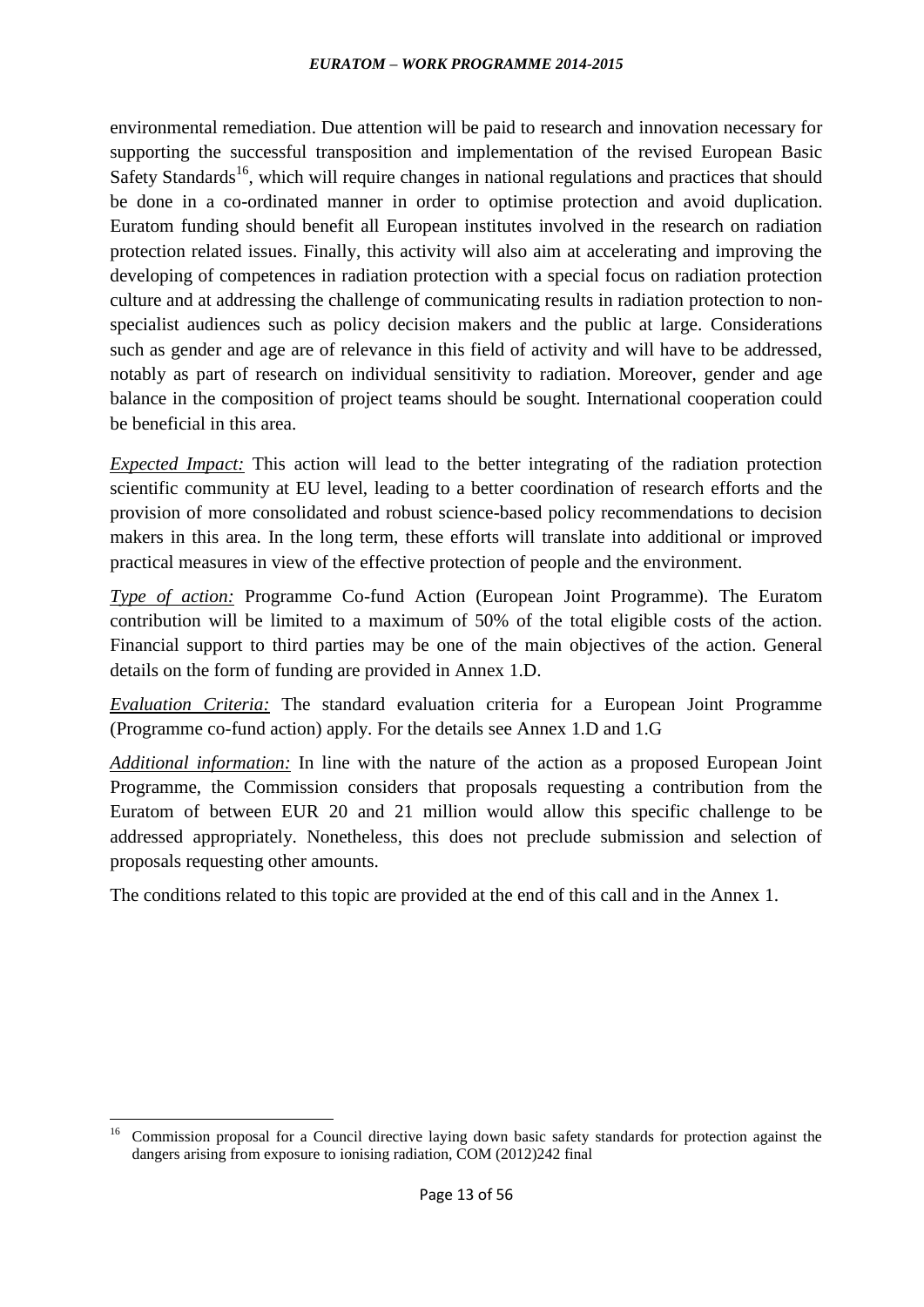environmental remediation. Due attention will be paid to research and innovation necessary for supporting the successful transposition and implementation of the revised European Basic Safety Standards<sup>16</sup>, which will require changes in national regulations and practices that should be done in a co-ordinated manner in order to optimise protection and avoid duplication. Euratom funding should benefit all European institutes involved in the research on radiation protection related issues. Finally, this activity will also aim at accelerating and improving the developing of competences in radiation protection with a special focus on radiation protection culture and at addressing the challenge of communicating results in radiation protection to nonspecialist audiences such as policy decision makers and the public at large. Considerations such as gender and age are of relevance in this field of activity and will have to be addressed, notably as part of research on individual sensitivity to radiation. Moreover, gender and age balance in the composition of project teams should be sought. International cooperation could be beneficial in this area.

*Expected Impact:* This action will lead to the better integrating of the radiation protection scientific community at EU level, leading to a better coordination of research efforts and the provision of more consolidated and robust science-based policy recommendations to decision makers in this area. In the long term, these efforts will translate into additional or improved practical measures in view of the effective protection of people and the environment.

*Type of action:* Programme Co-fund Action (European Joint Programme). The Euratom contribution will be limited to a maximum of 50% of the total eligible costs of the action. Financial support to third parties may be one of the main objectives of the action. General details on the form of funding are provided in Annex 1.D.

*Evaluation Criteria:* The standard evaluation criteria for a European Joint Programme (Programme co-fund action) apply. For the details see Annex 1.D and 1.G

*Additional information:* In line with the nature of the action as a proposed European Joint Programme, the Commission considers that proposals requesting a contribution from the Euratom of between EUR 20 and 21 million would allow this specific challenge to be addressed appropriately. Nonetheless, this does not preclude submission and selection of proposals requesting other amounts.

The conditions related to this topic are provided at the end of this call and in the Annex 1.

 $\overline{a}$ 

<sup>16</sup> Commission proposal for a Council directive laying down basic safety standards for protection against the dangers arising from exposure to ionising radiation, COM (2012)242 final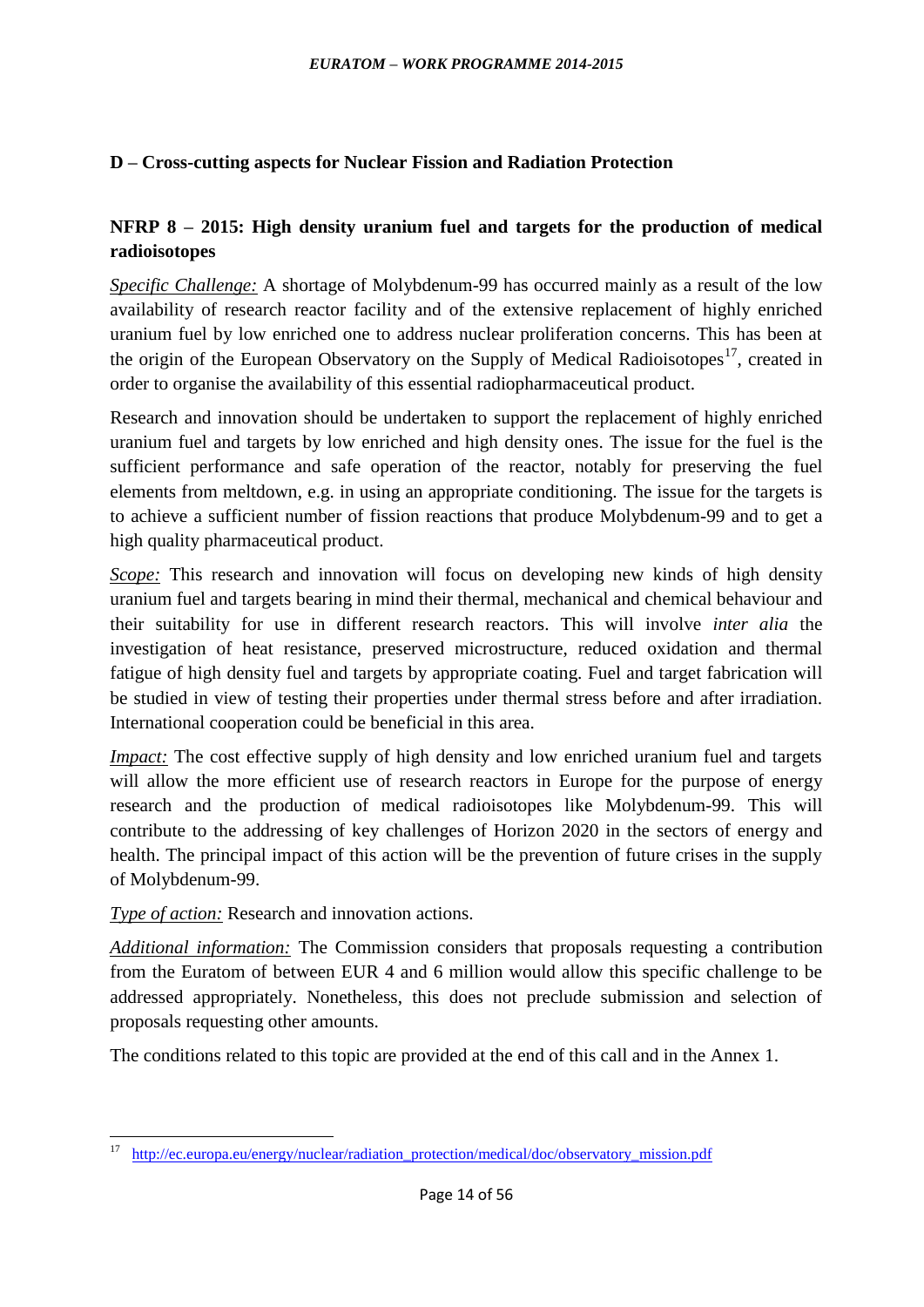## <span id="page-13-0"></span>**D – Cross-cutting aspects for Nuclear Fission and Radiation Protection**

# <span id="page-13-1"></span>**NFRP 8 – 2015: High density uranium fuel and targets for the production of medical radioisotopes**

*Specific Challenge:* A shortage of Molybdenum-99 has occurred mainly as a result of the low availability of research reactor facility and of the extensive replacement of highly enriched uranium fuel by low enriched one to address nuclear proliferation concerns. This has been at the origin of the European Observatory on the Supply of Medical Radioisotopes<sup>17</sup>, created in order to organise the availability of this essential radiopharmaceutical product.

Research and innovation should be undertaken to support the replacement of highly enriched uranium fuel and targets by low enriched and high density ones. The issue for the fuel is the sufficient performance and safe operation of the reactor, notably for preserving the fuel elements from meltdown, e.g. in using an appropriate conditioning. The issue for the targets is to achieve a sufficient number of fission reactions that produce Molybdenum-99 and to get a high quality pharmaceutical product.

*Scope:* This research and innovation will focus on developing new kinds of high density uranium fuel and targets bearing in mind their thermal, mechanical and chemical behaviour and their suitability for use in different research reactors. This will involve *inter alia* the investigation of heat resistance, preserved microstructure, reduced oxidation and thermal fatigue of high density fuel and targets by appropriate coating. Fuel and target fabrication will be studied in view of testing their properties under thermal stress before and after irradiation. International cooperation could be beneficial in this area.

*Impact:* The cost effective supply of high density and low enriched uranium fuel and targets will allow the more efficient use of research reactors in Europe for the purpose of energy research and the production of medical radioisotopes like Molybdenum-99. This will contribute to the addressing of key challenges of Horizon 2020 in the sectors of energy and health. The principal impact of this action will be the prevention of future crises in the supply of Molybdenum-99.

*Type of action:* Research and innovation actions.

*Additional information:* The Commission considers that proposals requesting a contribution from the Euratom of between EUR 4 and 6 million would allow this specific challenge to be addressed appropriately. Nonetheless, this does not preclude submission and selection of proposals requesting other amounts.

The conditions related to this topic are provided at the end of this call and in the Annex 1.

<sup>17</sup> [http://ec.europa.eu/energy/nuclear/radiation\\_protection/medical/doc/observatory\\_mission.pdf](http://ec.europa.eu/energy/nuclear/radiation_protection/medical/doc/observatory_mission.pdf)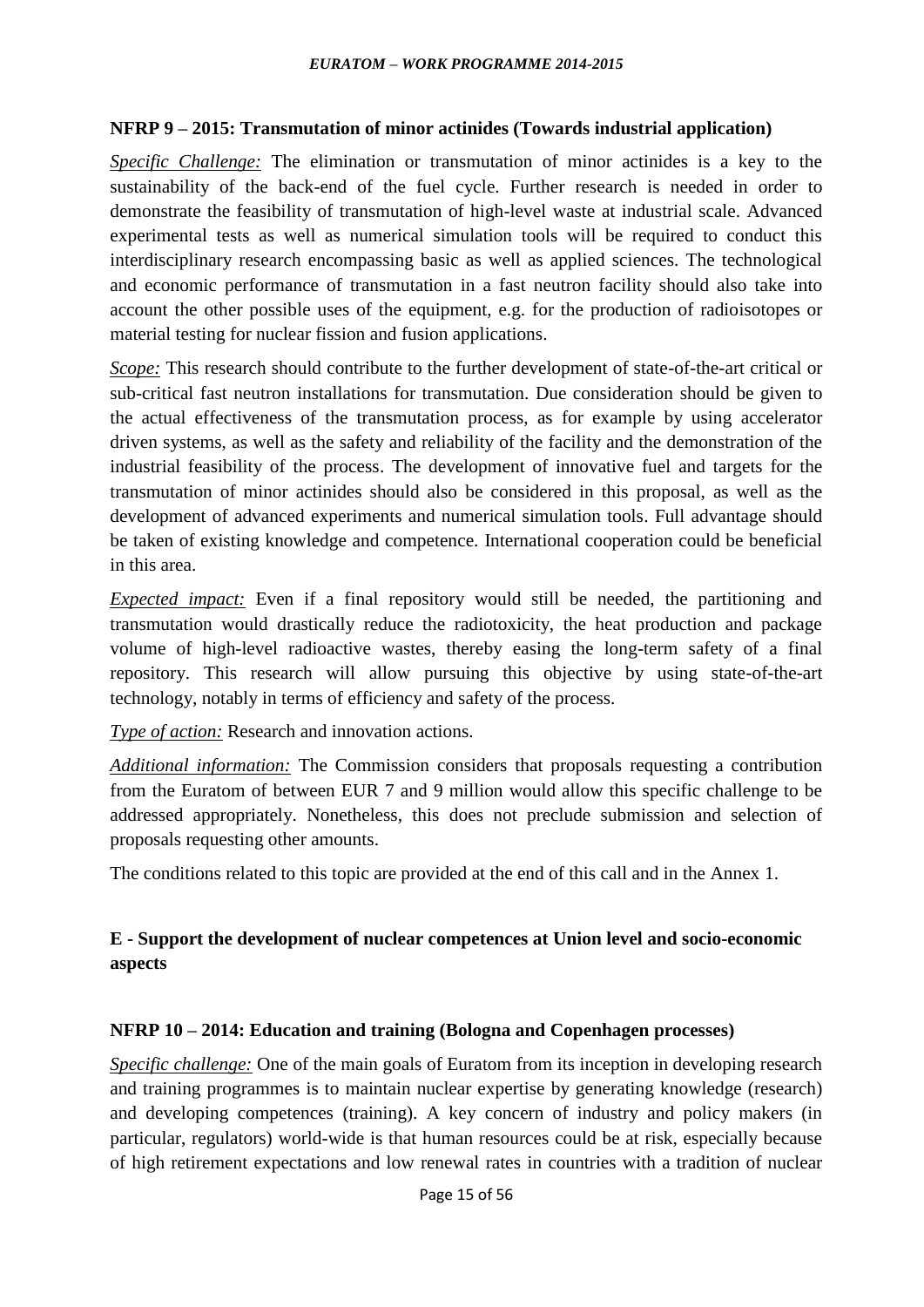## <span id="page-14-0"></span>**NFRP 9 – 2015: Transmutation of minor actinides (Towards industrial application)**

*Specific Challenge:* The elimination or transmutation of minor actinides is a key to the sustainability of the back-end of the fuel cycle. Further research is needed in order to demonstrate the feasibility of transmutation of high-level waste at industrial scale. Advanced experimental tests as well as numerical simulation tools will be required to conduct this interdisciplinary research encompassing basic as well as applied sciences. The technological and economic performance of transmutation in a fast neutron facility should also take into account the other possible uses of the equipment, e.g. for the production of radioisotopes or material testing for nuclear fission and fusion applications.

*Scope:* This research should contribute to the further development of state-of-the-art critical or sub-critical fast neutron installations for transmutation. Due consideration should be given to the actual effectiveness of the transmutation process, as for example by using accelerator driven systems, as well as the safety and reliability of the facility and the demonstration of the industrial feasibility of the process. The development of innovative fuel and targets for the transmutation of minor actinides should also be considered in this proposal, as well as the development of advanced experiments and numerical simulation tools. Full advantage should be taken of existing knowledge and competence. International cooperation could be beneficial in this area.

*Expected impact:* Even if a final repository would still be needed, the partitioning and transmutation would drastically reduce the radiotoxicity, the heat production and package volume of high-level radioactive wastes, thereby easing the long-term safety of a final repository. This research will allow pursuing this objective by using state-of-the-art technology, notably in terms of efficiency and safety of the process.

*Type of action:* Research and innovation actions.

*Additional information:* The Commission considers that proposals requesting a contribution from the Euratom of between EUR 7 and 9 million would allow this specific challenge to be addressed appropriately. Nonetheless, this does not preclude submission and selection of proposals requesting other amounts.

The conditions related to this topic are provided at the end of this call and in the Annex 1.

# <span id="page-14-1"></span>**E - Support the development of nuclear competences at Union level and socio-economic aspects**

## <span id="page-14-2"></span>**NFRP 10 – 2014: Education and training (Bologna and Copenhagen processes)**

*Specific challenge:* One of the main goals of Euratom from its inception in developing research and training programmes is to maintain nuclear expertise by generating knowledge (research) and developing competences (training). A key concern of industry and policy makers (in particular, regulators) world-wide is that human resources could be at risk, especially because of high retirement expectations and low renewal rates in countries with a tradition of nuclear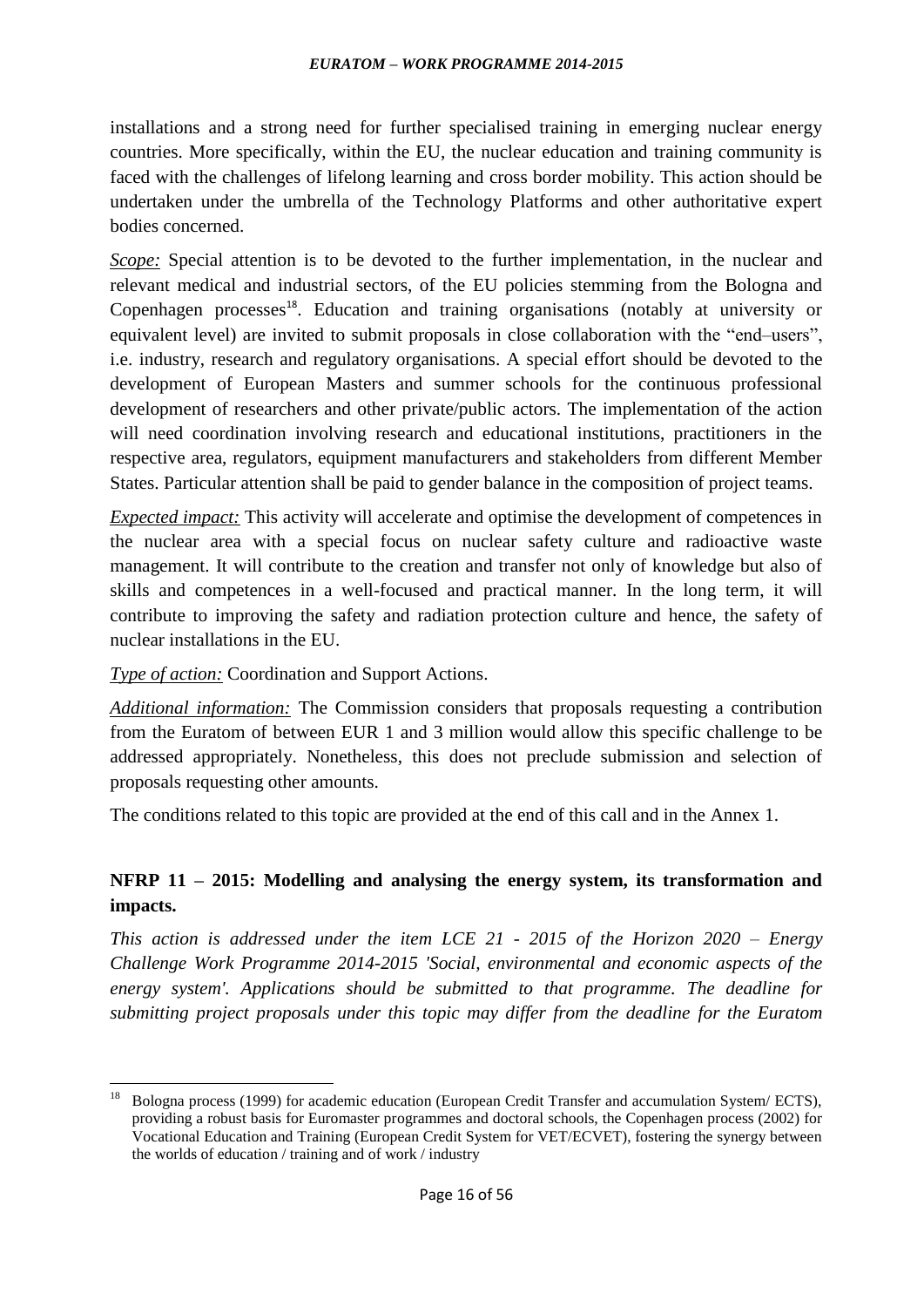installations and a strong need for further specialised training in emerging nuclear energy countries. More specifically, within the EU, the nuclear education and training community is faced with the challenges of lifelong learning and cross border mobility. This action should be undertaken under the umbrella of the Technology Platforms and other authoritative expert bodies concerned.

*Scope:* Special attention is to be devoted to the further implementation, in the nuclear and relevant medical and industrial sectors, of the EU policies stemming from the Bologna and Copenhagen processes<sup>18</sup>. Education and training organisations (notably at university or equivalent level) are invited to submit proposals in close collaboration with the "end–users", i.e. industry, research and regulatory organisations. A special effort should be devoted to the development of European Masters and summer schools for the continuous professional development of researchers and other private/public actors. The implementation of the action will need coordination involving research and educational institutions, practitioners in the respective area, regulators, equipment manufacturers and stakeholders from different Member States. Particular attention shall be paid to gender balance in the composition of project teams.

*Expected impact:* This activity will accelerate and optimise the development of competences in the nuclear area with a special focus on nuclear safety culture and radioactive waste management. It will contribute to the creation and transfer not only of knowledge but also of skills and competences in a well-focused and practical manner. In the long term, it will contribute to improving the safety and radiation protection culture and hence, the safety of nuclear installations in the EU.

*Type of action:* Coordination and Support Actions.

*Additional information:* The Commission considers that proposals requesting a contribution from the Euratom of between EUR 1 and 3 million would allow this specific challenge to be addressed appropriately. Nonetheless, this does not preclude submission and selection of proposals requesting other amounts.

The conditions related to this topic are provided at the end of this call and in the Annex 1.

# <span id="page-15-0"></span>**NFRP 11 – 2015: Modelling and analysing the energy system, its transformation and impacts.**

*This action is addressed under the item LCE 21 - 2015 of the Horizon 2020 – Energy Challenge Work Programme 2014-2015 'Social, environmental and economic aspects of the energy system'. Applications should be submitted to that programme. The deadline for submitting project proposals under this topic may differ from the deadline for the Euratom* 

 $18\,$ <sup>18</sup> Bologna process (1999) for academic education (European Credit Transfer and accumulation System/ ECTS), providing a robust basis for Euromaster programmes and doctoral schools, the Copenhagen process (2002) for Vocational Education and Training (European Credit System for VET/ECVET), fostering the synergy between the worlds of education / training and of work / industry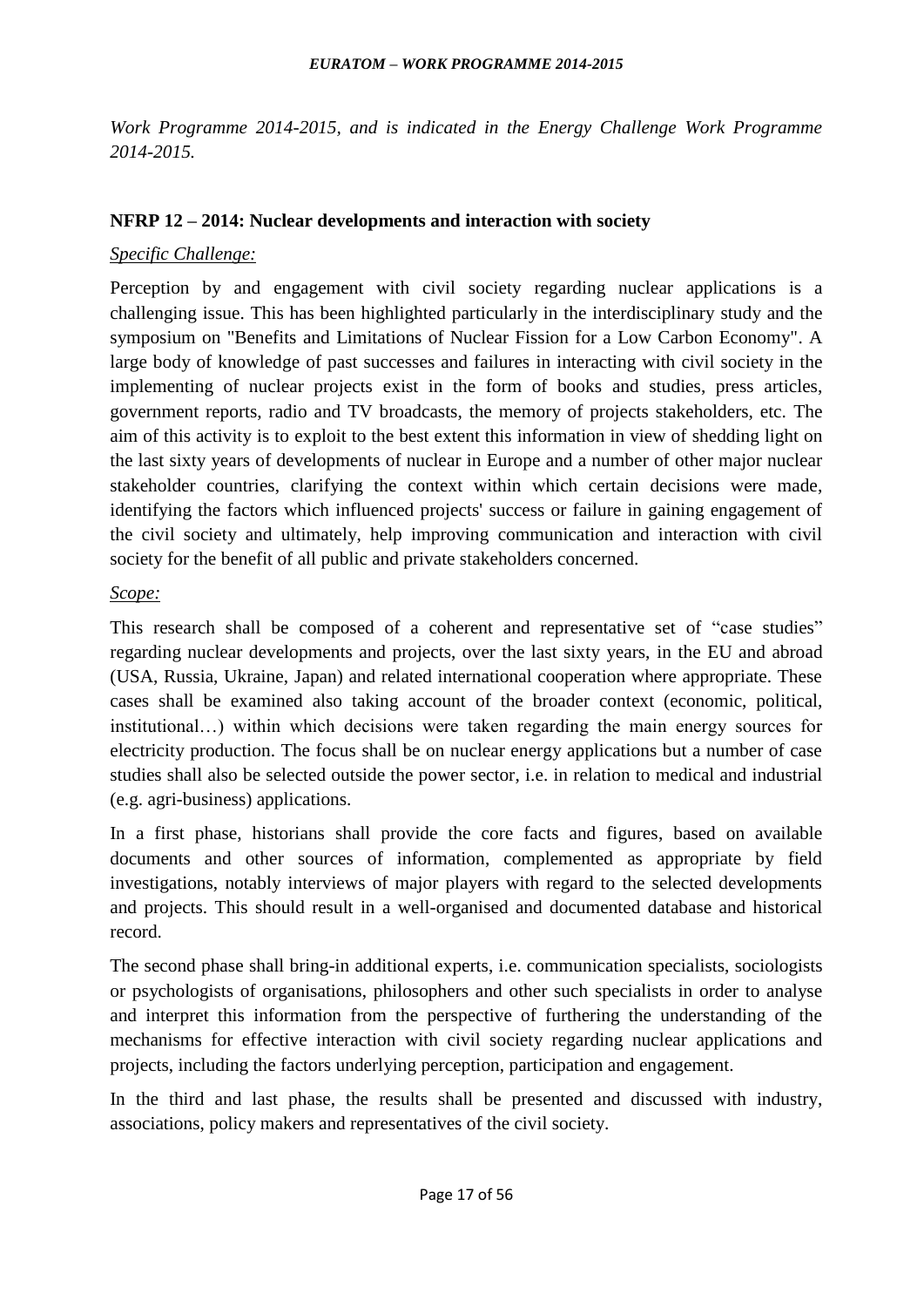*Work Programme 2014-2015, and is indicated in the Energy Challenge Work Programme 2014-2015.*

## <span id="page-16-0"></span>**NFRP 12 – 2014: Nuclear developments and interaction with society**

## *Specific Challenge:*

Perception by and engagement with civil society regarding nuclear applications is a challenging issue. This has been highlighted particularly in the interdisciplinary study and the symposium on "Benefits and Limitations of Nuclear Fission for a Low Carbon Economy". A large body of knowledge of past successes and failures in interacting with civil society in the implementing of nuclear projects exist in the form of books and studies, press articles, government reports, radio and TV broadcasts, the memory of projects stakeholders, etc. The aim of this activity is to exploit to the best extent this information in view of shedding light on the last sixty years of developments of nuclear in Europe and a number of other major nuclear stakeholder countries, clarifying the context within which certain decisions were made, identifying the factors which influenced projects' success or failure in gaining engagement of the civil society and ultimately, help improving communication and interaction with civil society for the benefit of all public and private stakeholders concerned.

## *Scope:*

This research shall be composed of a coherent and representative set of "case studies" regarding nuclear developments and projects, over the last sixty years, in the EU and abroad (USA, Russia, Ukraine, Japan) and related international cooperation where appropriate. These cases shall be examined also taking account of the broader context (economic, political, institutional…) within which decisions were taken regarding the main energy sources for electricity production. The focus shall be on nuclear energy applications but a number of case studies shall also be selected outside the power sector, i.e. in relation to medical and industrial (e.g. agri-business) applications.

In a first phase, historians shall provide the core facts and figures, based on available documents and other sources of information, complemented as appropriate by field investigations, notably interviews of major players with regard to the selected developments and projects. This should result in a well-organised and documented database and historical record.

The second phase shall bring-in additional experts, i.e. communication specialists, sociologists or psychologists of organisations, philosophers and other such specialists in order to analyse and interpret this information from the perspective of furthering the understanding of the mechanisms for effective interaction with civil society regarding nuclear applications and projects, including the factors underlying perception, participation and engagement.

In the third and last phase, the results shall be presented and discussed with industry, associations, policy makers and representatives of the civil society.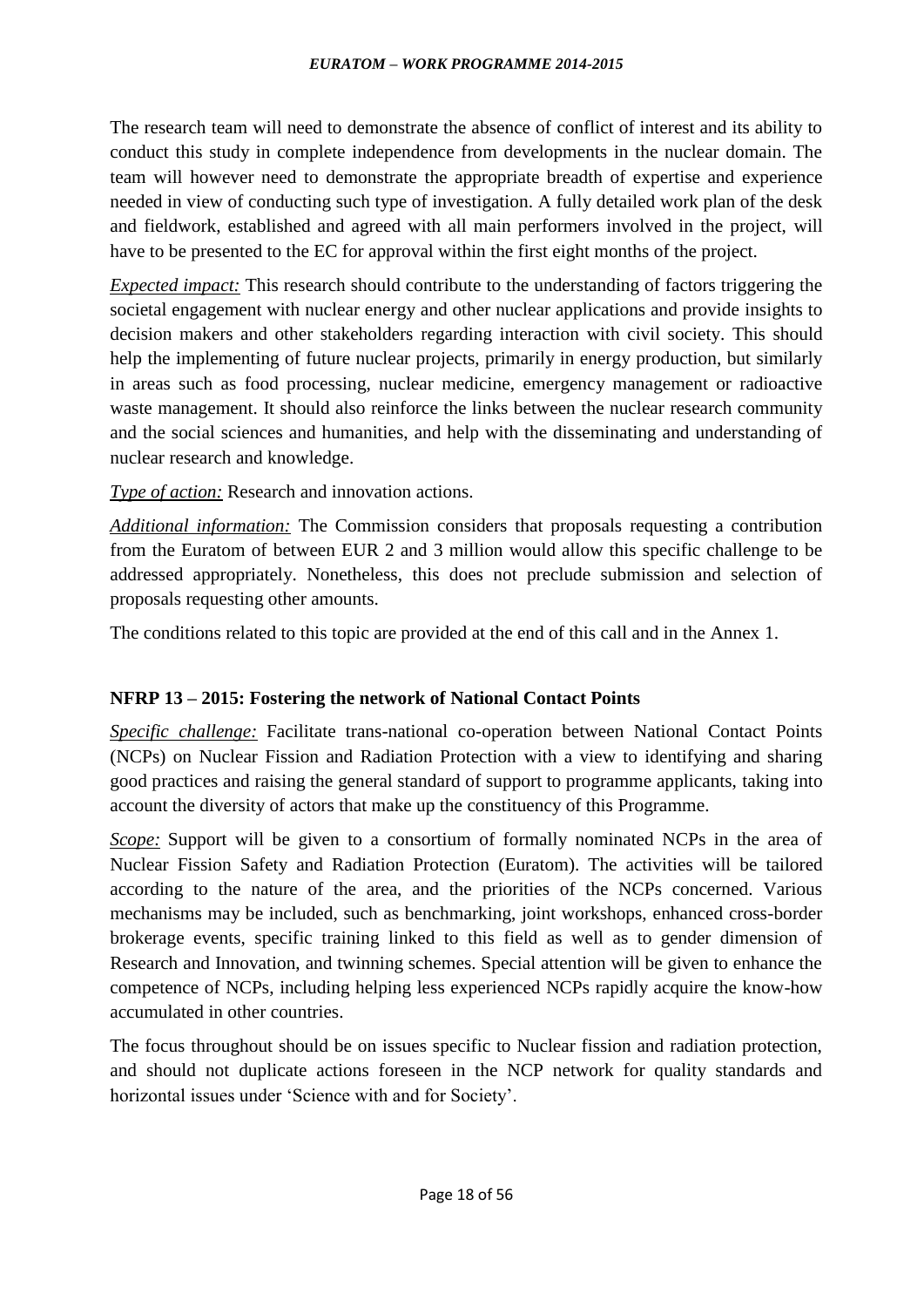The research team will need to demonstrate the absence of conflict of interest and its ability to conduct this study in complete independence from developments in the nuclear domain. The team will however need to demonstrate the appropriate breadth of expertise and experience needed in view of conducting such type of investigation. A fully detailed work plan of the desk and fieldwork, established and agreed with all main performers involved in the project, will have to be presented to the EC for approval within the first eight months of the project.

*Expected impact:* This research should contribute to the understanding of factors triggering the societal engagement with nuclear energy and other nuclear applications and provide insights to decision makers and other stakeholders regarding interaction with civil society. This should help the implementing of future nuclear projects, primarily in energy production, but similarly in areas such as food processing, nuclear medicine, emergency management or radioactive waste management. It should also reinforce the links between the nuclear research community and the social sciences and humanities, and help with the disseminating and understanding of nuclear research and knowledge.

*Type of action:* Research and innovation actions.

*Additional information:* The Commission considers that proposals requesting a contribution from the Euratom of between EUR 2 and 3 million would allow this specific challenge to be addressed appropriately. Nonetheless, this does not preclude submission and selection of proposals requesting other amounts.

The conditions related to this topic are provided at the end of this call and in the Annex 1.

# <span id="page-17-0"></span>**NFRP 13 – 2015: Fostering the network of National Contact Points**

*Specific challenge:* Facilitate trans-national co-operation between National Contact Points (NCPs) on Nuclear Fission and Radiation Protection with a view to identifying and sharing good practices and raising the general standard of support to programme applicants, taking into account the diversity of actors that make up the constituency of this Programme.

*Scope:* Support will be given to a consortium of formally nominated NCPs in the area of Nuclear Fission Safety and Radiation Protection (Euratom). The activities will be tailored according to the nature of the area, and the priorities of the NCPs concerned. Various mechanisms may be included, such as benchmarking, joint workshops, enhanced cross-border brokerage events, specific training linked to this field as well as to gender dimension of Research and Innovation, and twinning schemes. Special attention will be given to enhance the competence of NCPs, including helping less experienced NCPs rapidly acquire the know-how accumulated in other countries.

The focus throughout should be on issues specific to Nuclear fission and radiation protection, and should not duplicate actions foreseen in the NCP network for quality standards and horizontal issues under 'Science with and for Society'.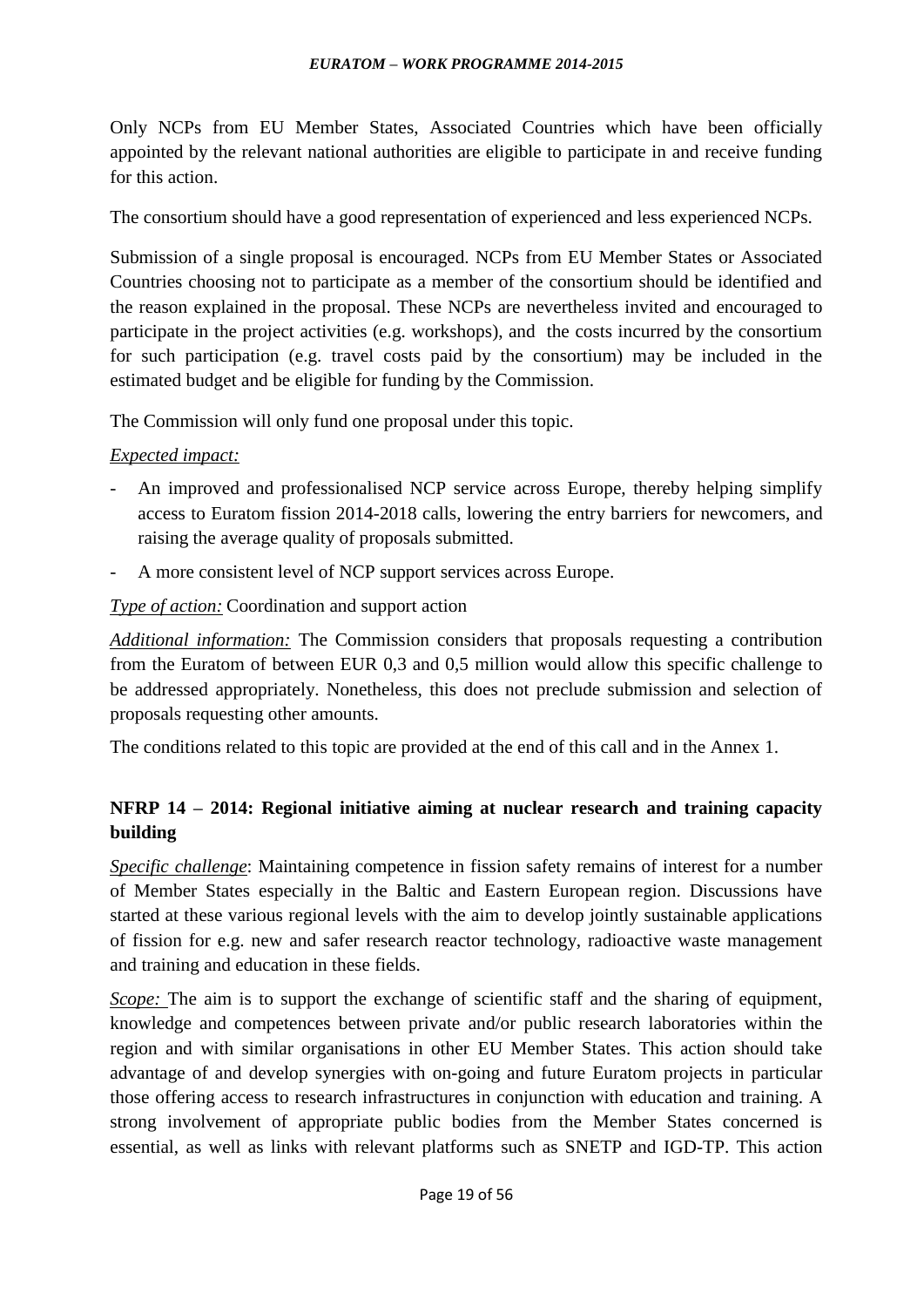Only NCPs from EU Member States, Associated Countries which have been officially appointed by the relevant national authorities are eligible to participate in and receive funding for this action.

The consortium should have a good representation of experienced and less experienced NCPs.

Submission of a single proposal is encouraged. NCPs from EU Member States or Associated Countries choosing not to participate as a member of the consortium should be identified and the reason explained in the proposal. These NCPs are nevertheless invited and encouraged to participate in the project activities (e.g. workshops), and the costs incurred by the consortium for such participation (e.g. travel costs paid by the consortium) may be included in the estimated budget and be eligible for funding by the Commission.

The Commission will only fund one proposal under this topic.

## *Expected impact:*

- An improved and professionalised NCP service across Europe, thereby helping simplify access to Euratom fission 2014-2018 calls, lowering the entry barriers for newcomers, and raising the average quality of proposals submitted.
- A more consistent level of NCP support services across Europe.

## *Type of action:* Coordination and support action

*Additional information:* The Commission considers that proposals requesting a contribution from the Euratom of between EUR 0,3 and 0,5 million would allow this specific challenge to be addressed appropriately. Nonetheless, this does not preclude submission and selection of proposals requesting other amounts.

The conditions related to this topic are provided at the end of this call and in the Annex 1.

# <span id="page-18-0"></span>**NFRP 14 – 2014: Regional initiative aiming at nuclear research and training capacity building**

*Specific challenge*: Maintaining competence in fission safety remains of interest for a number of Member States especially in the Baltic and Eastern European region. Discussions have started at these various regional levels with the aim to develop jointly sustainable applications of fission for e.g. new and safer research reactor technology, radioactive waste management and training and education in these fields.

*Scope:* The aim is to support the exchange of scientific staff and the sharing of equipment, knowledge and competences between private and/or public research laboratories within the region and with similar organisations in other EU Member States. This action should take advantage of and develop synergies with on-going and future Euratom projects in particular those offering access to research infrastructures in conjunction with education and training. A strong involvement of appropriate public bodies from the Member States concerned is essential, as well as links with relevant platforms such as SNETP and IGD-TP. This action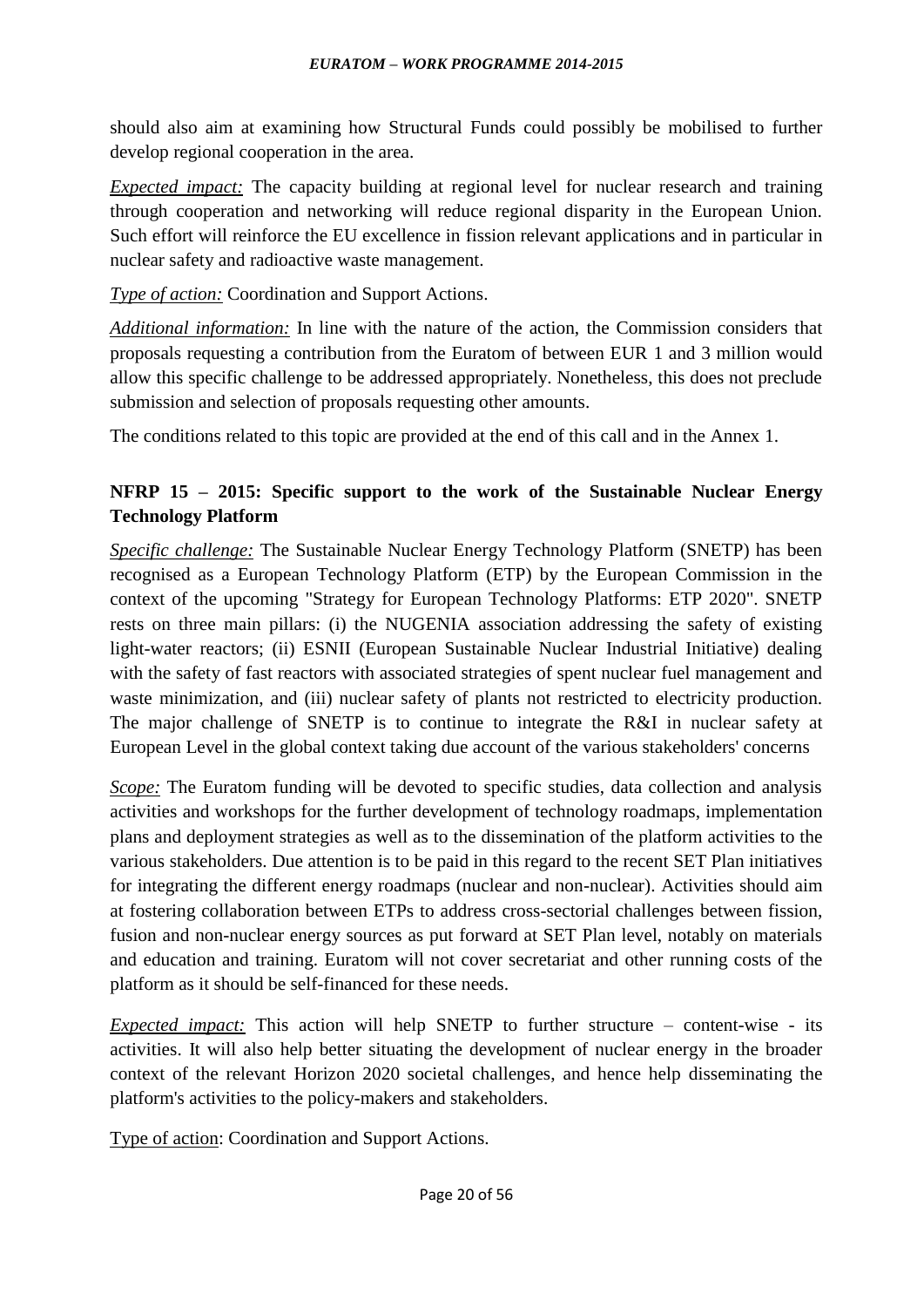should also aim at examining how Structural Funds could possibly be mobilised to further develop regional cooperation in the area.

*Expected impact:* The capacity building at regional level for nuclear research and training through cooperation and networking will reduce regional disparity in the European Union. Such effort will reinforce the EU excellence in fission relevant applications and in particular in nuclear safety and radioactive waste management.

*Type of action:* Coordination and Support Actions.

*Additional information:* In line with the nature of the action, the Commission considers that proposals requesting a contribution from the Euratom of between EUR 1 and 3 million would allow this specific challenge to be addressed appropriately. Nonetheless, this does not preclude submission and selection of proposals requesting other amounts.

The conditions related to this topic are provided at the end of this call and in the Annex 1.

# <span id="page-19-0"></span>**NFRP 15 – 2015: Specific support to the work of the Sustainable Nuclear Energy Technology Platform**

*Specific challenge:* The Sustainable Nuclear Energy Technology Platform (SNETP) has been recognised as a European Technology Platform (ETP) by the European Commission in the context of the upcoming "Strategy for European Technology Platforms: ETP 2020". SNETP rests on three main pillars: (i) the NUGENIA association addressing the safety of existing light-water reactors; (ii) ESNII (European Sustainable Nuclear Industrial Initiative) dealing with the safety of fast reactors with associated strategies of spent nuclear fuel management and waste minimization, and (iii) nuclear safety of plants not restricted to electricity production. The major challenge of SNETP is to continue to integrate the R&I in nuclear safety at European Level in the global context taking due account of the various stakeholders' concerns

*Scope:* The Euratom funding will be devoted to specific studies, data collection and analysis activities and workshops for the further development of technology roadmaps, implementation plans and deployment strategies as well as to the dissemination of the platform activities to the various stakeholders. Due attention is to be paid in this regard to the recent SET Plan initiatives for integrating the different energy roadmaps (nuclear and non-nuclear). Activities should aim at fostering collaboration between ETPs to address cross-sectorial challenges between fission, fusion and non-nuclear energy sources as put forward at SET Plan level, notably on materials and education and training. Euratom will not cover secretariat and other running costs of the platform as it should be self-financed for these needs.

*Expected impact:* This action will help SNETP to further structure – content-wise - its activities. It will also help better situating the development of nuclear energy in the broader context of the relevant Horizon 2020 societal challenges, and hence help disseminating the platform's activities to the policy-makers and stakeholders.

Type of action: Coordination and Support Actions.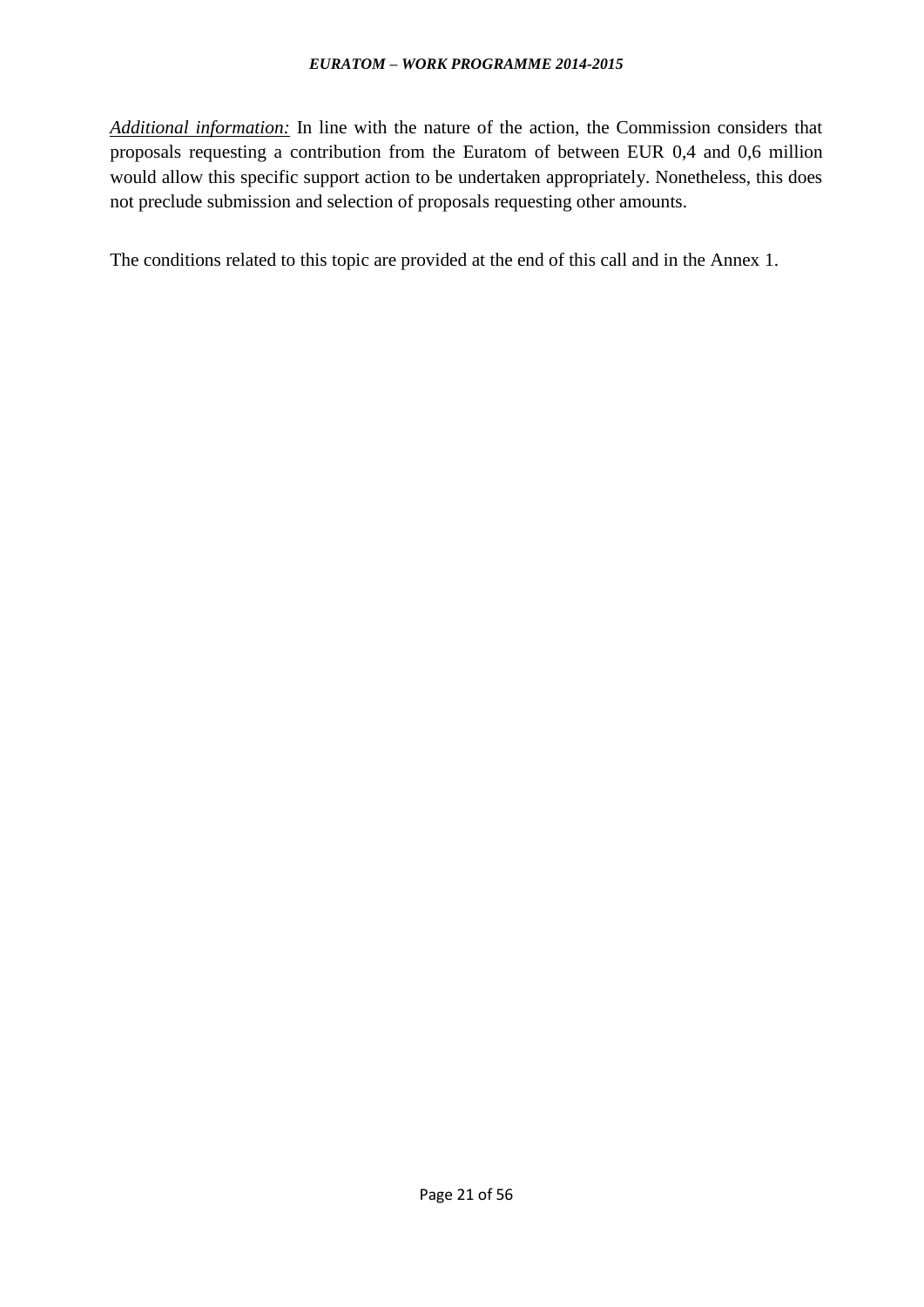*Additional information:* In line with the nature of the action, the Commission considers that proposals requesting a contribution from the Euratom of between EUR 0,4 and 0,6 million would allow this specific support action to be undertaken appropriately. Nonetheless, this does not preclude submission and selection of proposals requesting other amounts.

The conditions related to this topic are provided at the end of this call and in the Annex 1.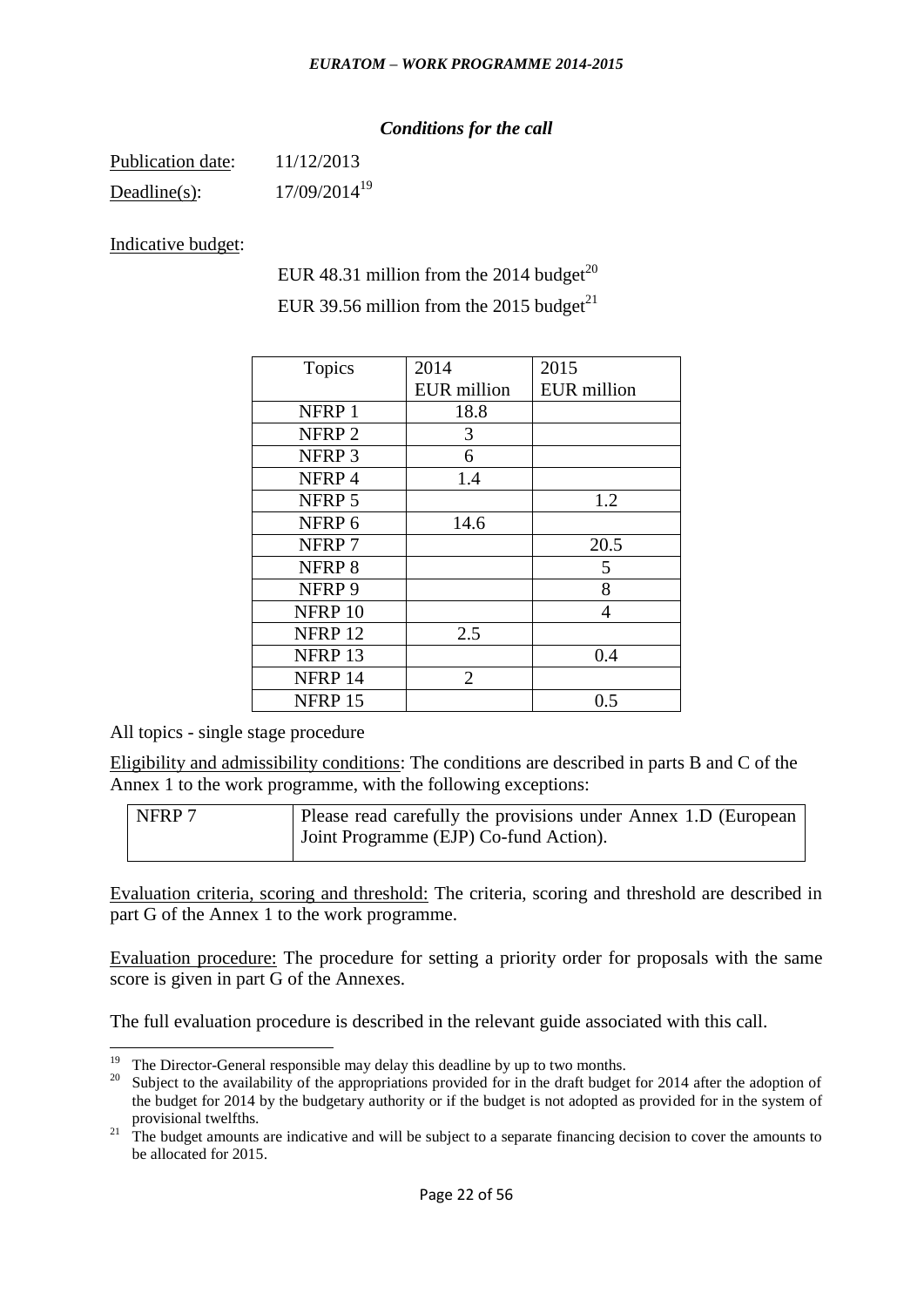### *EURATOM – WORK PROGRAMME 2014-2015*

## *Conditions for the call*

<span id="page-21-0"></span>

| Publication date: | 11/12/2013        |
|-------------------|-------------------|
| $Deadline(s)$ :   | $17/09/2014^{19}$ |

Indicative budget:

EUR 48.31 million from the 2014 budget<sup>20</sup> EUR 39.56 million from the 2015 budget<sup>21</sup>

| <b>Topics</b>      | 2014               | 2015               |
|--------------------|--------------------|--------------------|
|                    | <b>EUR</b> million | <b>EUR</b> million |
| NFRP 1             | 18.8               |                    |
| NFRP <sub>2</sub>  | 3                  |                    |
| NFRP 3             | 6                  |                    |
| NFRP 4             | 1.4                |                    |
| NFRP 5             |                    | 1.2                |
| NFRP <sub>6</sub>  | 14.6               |                    |
| NFRP <sub>7</sub>  |                    | 20.5               |
| NFRP 8             |                    | 5                  |
| NFRP 9             |                    | 8                  |
| NFRP <sub>10</sub> |                    | 4                  |
| NFRP <sub>12</sub> | 2.5                |                    |
| NFRP <sub>13</sub> |                    | 0.4                |
| NFRP <sub>14</sub> | $\overline{2}$     |                    |
| NFRP <sub>15</sub> |                    | 0.5                |

All topics - single stage procedure

Eligibility and admissibility conditions: The conditions are described in parts B and C of the Annex 1 to the work programme, with the following exceptions:

| NFRP 7 | Please read carefully the provisions under Annex 1.D (European |
|--------|----------------------------------------------------------------|
|        | Joint Programme (EJP) Co-fund Action).                         |

Evaluation criteria, scoring and threshold: The criteria, scoring and threshold are described in part G of the Annex 1 to the work programme.

Evaluation procedure: The procedure for setting a priority order for proposals with the same score is given in part G of the Annexes.

The full evaluation procedure is described in the relevant guide associated with this call.

<sup>19</sup> <sup>19</sup> The Director-General responsible may delay this deadline by up to two months.<br><sup>20</sup> Subject to the availability of the appropriations provided for in the draft budget

Subject to the availability of the appropriations provided for in the draft budget for 2014 after the adoption of the budget for 2014 by the budgetary authority or if the budget is not adopted as provided for in the system of provisional twelfths.

<sup>&</sup>lt;sup>21</sup> The budget amounts are indicative and will be subject to a separate financing decision to cover the amounts to be allocated for 2015.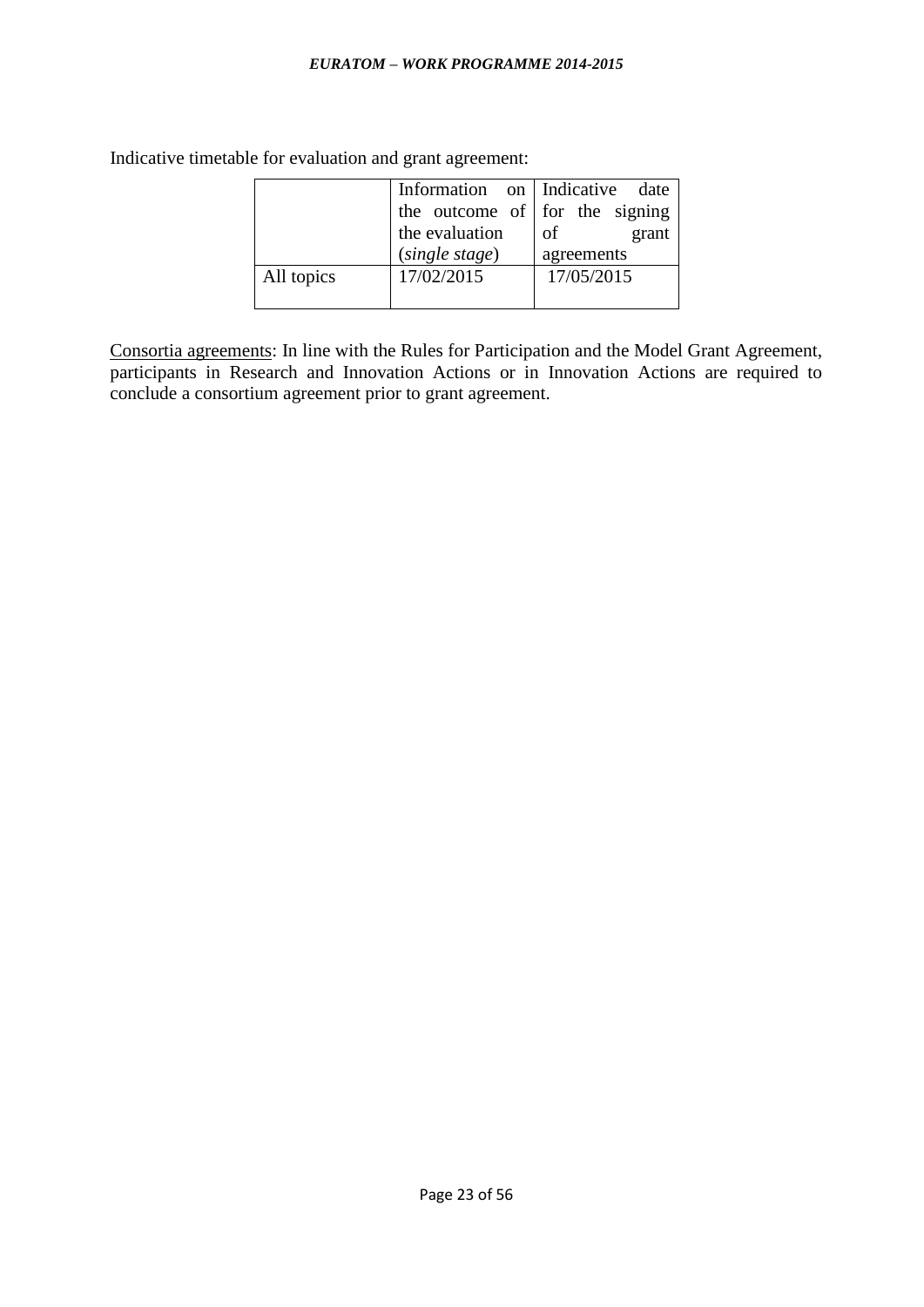|            | Information on Indicative date         |             |  |
|------------|----------------------------------------|-------------|--|
|            | the outcome of $\vert$ for the signing |             |  |
|            | the evaluation                         | of<br>grant |  |
|            | (single stage)                         | agreements  |  |
| All topics | 17/02/2015                             | 17/05/2015  |  |
|            |                                        |             |  |

Indicative timetable for evaluation and grant agreement:

Consortia agreements: In line with the Rules for Participation and the Model Grant Agreement, participants in Research and Innovation Actions or in Innovation Actions are required to conclude a consortium agreement prior to grant agreement.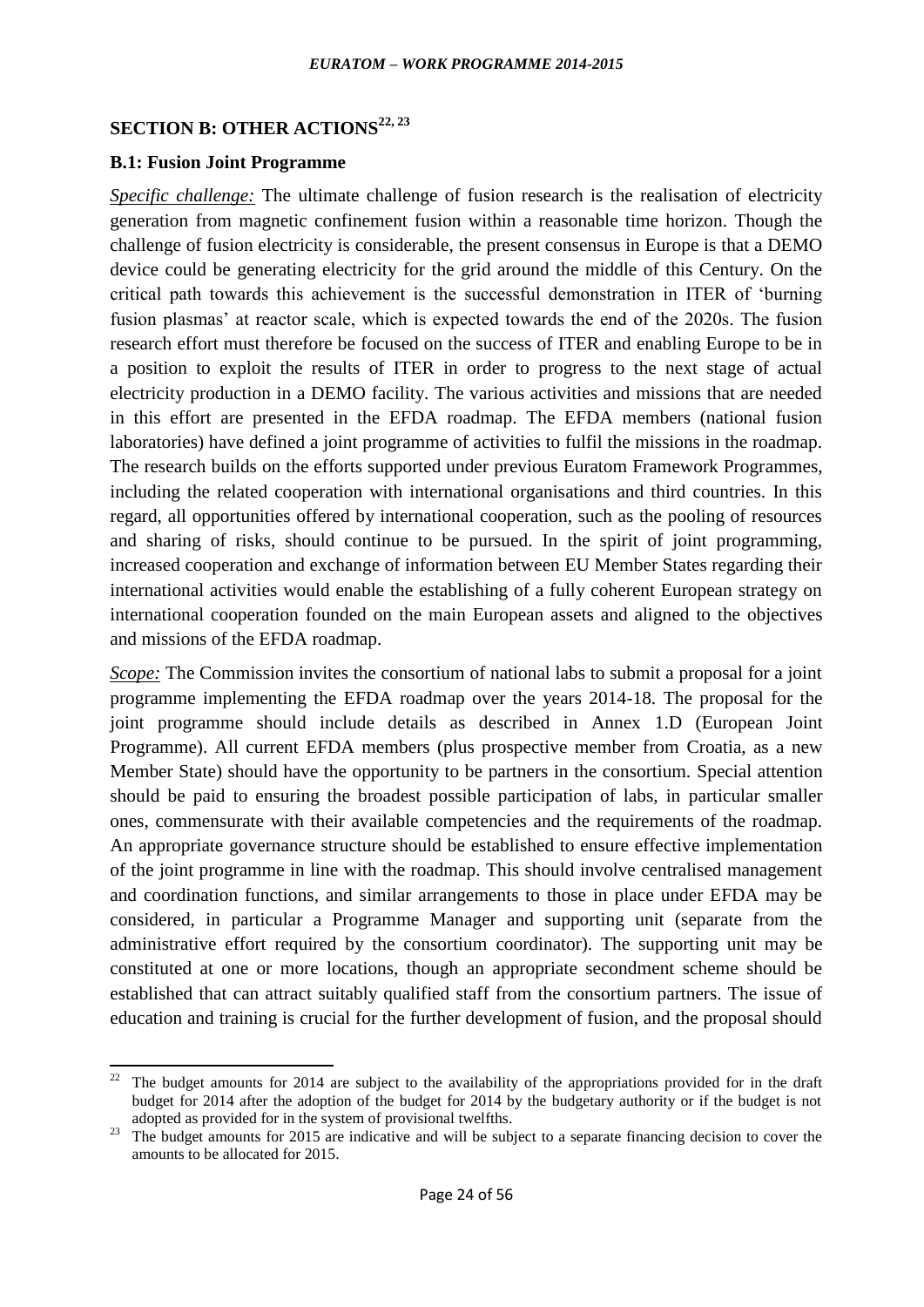## <span id="page-23-0"></span>**SECTION B: OTHER ACTIONS22, <sup>23</sup>**

### <span id="page-23-1"></span>**B.1: Fusion Joint Programme**

*Specific challenge:* The ultimate challenge of fusion research is the realisation of electricity generation from magnetic confinement fusion within a reasonable time horizon. Though the challenge of fusion electricity is considerable, the present consensus in Europe is that a DEMO device could be generating electricity for the grid around the middle of this Century. On the critical path towards this achievement is the successful demonstration in ITER of 'burning fusion plasmas' at reactor scale, which is expected towards the end of the 2020s. The fusion research effort must therefore be focused on the success of ITER and enabling Europe to be in a position to exploit the results of ITER in order to progress to the next stage of actual electricity production in a DEMO facility. The various activities and missions that are needed in this effort are presented in the EFDA roadmap. The EFDA members (national fusion laboratories) have defined a joint programme of activities to fulfil the missions in the roadmap. The research builds on the efforts supported under previous Euratom Framework Programmes, including the related cooperation with international organisations and third countries. In this regard, all opportunities offered by international cooperation, such as the pooling of resources and sharing of risks, should continue to be pursued. In the spirit of joint programming, increased cooperation and exchange of information between EU Member States regarding their international activities would enable the establishing of a fully coherent European strategy on international cooperation founded on the main European assets and aligned to the objectives and missions of the EFDA roadmap.

*Scope:* The Commission invites the consortium of national labs to submit a proposal for a joint programme implementing the EFDA roadmap over the years 2014-18. The proposal for the joint programme should include details as described in Annex 1.D (European Joint Programme). All current EFDA members (plus prospective member from Croatia, as a new Member State) should have the opportunity to be partners in the consortium. Special attention should be paid to ensuring the broadest possible participation of labs, in particular smaller ones, commensurate with their available competencies and the requirements of the roadmap. An appropriate governance structure should be established to ensure effective implementation of the joint programme in line with the roadmap. This should involve centralised management and coordination functions, and similar arrangements to those in place under EFDA may be considered, in particular a Programme Manager and supporting unit (separate from the administrative effort required by the consortium coordinator). The supporting unit may be constituted at one or more locations, though an appropriate secondment scheme should be established that can attract suitably qualified staff from the consortium partners. The issue of education and training is crucial for the further development of fusion, and the proposal should

 $22\,$ <sup>22</sup> The budget amounts for 2014 are subject to the availability of the appropriations provided for in the draft budget for 2014 after the adoption of the budget for 2014 by the budgetary authority or if the budget is not adopted as provided for in the system of provisional twelfths.

<sup>&</sup>lt;sup>23</sup> The budget amounts for 2015 are indicative and will be subject to a separate financing decision to cover the amounts to be allocated for 2015.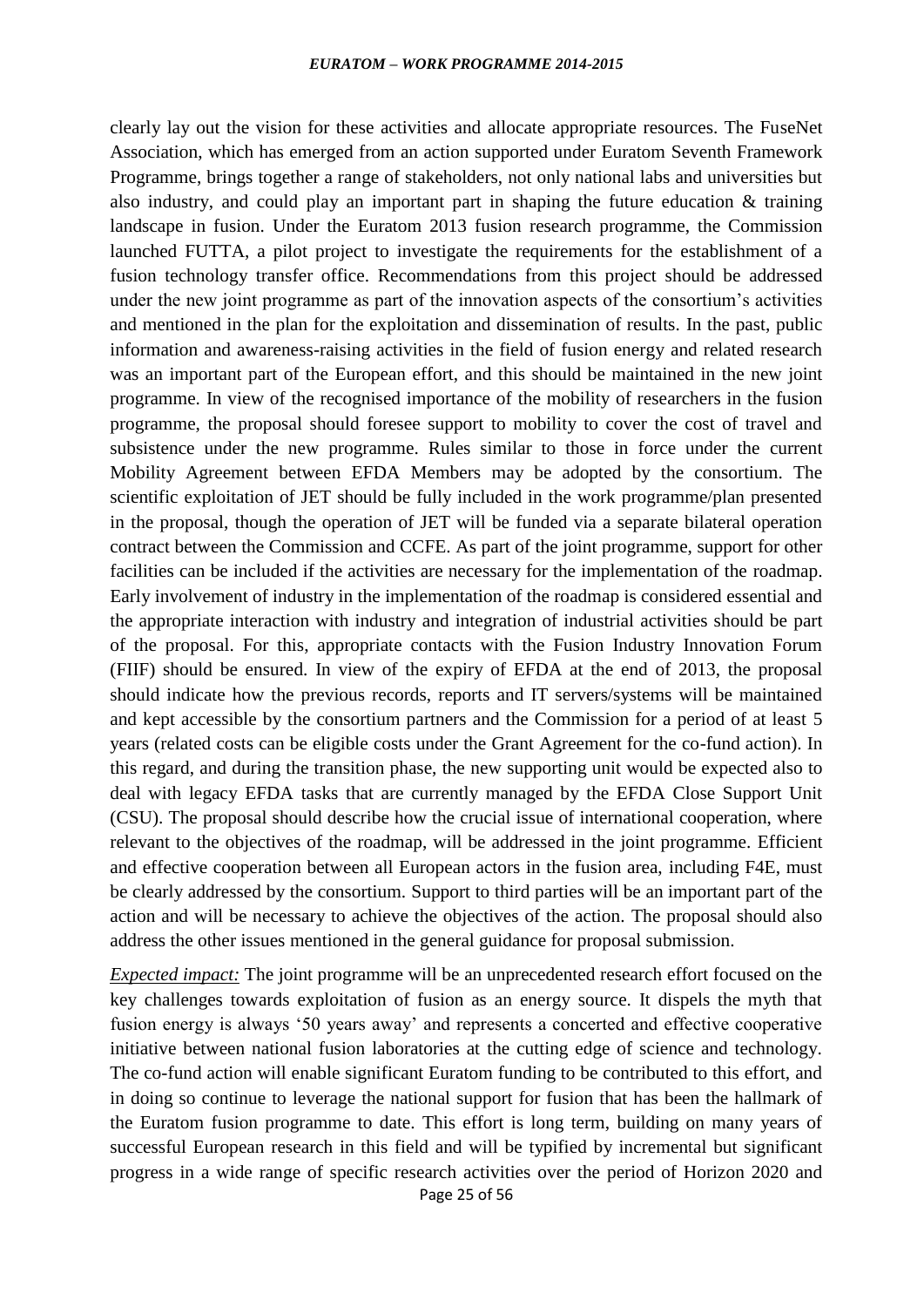clearly lay out the vision for these activities and allocate appropriate resources. The FuseNet Association, which has emerged from an action supported under Euratom Seventh Framework Programme, brings together a range of stakeholders, not only national labs and universities but also industry, and could play an important part in shaping the future education & training landscape in fusion. Under the Euratom 2013 fusion research programme, the Commission launched FUTTA, a pilot project to investigate the requirements for the establishment of a fusion technology transfer office. Recommendations from this project should be addressed under the new joint programme as part of the innovation aspects of the consortium's activities and mentioned in the plan for the exploitation and dissemination of results. In the past, public information and awareness-raising activities in the field of fusion energy and related research was an important part of the European effort, and this should be maintained in the new joint programme. In view of the recognised importance of the mobility of researchers in the fusion programme, the proposal should foresee support to mobility to cover the cost of travel and subsistence under the new programme. Rules similar to those in force under the current Mobility Agreement between EFDA Members may be adopted by the consortium. The scientific exploitation of JET should be fully included in the work programme/plan presented in the proposal, though the operation of JET will be funded via a separate bilateral operation contract between the Commission and CCFE. As part of the joint programme, support for other facilities can be included if the activities are necessary for the implementation of the roadmap. Early involvement of industry in the implementation of the roadmap is considered essential and the appropriate interaction with industry and integration of industrial activities should be part of the proposal. For this, appropriate contacts with the Fusion Industry Innovation Forum (FIIF) should be ensured. In view of the expiry of EFDA at the end of 2013, the proposal should indicate how the previous records, reports and IT servers/systems will be maintained and kept accessible by the consortium partners and the Commission for a period of at least 5 years (related costs can be eligible costs under the Grant Agreement for the co-fund action). In this regard, and during the transition phase, the new supporting unit would be expected also to deal with legacy EFDA tasks that are currently managed by the EFDA Close Support Unit (CSU). The proposal should describe how the crucial issue of international cooperation, where relevant to the objectives of the roadmap, will be addressed in the joint programme. Efficient and effective cooperation between all European actors in the fusion area, including F4E, must be clearly addressed by the consortium. Support to third parties will be an important part of the action and will be necessary to achieve the objectives of the action. The proposal should also address the other issues mentioned in the general guidance for proposal submission.

Page 25 of 56 *Expected impact:* The joint programme will be an unprecedented research effort focused on the key challenges towards exploitation of fusion as an energy source. It dispels the myth that fusion energy is always '50 years away' and represents a concerted and effective cooperative initiative between national fusion laboratories at the cutting edge of science and technology. The co-fund action will enable significant Euratom funding to be contributed to this effort, and in doing so continue to leverage the national support for fusion that has been the hallmark of the Euratom fusion programme to date. This effort is long term, building on many years of successful European research in this field and will be typified by incremental but significant progress in a wide range of specific research activities over the period of Horizon 2020 and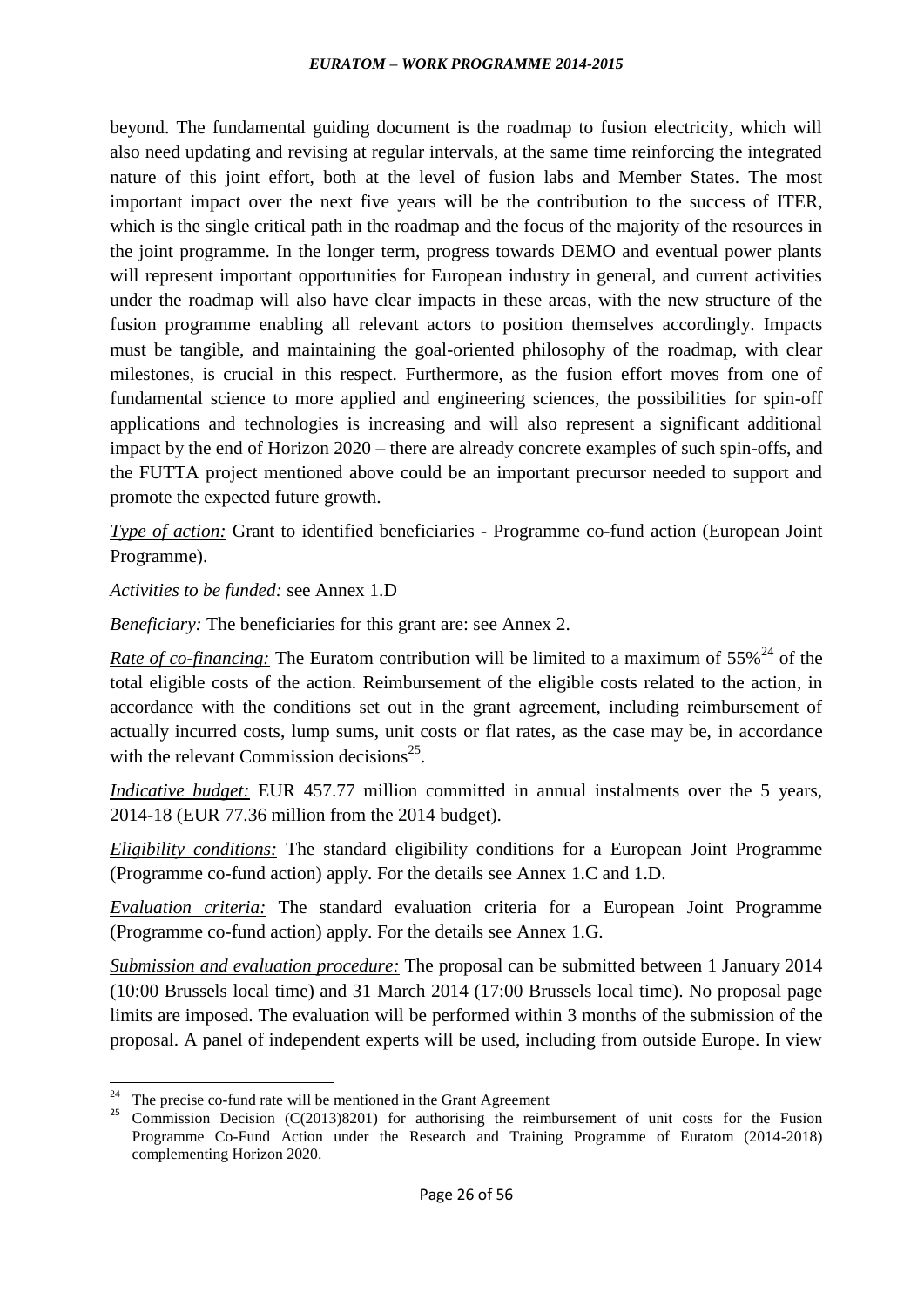beyond. The fundamental guiding document is the roadmap to fusion electricity, which will also need updating and revising at regular intervals, at the same time reinforcing the integrated nature of this joint effort, both at the level of fusion labs and Member States. The most important impact over the next five years will be the contribution to the success of ITER, which is the single critical path in the roadmap and the focus of the majority of the resources in the joint programme. In the longer term, progress towards DEMO and eventual power plants will represent important opportunities for European industry in general, and current activities under the roadmap will also have clear impacts in these areas, with the new structure of the fusion programme enabling all relevant actors to position themselves accordingly. Impacts must be tangible, and maintaining the goal-oriented philosophy of the roadmap, with clear milestones, is crucial in this respect. Furthermore, as the fusion effort moves from one of fundamental science to more applied and engineering sciences, the possibilities for spin-off applications and technologies is increasing and will also represent a significant additional impact by the end of Horizon 2020 – there are already concrete examples of such spin-offs, and the FUTTA project mentioned above could be an important precursor needed to support and promote the expected future growth.

*Type of action:* Grant to identified beneficiaries - Programme co-fund action (European Joint Programme).

*Activities to be funded:* see Annex 1.D

*Beneficiary:* The beneficiaries for this grant are: see Annex 2.

*Rate of co-financing:* The Euratom contribution will be limited to a maximum of 55%<sup>24</sup> of the total eligible costs of the action. Reimbursement of the eligible costs related to the action, in accordance with the conditions set out in the grant agreement, including reimbursement of actually incurred costs, lump sums, unit costs or flat rates, as the case may be, in accordance with the relevant Commission decisions<sup>25</sup>.

*Indicative budget:* EUR 457.77 million committed in annual instalments over the 5 years, 2014-18 (EUR 77.36 million from the 2014 budget).

*Eligibility conditions:* The standard eligibility conditions for a European Joint Programme (Programme co-fund action) apply. For the details see Annex 1.C and 1.D.

*Evaluation criteria:* The standard evaluation criteria for a European Joint Programme (Programme co-fund action) apply. For the details see Annex 1.G.

*Submission and evaluation procedure:* The proposal can be submitted between 1 January 2014 (10:00 Brussels local time) and 31 March 2014 (17:00 Brussels local time). No proposal page limits are imposed. The evaluation will be performed within 3 months of the submission of the proposal. A panel of independent experts will be used, including from outside Europe. In view

 $\overline{\phantom{a}}$ 

 $24$  The precise co-fund rate will be mentioned in the Grant Agreement

<sup>&</sup>lt;sup>25</sup> Commission Decision (C(2013)8201) for authorising the reimbursement of unit costs for the Fusion Programme Co-Fund Action under the Research and Training Programme of Euratom (2014-2018) complementing Horizon 2020.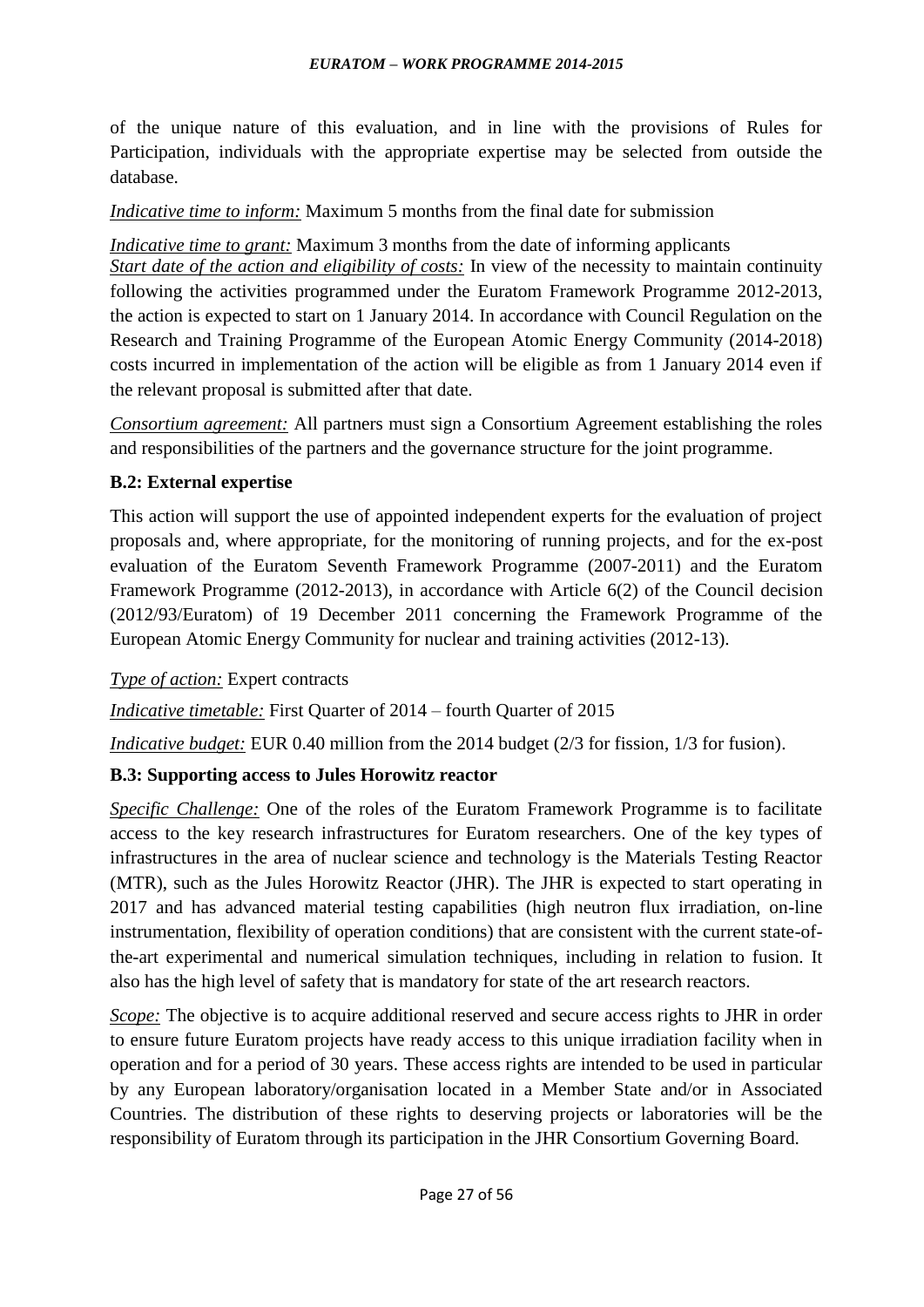of the unique nature of this evaluation, and in line with the provisions of Rules for Participation, individuals with the appropriate expertise may be selected from outside the database.

*Indicative time to inform:* Maximum 5 months from the final date for submission

*Indicative time to grant:* Maximum 3 months from the date of informing applicants *Start date of the action and eligibility of costs:* In view of the necessity to maintain continuity following the activities programmed under the Euratom Framework Programme 2012-2013, the action is expected to start on 1 January 2014. In accordance with Council Regulation on the Research and Training Programme of the European Atomic Energy Community (2014-2018) costs incurred in implementation of the action will be eligible as from 1 January 2014 even if the relevant proposal is submitted after that date.

*Consortium agreement:* All partners must sign a Consortium Agreement establishing the roles and responsibilities of the partners and the governance structure for the joint programme.

## <span id="page-26-0"></span>**B.2: External expertise**

This action will support the use of appointed independent experts for the evaluation of project proposals and, where appropriate, for the monitoring of running projects, and for the ex-post evaluation of the Euratom Seventh Framework Programme (2007-2011) and the Euratom Framework Programme (2012-2013), in accordance with Article 6(2) of the Council decision (2012/93/Euratom) of 19 December 2011 concerning the Framework Programme of the European Atomic Energy Community for nuclear and training activities (2012-13).

## *Type of action:* Expert contracts

*Indicative timetable:* First Quarter of 2014 – fourth Quarter of 2015

*Indicative budget:* EUR 0.40 million from the 2014 budget (2/3 for fission, 1/3 for fusion).

# <span id="page-26-1"></span>**B.3: Supporting access to Jules Horowitz reactor**

*Specific Challenge:* One of the roles of the Euratom Framework Programme is to facilitate access to the key research infrastructures for Euratom researchers. One of the key types of infrastructures in the area of nuclear science and technology is the Materials Testing Reactor (MTR), such as the Jules Horowitz Reactor (JHR). The JHR is expected to start operating in 2017 and has advanced material testing capabilities (high neutron flux irradiation, on-line instrumentation, flexibility of operation conditions) that are consistent with the current state-ofthe-art experimental and numerical simulation techniques, including in relation to fusion. It also has the high level of safety that is mandatory for state of the art research reactors.

*Scope:* The objective is to acquire additional reserved and secure access rights to JHR in order to ensure future Euratom projects have ready access to this unique irradiation facility when in operation and for a period of 30 years. These access rights are intended to be used in particular by any European laboratory/organisation located in a Member State and/or in Associated Countries. The distribution of these rights to deserving projects or laboratories will be the responsibility of Euratom through its participation in the JHR Consortium Governing Board.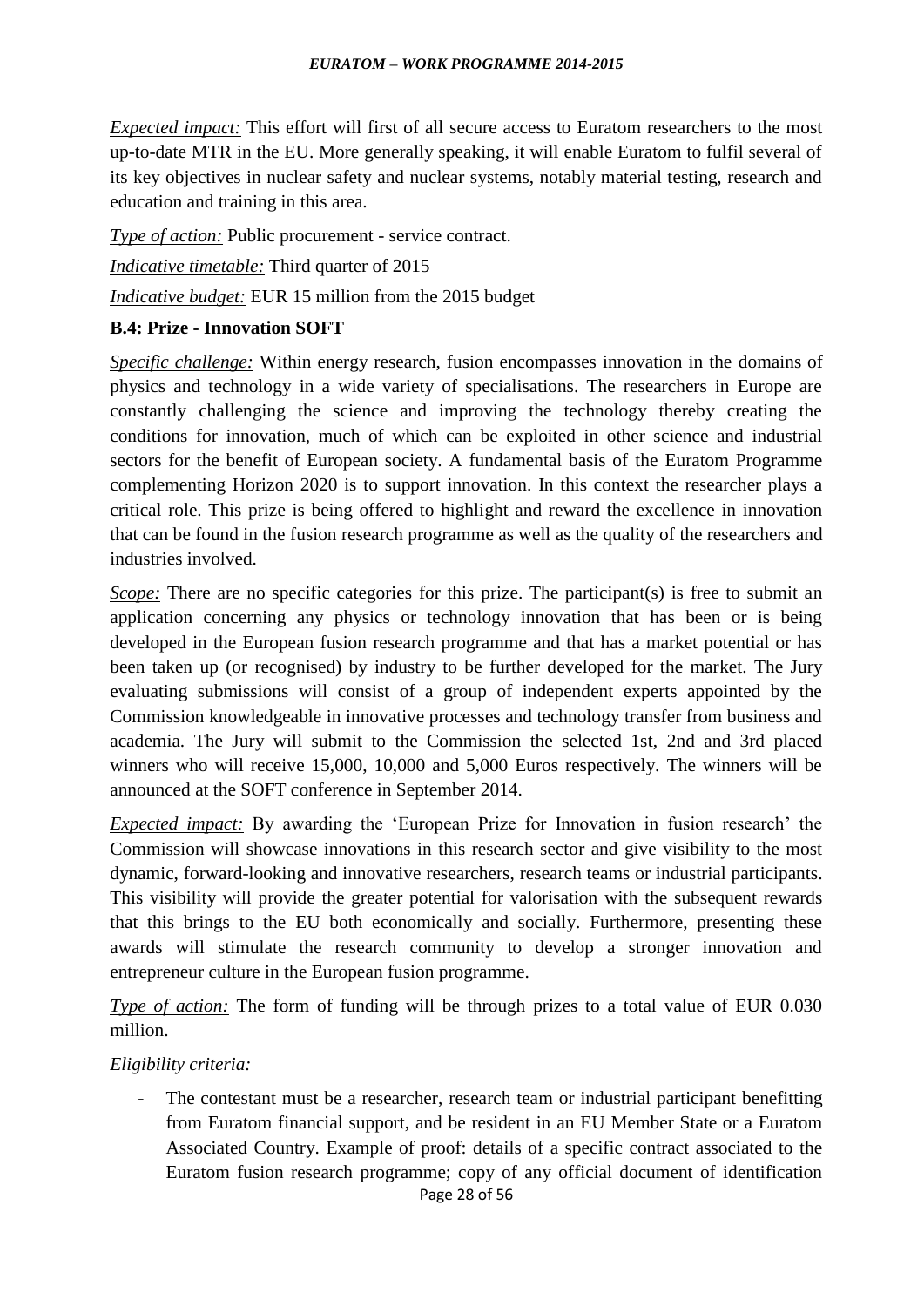*Expected impact:* This effort will first of all secure access to Euratom researchers to the most up-to-date MTR in the EU. More generally speaking, it will enable Euratom to fulfil several of its key objectives in nuclear safety and nuclear systems, notably material testing, research and education and training in this area.

*Type of action:* Public procurement - service contract.

*Indicative timetable:* Third quarter of 2015

*Indicative budget:* EUR 15 million from the 2015 budget

## <span id="page-27-0"></span>**B.4: Prize - Innovation SOFT**

*Specific challenge:* Within energy research, fusion encompasses innovation in the domains of physics and technology in a wide variety of specialisations. The researchers in Europe are constantly challenging the science and improving the technology thereby creating the conditions for innovation, much of which can be exploited in other science and industrial sectors for the benefit of European society. A fundamental basis of the Euratom Programme complementing Horizon 2020 is to support innovation. In this context the researcher plays a critical role. This prize is being offered to highlight and reward the excellence in innovation that can be found in the fusion research programme as well as the quality of the researchers and industries involved.

*Scope:* There are no specific categories for this prize. The participant(s) is free to submit an application concerning any physics or technology innovation that has been or is being developed in the European fusion research programme and that has a market potential or has been taken up (or recognised) by industry to be further developed for the market. The Jury evaluating submissions will consist of a group of independent experts appointed by the Commission knowledgeable in innovative processes and technology transfer from business and academia. The Jury will submit to the Commission the selected 1st, 2nd and 3rd placed winners who will receive 15,000, 10,000 and 5,000 Euros respectively. The winners will be announced at the SOFT conference in September 2014.

*Expected impact:* By awarding the 'European Prize for Innovation in fusion research' the Commission will showcase innovations in this research sector and give visibility to the most dynamic, forward-looking and innovative researchers, research teams or industrial participants. This visibility will provide the greater potential for valorisation with the subsequent rewards that this brings to the EU both economically and socially. Furthermore, presenting these awards will stimulate the research community to develop a stronger innovation and entrepreneur culture in the European fusion programme.

*Type of action:* The form of funding will be through prizes to a total value of EUR 0.030 million.

## *Eligibility criteria:*

Page 28 of 56 The contestant must be a researcher, research team or industrial participant benefitting from Euratom financial support, and be resident in an EU Member State or a Euratom Associated Country. Example of proof: details of a specific contract associated to the Euratom fusion research programme; copy of any official document of identification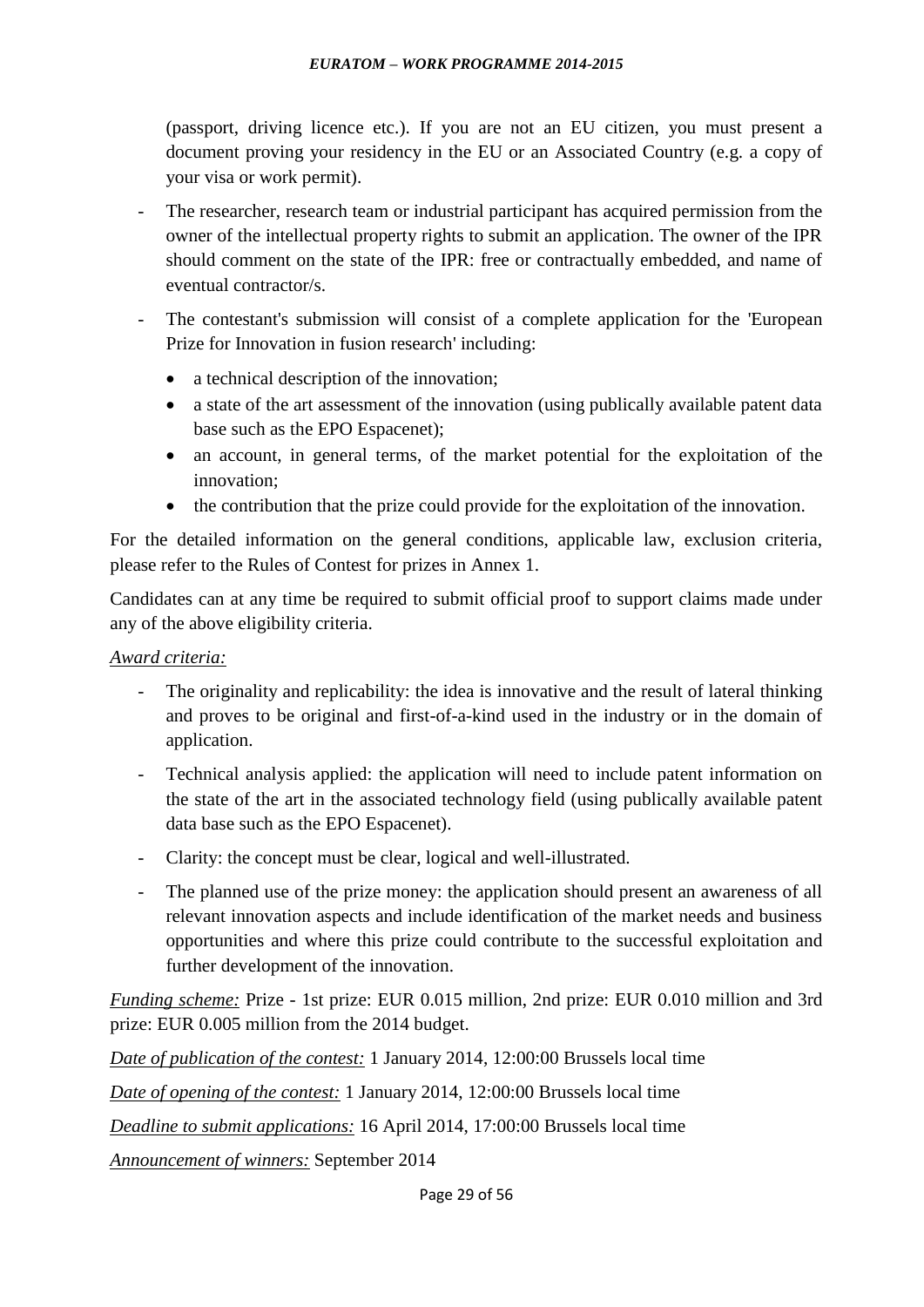(passport, driving licence etc.). If you are not an EU citizen, you must present a document proving your residency in the EU or an Associated Country (e.g. a copy of your visa or work permit).

- The researcher, research team or industrial participant has acquired permission from the owner of the intellectual property rights to submit an application. The owner of the IPR should comment on the state of the IPR: free or contractually embedded, and name of eventual contractor/s.
- The contestant's submission will consist of a complete application for the 'European Prize for Innovation in fusion research' including:
	- a technical description of the innovation;
	- a state of the art assessment of the innovation (using publically available patent data base such as the EPO Espacenet);
	- an account, in general terms, of the market potential for the exploitation of the innovation;
	- the contribution that the prize could provide for the exploitation of the innovation.

For the detailed information on the general conditions, applicable law, exclusion criteria, please refer to the Rules of Contest for prizes in Annex 1.

Candidates can at any time be required to submit official proof to support claims made under any of the above eligibility criteria.

*Award criteria:* 

- The originality and replicability: the idea is innovative and the result of lateral thinking and proves to be original and first-of-a-kind used in the industry or in the domain of application.
- Technical analysis applied: the application will need to include patent information on the state of the art in the associated technology field (using publically available patent data base such as the EPO Espacenet).
- Clarity: the concept must be clear, logical and well-illustrated.
- The planned use of the prize money: the application should present an awareness of all relevant innovation aspects and include identification of the market needs and business opportunities and where this prize could contribute to the successful exploitation and further development of the innovation.

*Funding scheme:* Prize - 1st prize: EUR 0.015 million, 2nd prize: EUR 0.010 million and 3rd prize: EUR 0.005 million from the 2014 budget.

*Date of publication of the contest:* 1 January 2014, 12:00:00 Brussels local time

*Date of opening of the contest:* 1 January 2014, 12:00:00 Brussels local time

*Deadline to submit applications:* 16 April 2014, 17:00:00 Brussels local time

*Announcement of winners:* September 2014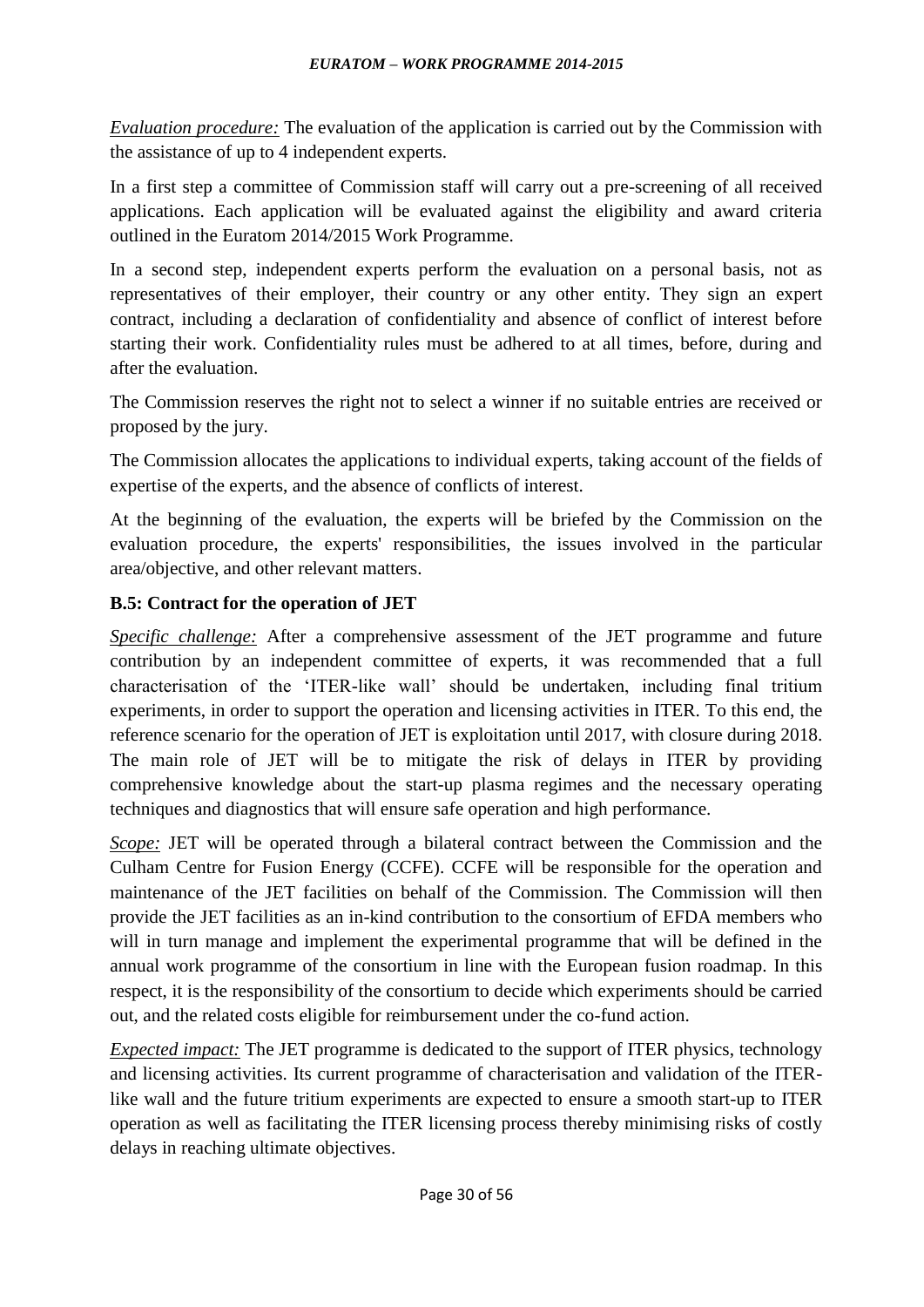*Evaluation procedure:* The evaluation of the application is carried out by the Commission with the assistance of up to 4 independent experts.

In a first step a committee of Commission staff will carry out a pre-screening of all received applications. Each application will be evaluated against the eligibility and award criteria outlined in the Euratom 2014/2015 Work Programme.

In a second step, independent experts perform the evaluation on a personal basis, not as representatives of their employer, their country or any other entity. They sign an expert contract, including a declaration of confidentiality and absence of conflict of interest before starting their work. Confidentiality rules must be adhered to at all times, before, during and after the evaluation.

The Commission reserves the right not to select a winner if no suitable entries are received or proposed by the jury.

The Commission allocates the applications to individual experts, taking account of the fields of expertise of the experts, and the absence of conflicts of interest.

At the beginning of the evaluation, the experts will be briefed by the Commission on the evaluation procedure, the experts' responsibilities, the issues involved in the particular area/objective, and other relevant matters.

# <span id="page-29-0"></span>**B.5: Contract for the operation of JET**

*Specific challenge:* After a comprehensive assessment of the JET programme and future contribution by an independent committee of experts, it was recommended that a full characterisation of the 'ITER-like wall' should be undertaken, including final tritium experiments, in order to support the operation and licensing activities in ITER. To this end, the reference scenario for the operation of JET is exploitation until 2017, with closure during 2018. The main role of JET will be to mitigate the risk of delays in ITER by providing comprehensive knowledge about the start-up plasma regimes and the necessary operating techniques and diagnostics that will ensure safe operation and high performance.

*Scope:* JET will be operated through a bilateral contract between the Commission and the Culham Centre for Fusion Energy (CCFE). CCFE will be responsible for the operation and maintenance of the JET facilities on behalf of the Commission. The Commission will then provide the JET facilities as an in-kind contribution to the consortium of EFDA members who will in turn manage and implement the experimental programme that will be defined in the annual work programme of the consortium in line with the European fusion roadmap. In this respect, it is the responsibility of the consortium to decide which experiments should be carried out, and the related costs eligible for reimbursement under the co-fund action.

*Expected impact:* The JET programme is dedicated to the support of ITER physics, technology and licensing activities. Its current programme of characterisation and validation of the ITERlike wall and the future tritium experiments are expected to ensure a smooth start-up to ITER operation as well as facilitating the ITER licensing process thereby minimising risks of costly delays in reaching ultimate objectives.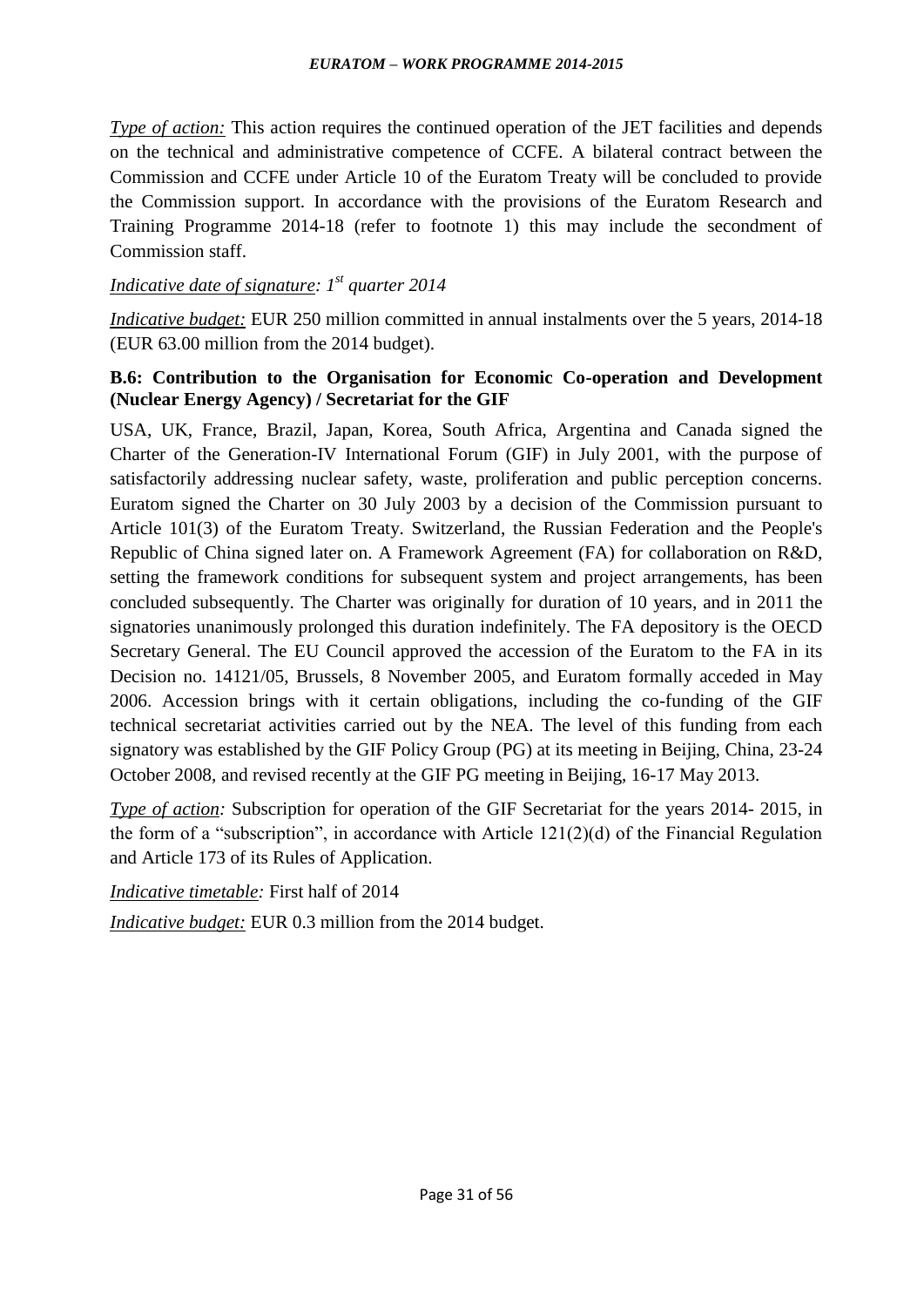*Type of action:* This action requires the continued operation of the JET facilities and depends on the technical and administrative competence of CCFE. A bilateral contract between the Commission and CCFE under Article 10 of the Euratom Treaty will be concluded to provide the Commission support. In accordance with the provisions of the Euratom Research and Training Programme 2014-18 (refer to footnote 1) this may include the secondment of Commission staff.

## *Indicative date of signature: 1 st quarter 2014*

*Indicative budget:* EUR 250 million committed in annual instalments over the 5 years, 2014-18 (EUR 63.00 million from the 2014 budget).

## <span id="page-30-0"></span>**B.6: Contribution to the Organisation for Economic Co-operation and Development (Nuclear Energy Agency) / Secretariat for the GIF**

USA, UK, France, Brazil, Japan, Korea, South Africa, Argentina and Canada signed the Charter of the Generation-IV International Forum (GIF) in July 2001, with the purpose of satisfactorily addressing nuclear safety, waste, proliferation and public perception concerns. Euratom signed the Charter on 30 July 2003 by a decision of the Commission pursuant to Article 101(3) of the Euratom Treaty. Switzerland, the Russian Federation and the People's Republic of China signed later on. A Framework Agreement (FA) for collaboration on R&D, setting the framework conditions for subsequent system and project arrangements, has been concluded subsequently. The Charter was originally for duration of 10 years, and in 2011 the signatories unanimously prolonged this duration indefinitely. The FA depository is the OECD Secretary General. The EU Council approved the accession of the Euratom to the FA in its Decision no. 14121/05, Brussels, 8 November 2005, and Euratom formally acceded in May 2006. Accession brings with it certain obligations, including the co-funding of the GIF technical secretariat activities carried out by the NEA. The level of this funding from each signatory was established by the GIF Policy Group (PG) at its meeting in Beijing, China, 23-24 October 2008, and revised recently at the GIF PG meeting in Beijing, 16-17 May 2013.

*Type of action:* Subscription for operation of the GIF Secretariat for the years 2014- 2015, in the form of a "subscription", in accordance with Article 121(2)(d) of the Financial Regulation and Article 173 of its Rules of Application.

*Indicative timetable:* First half of 2014

*Indicative budget:* EUR 0.3 million from the 2014 budget.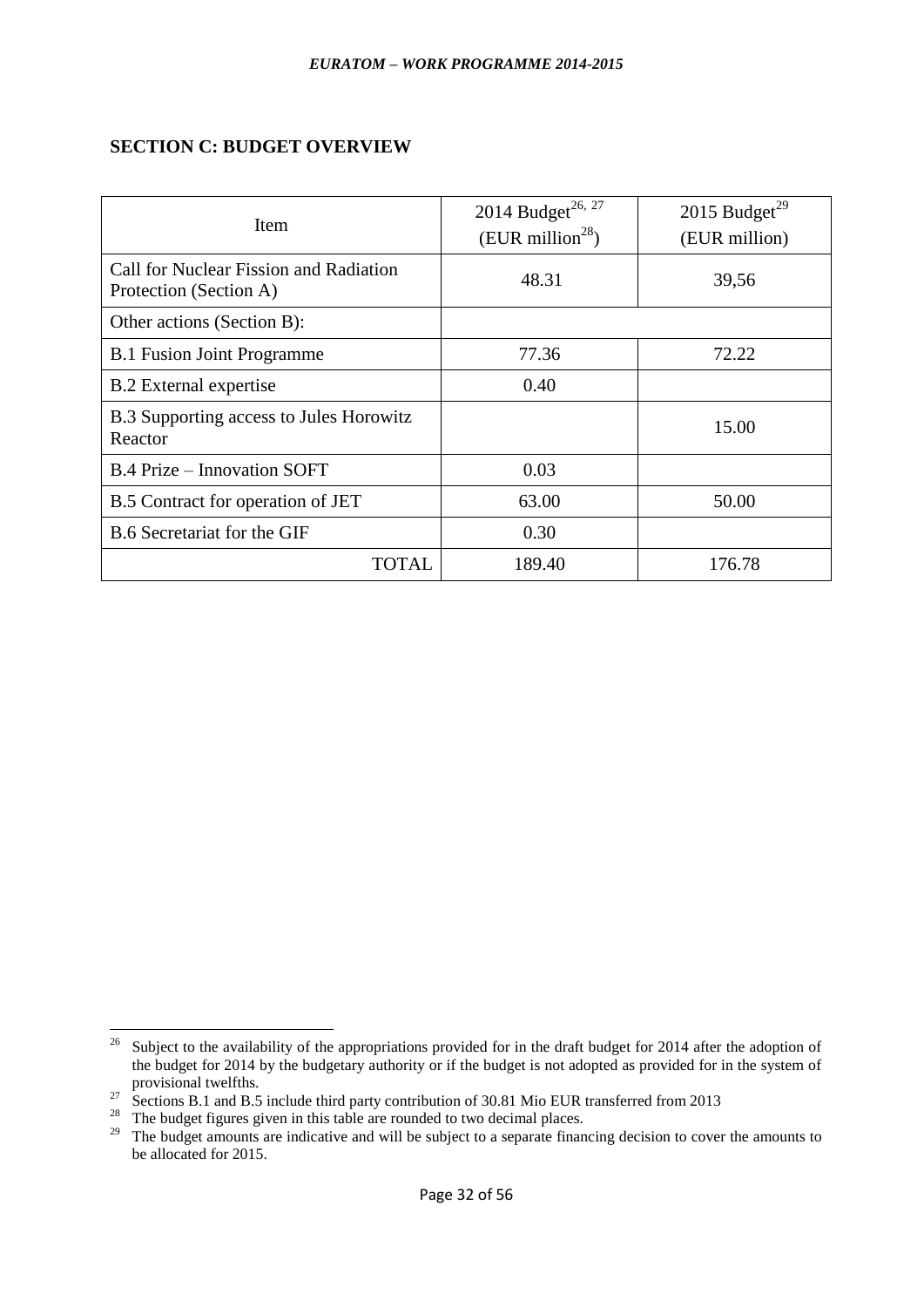## <span id="page-31-0"></span>**SECTION C: BUDGET OVERVIEW**

| <b>Item</b>                                                      | 2014 Budget <sup>26, 27</sup><br>(EUR million <sup>28</sup> ) | 2015 Budget <sup>29</sup><br>(EUR million) |
|------------------------------------------------------------------|---------------------------------------------------------------|--------------------------------------------|
| Call for Nuclear Fission and Radiation<br>Protection (Section A) | 48.31                                                         | 39,56                                      |
| Other actions (Section B):                                       |                                                               |                                            |
| <b>B.1 Fusion Joint Programme</b>                                | 77.36                                                         | 72.22                                      |
| <b>B.2</b> External expertise                                    | 0.40                                                          |                                            |
| B.3 Supporting access to Jules Horowitz<br>Reactor               |                                                               | 15.00                                      |
| <b>B.4 Prize – Innovation SOFT</b>                               | 0.03                                                          |                                            |
| B.5 Contract for operation of JET                                | 63.00                                                         | 50.00                                      |
| B.6 Secretariat for the GIF                                      | 0.30                                                          |                                            |
| TOTAL                                                            | 189.40                                                        | 176.78                                     |

 $26\,$ Subject to the availability of the appropriations provided for in the draft budget for 2014 after the adoption of the budget for 2014 by the budgetary authority or if the budget is not adopted as provided for in the system of provisional twelfths.

<sup>&</sup>lt;sup>27</sup> Sections B.1 and B.5 include third party contribution of 30.81 Mio EUR transferred from 2013

<sup>&</sup>lt;sup>28</sup> The budget figures given in this table are rounded to two decimal places.

<sup>&</sup>lt;sup>29</sup> The budget amounts are indicative and will be subject to a separate financing decision to cover the amounts to be allocated for 2015.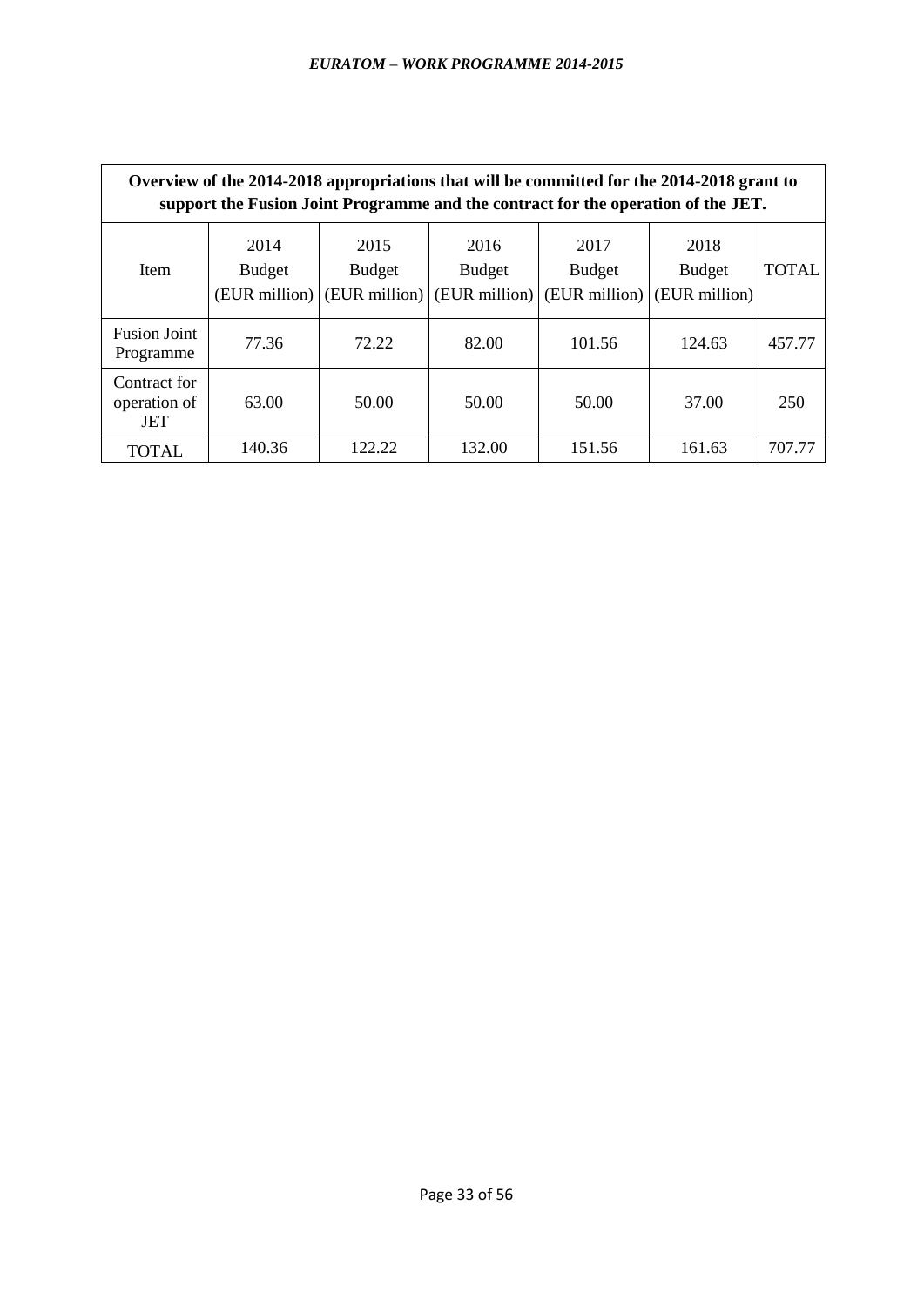| Overview of the 2014-2018 appropriations that will be committed for the 2014-2018 grant to<br>support the Fusion Joint Programme and the contract for the operation of the JET. |                                        |                                          |                                        |                                        |                                        |              |
|---------------------------------------------------------------------------------------------------------------------------------------------------------------------------------|----------------------------------------|------------------------------------------|----------------------------------------|----------------------------------------|----------------------------------------|--------------|
| Item                                                                                                                                                                            | 2014<br><b>Budget</b><br>(EUR million) | 2015<br><b>Budget</b><br>$(EUR$ million) | 2016<br><b>Budget</b><br>(EUR million) | 2017<br><b>Budget</b><br>(EUR million) | 2018<br><b>Budget</b><br>(EUR million) | <b>TOTAL</b> |
| <b>Fusion Joint</b><br>Programme                                                                                                                                                | 77.36                                  | 72.22                                    | 82.00                                  | 101.56                                 | 124.63                                 | 457.77       |
| Contract for<br>operation of<br><b>JET</b>                                                                                                                                      | 63.00                                  | 50.00                                    | 50.00                                  | 50.00                                  | 37.00                                  | 250          |
| <b>TOTAL</b>                                                                                                                                                                    | 140.36                                 | 122.22                                   | 132.00                                 | 151.56                                 | 161.63                                 | 707.77       |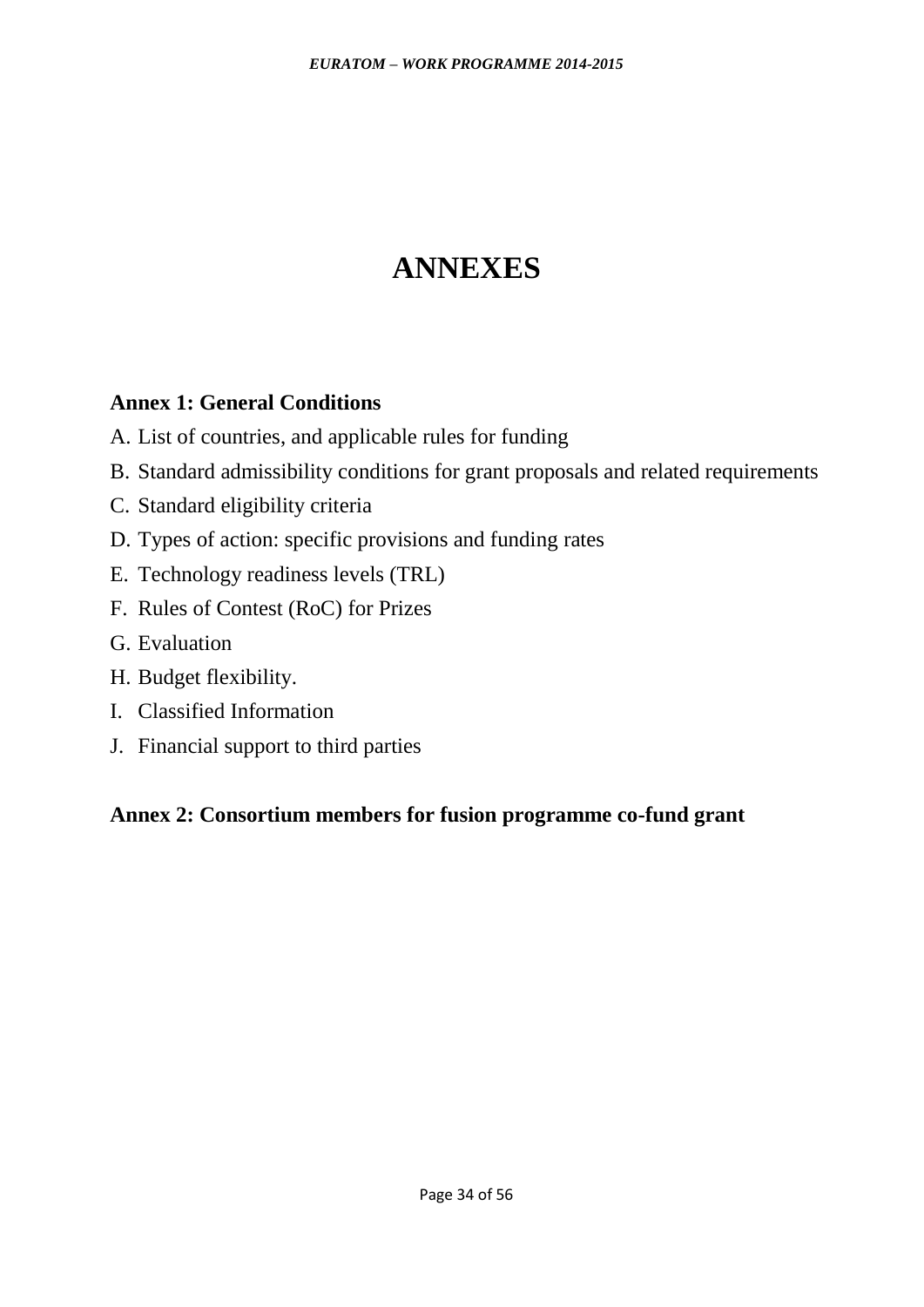# **ANNEXES**

# <span id="page-33-0"></span>**Annex 1: General Conditions**

- A. List of countries, and applicable rules for funding
- B. Standard admissibility conditions for grant proposals and related requirements
- C. Standard eligibility criteria
- D. Types of action: specific provisions and funding rates
- E. Technology readiness levels (TRL)
- F. Rules of Contest (RoC) for Prizes
- G. Evaluation
- H. Budget flexibility.
- I. Classified Information
- J. Financial support to third parties

# **Annex 2: Consortium members for fusion programme co-fund grant**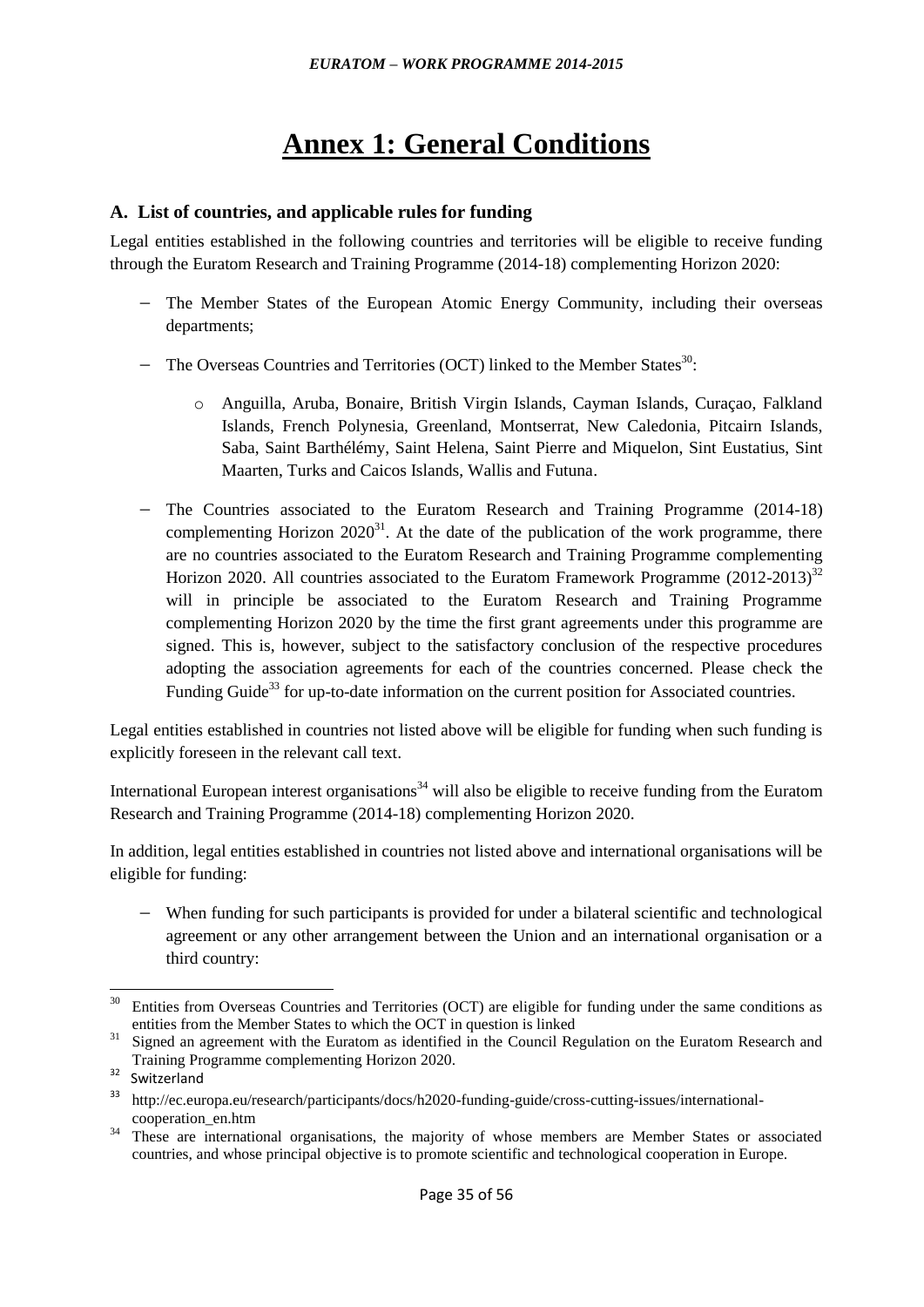# **Annex 1: General Conditions**

## <span id="page-34-0"></span>**A. List of countries, and applicable rules for funding**

Legal entities established in the following countries and territories will be eligible to receive funding through the Euratom Research and Training Programme (2014-18) complementing Horizon 2020:

- − The Member States of the European Atomic Energy Community, including their overseas departments;
- − The Overseas Countries and Territories (OCT) linked to the Member States<sup>30</sup>:
	- o Anguilla, Aruba, Bonaire, British Virgin Islands, Cayman Islands, Curaçao, Falkland Islands, French Polynesia, Greenland, Montserrat, New Caledonia, Pitcairn Islands, Saba, Saint Barthélémy, Saint Helena, Saint Pierre and Miquelon, Sint Eustatius, Sint Maarten, Turks and Caicos Islands, Wallis and Futuna.
- − The Countries associated to the Euratom Research and Training Programme (2014-18) complementing Horizon  $2020^{31}$ . At the date of the publication of the work programme, there are no countries associated to the Euratom Research and Training Programme complementing Horizon 2020. All countries associated to the Euratom Framework Programme  $(2012{\text -}2013)^{32}$ will in principle be associated to the Euratom Research and Training Programme complementing Horizon 2020 by the time the first grant agreements under this programme are signed. This is, however, subject to the satisfactory conclusion of the respective procedures adopting the association agreements for each of the countries concerned. Please check the Funding Guide<sup>33</sup> for up-to-date information on the current position for Associated countries.

Legal entities established in countries not listed above will be eligible for funding when such funding is explicitly foreseen in the relevant call text.

International European interest organisations<sup>34</sup> will also be eligible to receive funding from the Euratom Research and Training Programme (2014-18) complementing Horizon 2020.

In addition, legal entities established in countries not listed above and international organisations will be eligible for funding:

− When funding for such participants is provided for under a bilateral scientific and technological agreement or any other arrangement between the Union and an international organisation or a third country:

 $\overline{\phantom{a}}$  $30$  Entities from Overseas Countries and Territories (OCT) are eligible for funding under the same conditions as entities from the Member States to which the OCT in question is linked

<sup>&</sup>lt;sup>31</sup> Signed an agreement with the Euratom as identified in the Council Regulation on the Euratom Research and Training Programme complementing Horizon 2020.

<sup>&</sup>lt;sup>32</sup> Switzerland

<sup>33</sup> [http://ec.europa.eu/research/participants/docs/h2020-funding-guide/cross-cutting-issues/international](http://ec.europa.eu/research/participants/docs/h2020-funding-guide/cross-cutting-issues/international-cooperation_en.htm)[cooperation\\_en.htm](http://ec.europa.eu/research/participants/docs/h2020-funding-guide/cross-cutting-issues/international-cooperation_en.htm)

<sup>&</sup>lt;sup>34</sup> These are international organisations, the majority of whose members are Member States or associated countries, and whose principal objective is to promote scientific and technological cooperation in Europe.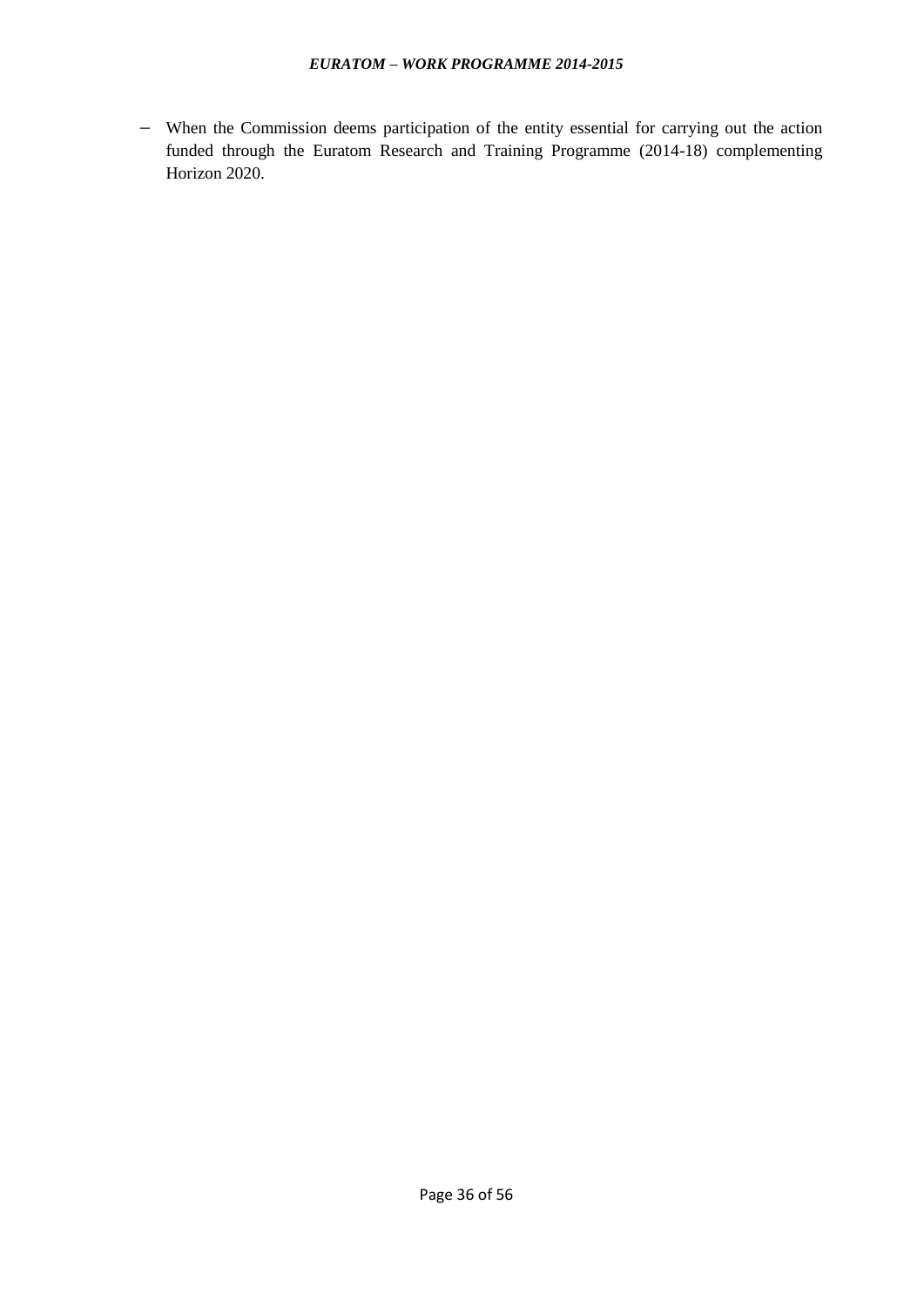− When the Commission deems participation of the entity essential for carrying out the action funded through the Euratom Research and Training Programme (2014-18) complementing Horizon 2020.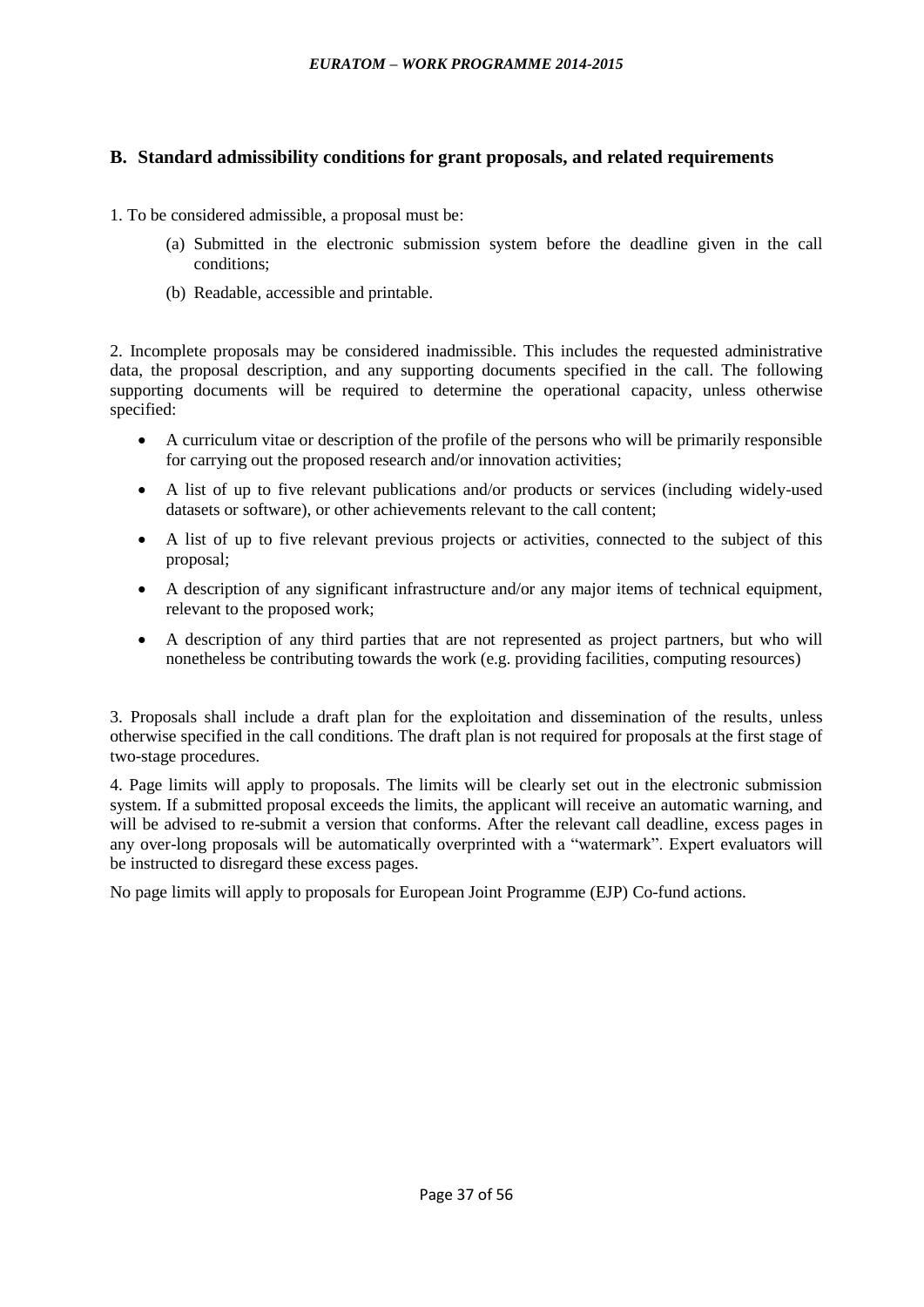## **B. Standard admissibility conditions for grant proposals, and related requirements**

1. To be considered admissible, a proposal must be:

- (a) Submitted in the electronic submission system before the deadline given in the call conditions;
- (b) Readable, accessible and printable.

2. Incomplete proposals may be considered inadmissible. This includes the requested administrative data, the proposal description, and any supporting documents specified in the call. The following supporting documents will be required to determine the operational capacity, unless otherwise specified:

- A curriculum vitae or description of the profile of the persons who will be primarily responsible for carrying out the proposed research and/or innovation activities;
- A list of up to five relevant publications and/or products or services (including widely-used datasets or software), or other achievements relevant to the call content;
- A list of up to five relevant previous projects or activities, connected to the subject of this proposal;
- A description of any significant infrastructure and/or any major items of technical equipment, relevant to the proposed work;
- A description of any third parties that are not represented as project partners, but who will nonetheless be contributing towards the work (e.g. providing facilities, computing resources)

3. Proposals shall include a draft plan for the exploitation and dissemination of the results, unless otherwise specified in the call conditions. The draft plan is not required for proposals at the first stage of two-stage procedures.

4. Page limits will apply to proposals. The limits will be clearly set out in the electronic submission system. If a submitted proposal exceeds the limits, the applicant will receive an automatic warning, and will be advised to re-submit a version that conforms. After the relevant call deadline, excess pages in any over-long proposals will be automatically overprinted with a "watermark". Expert evaluators will be instructed to disregard these excess pages.

No page limits will apply to proposals for European Joint Programme (EJP) Co-fund actions.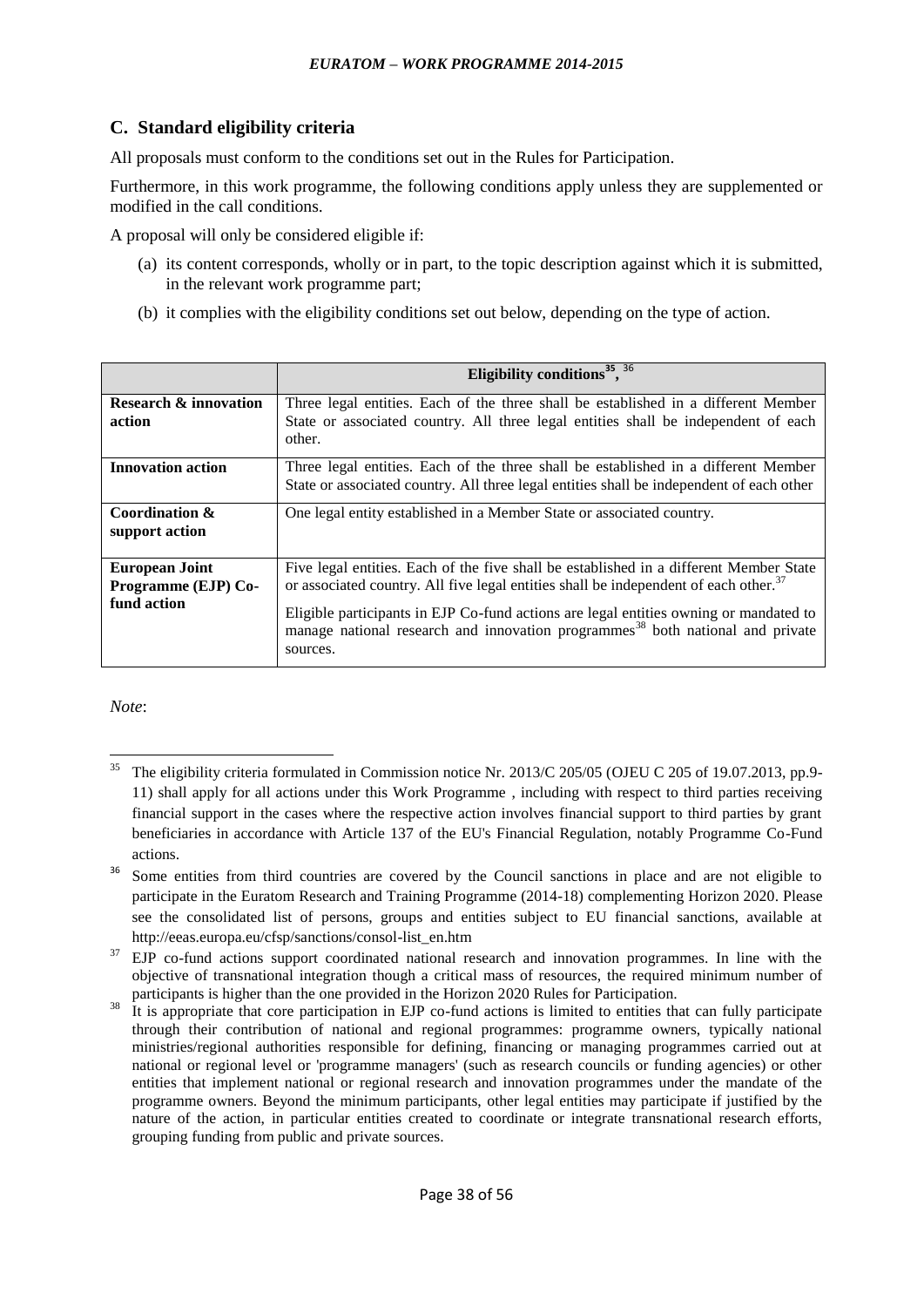## **C. Standard eligibility criteria**

All proposals must conform to the conditions set out in the Rules for Participation.

Furthermore, in this work programme, the following conditions apply unless they are supplemented or modified in the call conditions.

A proposal will only be considered eligible if:

- (a) its content corresponds, wholly or in part, to the topic description against which it is submitted, in the relevant work programme part;
- (b) it complies with the eligibility conditions set out below, depending on the type of action.

|                                                             | Eligibility conditions <sup>35</sup> , 36                                                                                                                                                       |
|-------------------------------------------------------------|-------------------------------------------------------------------------------------------------------------------------------------------------------------------------------------------------|
| <b>Research &amp; innovation</b><br>action                  | Three legal entities. Each of the three shall be established in a different Member<br>State or associated country. All three legal entities shall be independent of each<br>other.              |
| <b>Innovation action</b>                                    | Three legal entities. Each of the three shall be established in a different Member<br>State or associated country. All three legal entities shall be independent of each other                  |
| Coordination &<br>support action                            | One legal entity established in a Member State or associated country.                                                                                                                           |
| <b>European Joint</b><br>Programme (EJP) Co-<br>fund action | Five legal entities. Each of the five shall be established in a different Member State<br>or associated country. All five legal entities shall be independent of each other. <sup>37</sup>      |
|                                                             | Eligible participants in EJP Co-fund actions are legal entities owning or mandated to<br>manage national research and innovation programmes <sup>38</sup> both national and private<br>sources. |

*Note*:

 $\overline{\phantom{a}}$ 

The eligibility criteria formulated in Commission notice Nr. 2013/C 205/05 [\(OJEU C 205 of 19.07.2013, pp.9-](http://eur-lex.europa.eu/LexUriServ/LexUriServ.do?uri=OJ:C:2013:205:FULL:EN:PDF) [11\)](http://eur-lex.europa.eu/LexUriServ/LexUriServ.do?uri=OJ:C:2013:205:FULL:EN:PDF) shall apply for all actions under this Work Programme , including with respect to third parties receiving financial support in the cases where the respective action involves financial support to third parties by grant beneficiaries in accordance with Article 137 of the EU's Financial Regulation, notably Programme Co-Fund actions.

<sup>36</sup> Some entities from third countries are covered by the Council sanctions in place and are not eligible to participate in the Euratom Research and Training Programme (2014-18) complementing Horizon 2020. Please see the consolidated list of persons, groups and entities subject to EU financial sanctions, available at http://eeas.europa.eu/cfsp/sanctions/consol-list\_en.htm

 $37$  EJP co-fund actions support coordinated national research and innovation programmes. In line with the objective of transnational integration though a critical mass of resources, the required minimum number of participants is higher than the one provided in the Horizon 2020 Rules for Participation.

It is appropriate that core participation in EJP co-fund actions is limited to entities that can fully participate through their contribution of national and regional programmes: programme owners, typically national ministries/regional authorities responsible for defining, financing or managing programmes carried out at national or regional level or 'programme managers' (such as research councils or funding agencies) or other entities that implement national or regional research and innovation programmes under the mandate of the programme owners. Beyond the minimum participants, other legal entities may participate if justified by the nature of the action, in particular entities created to coordinate or integrate transnational research efforts, grouping funding from public and private sources.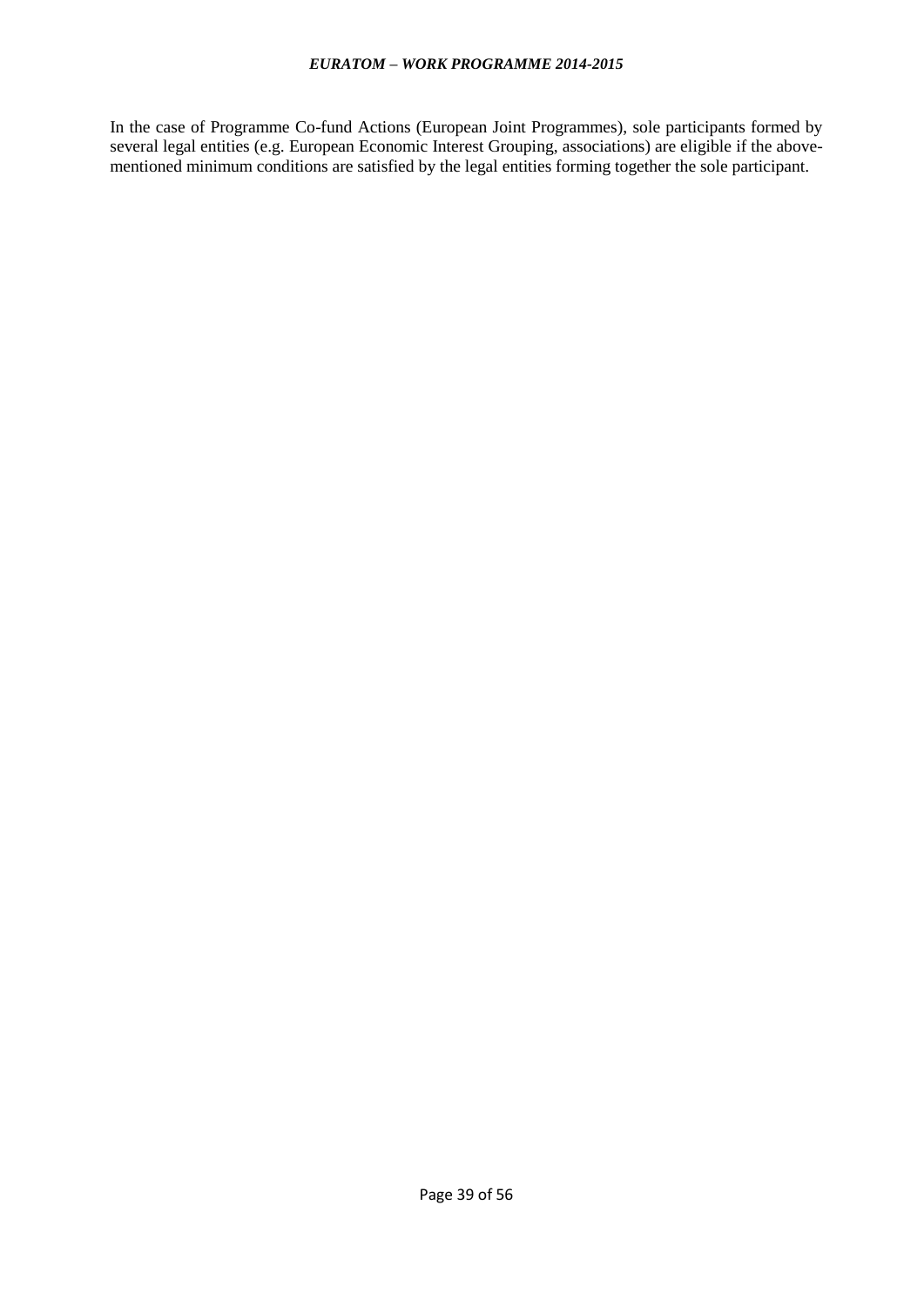In the case of Programme Co-fund Actions (European Joint Programmes), sole participants formed by several legal entities (e.g. European Economic Interest Grouping, associations) are eligible if the abovementioned minimum conditions are satisfied by the legal entities forming together the sole participant.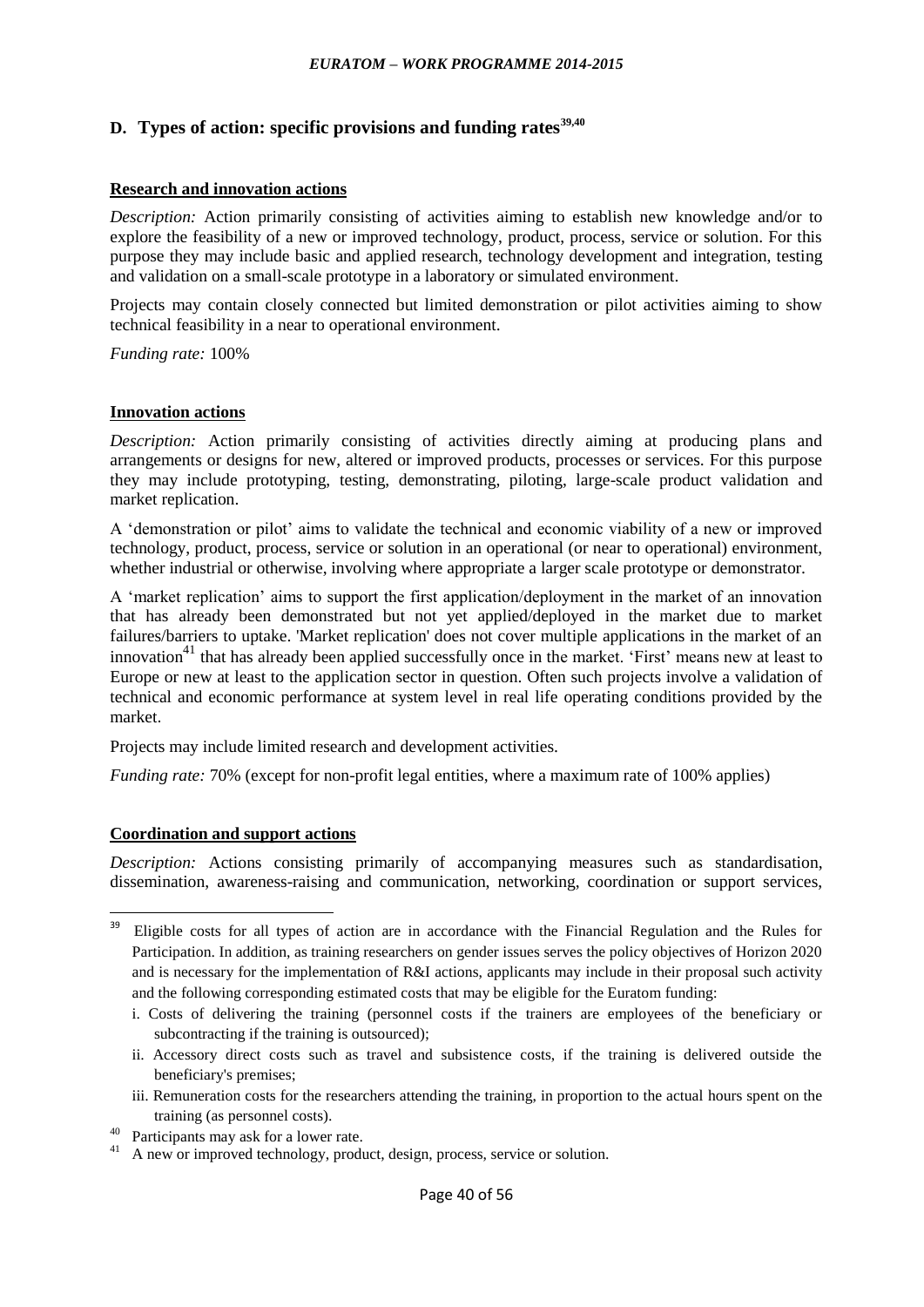### **D. Types of action: specific provisions and funding rates39,40**

### **Research and innovation actions**

*Description:* Action primarily consisting of activities aiming to establish new knowledge and/or to explore the feasibility of a new or improved technology, product, process, service or solution. For this purpose they may include basic and applied research, technology development and integration, testing and validation on a small-scale prototype in a laboratory or simulated environment.

Projects may contain closely connected but limited demonstration or pilot activities aiming to show technical feasibility in a near to operational environment.

*Funding rate:* 100%

### **Innovation actions**

*Description:* Action primarily consisting of activities directly aiming at producing plans and arrangements or designs for new, altered or improved products, processes or services. For this purpose they may include prototyping, testing, demonstrating, piloting, large-scale product validation and market replication.

A 'demonstration or pilot' aims to validate the technical and economic viability of a new or improved technology, product, process, service or solution in an operational (or near to operational) environment, whether industrial or otherwise, involving where appropriate a larger scale prototype or demonstrator.

A 'market replication' aims to support the first application/deployment in the market of an innovation that has already been demonstrated but not yet applied/deployed in the market due to market failures/barriers to uptake. 'Market replication' does not cover multiple applications in the market of an innovation<sup>41</sup> that has already been applied successfully once in the market. 'First' means new at least to Europe or new at least to the application sector in question. Often such projects involve a validation of technical and economic performance at system level in real life operating conditions provided by the market.

Projects may include limited research and development activities.

*Funding rate:* 70% (except for non-profit legal entities, where a maximum rate of 100% applies)

#### **Coordination and support actions**

*Description:* Actions consisting primarily of accompanying measures such as standardisation, dissemination, awareness-raising and communication, networking, coordination or support services,

- ii. Accessory direct costs such as travel and subsistence costs, if the training is delivered outside the beneficiary's premises;
- iii. Remuneration costs for the researchers attending the training, in proportion to the actual hours spent on the training (as personnel costs).

<sup>—&</sup>lt;br>39 Eligible costs for all types of action are in accordance with the Financial Regulation and the Rules for Participation. In addition, as training researchers on gender issues serves the policy objectives of Horizon 2020 and is necessary for the implementation of R&I actions, applicants may include in their proposal such activity and the following corresponding estimated costs that may be eligible for the Euratom funding:

i. Costs of delivering the training (personnel costs if the trainers are employees of the beneficiary or subcontracting if the training is outsourced);

<sup>40</sup> Participants may ask for a lower rate.

<sup>&</sup>lt;sup>41</sup> A new or improved technology, product, design, process, service or solution.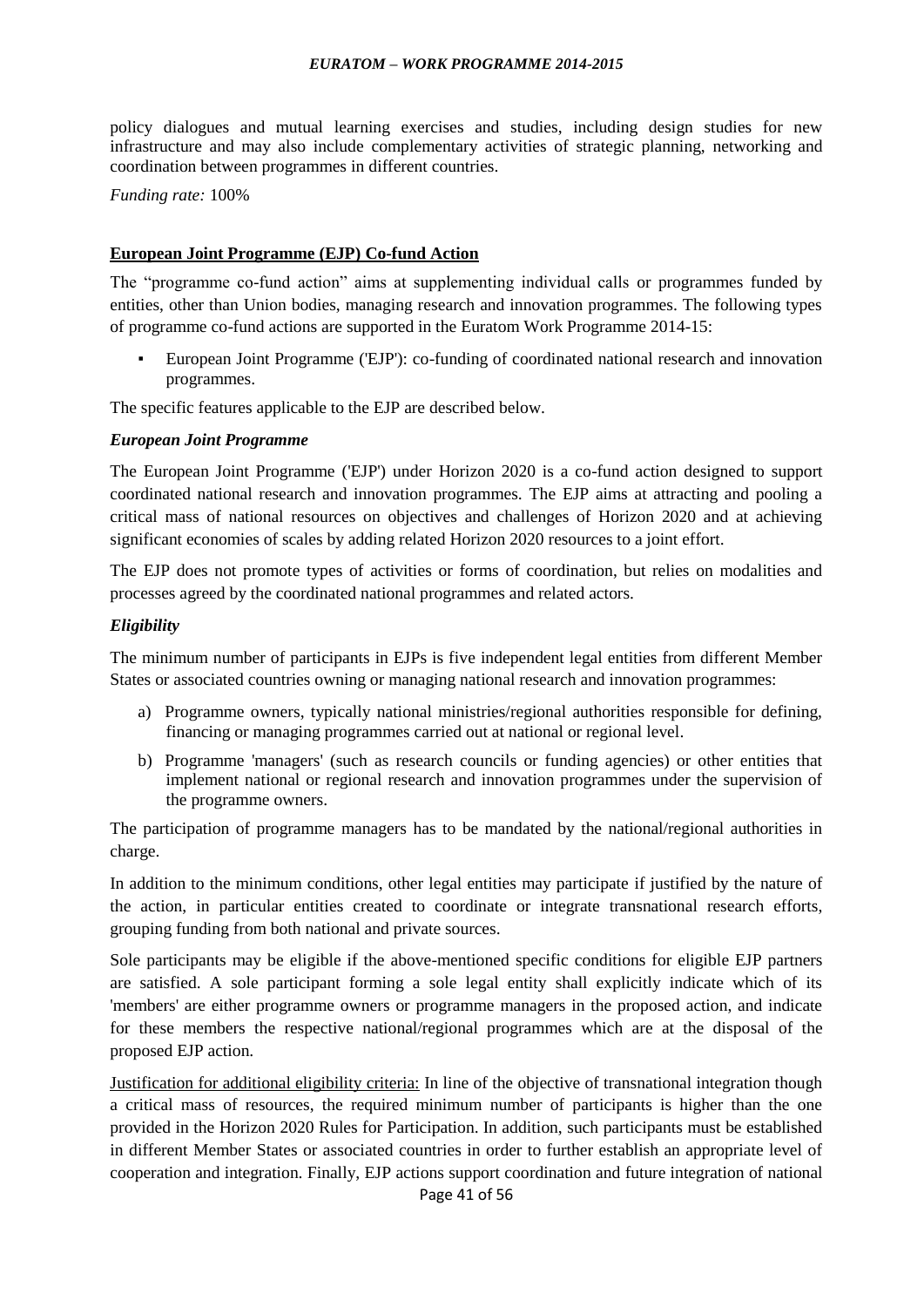policy dialogues and mutual learning exercises and studies, including design studies for new infrastructure and may also include complementary activities of strategic planning, networking and coordination between programmes in different countries.

*Funding rate:* 100%

### **European Joint Programme (EJP) Co-fund Action**

The "programme co-fund action" aims at supplementing individual calls or programmes funded by entities, other than Union bodies, managing research and innovation programmes. The following types of programme co-fund actions are supported in the Euratom Work Programme 2014-15:

▪ European Joint Programme ('EJP'): co-funding of coordinated national research and innovation programmes.

The specific features applicable to the EJP are described below.

### *European Joint Programme*

The European Joint Programme ('EJP') under Horizon 2020 is a co-fund action designed to support coordinated national research and innovation programmes. The EJP aims at attracting and pooling a critical mass of national resources on objectives and challenges of Horizon 2020 and at achieving significant economies of scales by adding related Horizon 2020 resources to a joint effort.

The EJP does not promote types of activities or forms of coordination, but relies on modalities and processes agreed by the coordinated national programmes and related actors.

### *Eligibility*

The minimum number of participants in EJPs is five independent legal entities from different Member States or associated countries owning or managing national research and innovation programmes:

- a) Programme owners, typically national ministries/regional authorities responsible for defining, financing or managing programmes carried out at national or regional level.
- b) Programme 'managers' (such as research councils or funding agencies) or other entities that implement national or regional research and innovation programmes under the supervision of the programme owners.

The participation of programme managers has to be mandated by the national/regional authorities in charge.

In addition to the minimum conditions, other legal entities may participate if justified by the nature of the action, in particular entities created to coordinate or integrate transnational research efforts, grouping funding from both national and private sources.

Sole participants may be eligible if the above-mentioned specific conditions for eligible EJP partners are satisfied. A sole participant forming a sole legal entity shall explicitly indicate which of its 'members' are either programme owners or programme managers in the proposed action, and indicate for these members the respective national/regional programmes which are at the disposal of the proposed EJP action.

Justification for additional eligibility criteria: In line of the objective of transnational integration though a critical mass of resources, the required minimum number of participants is higher than the one provided in the Horizon 2020 Rules for Participation. In addition, such participants must be established in different Member States or associated countries in order to further establish an appropriate level of cooperation and integration. Finally, EJP actions support coordination and future integration of national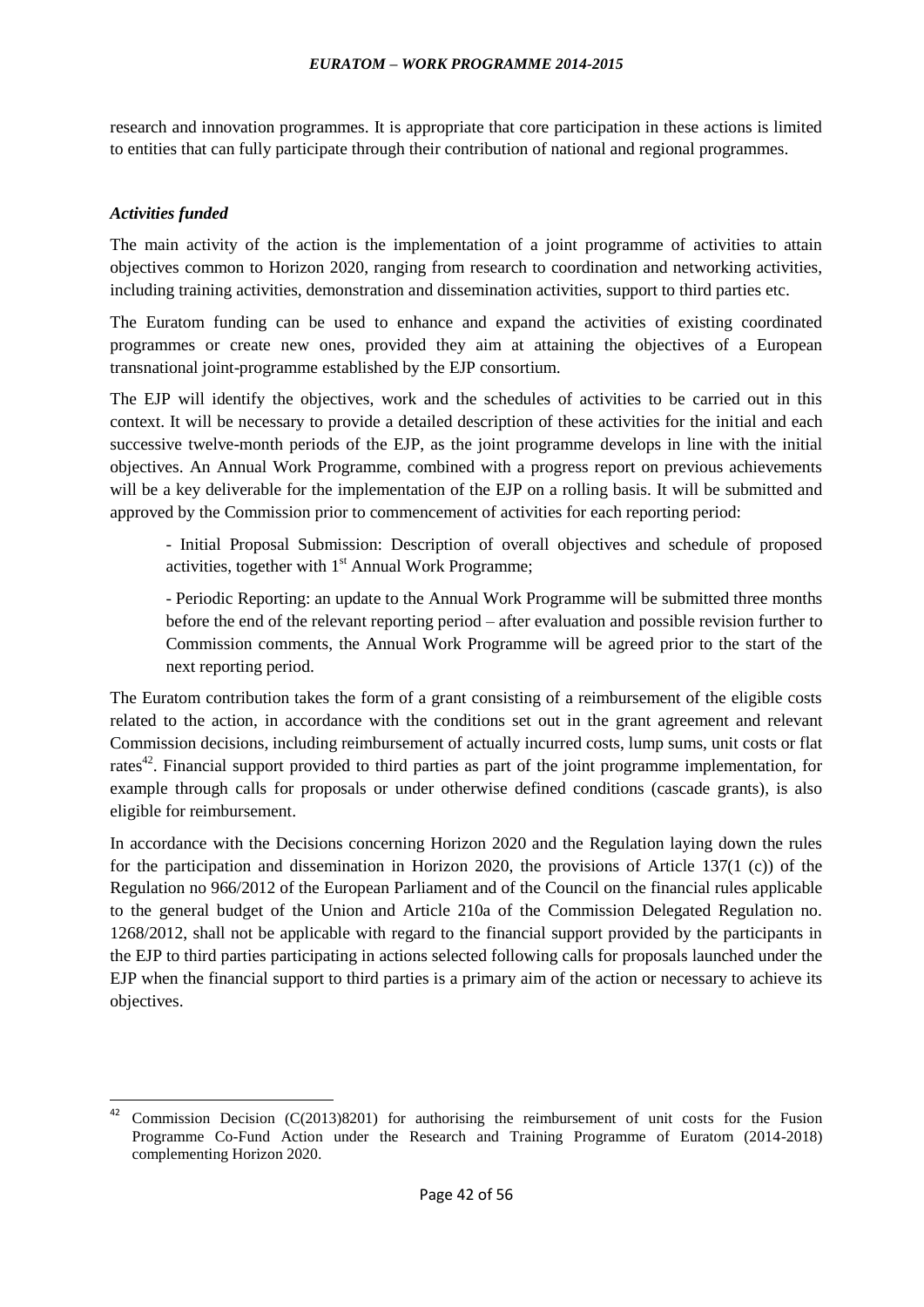research and innovation programmes. It is appropriate that core participation in these actions is limited to entities that can fully participate through their contribution of national and regional programmes.

## *Activities funded*

 $\overline{\phantom{a}}$ 

The main activity of the action is the implementation of a joint programme of activities to attain objectives common to Horizon 2020, ranging from research to coordination and networking activities, including training activities, demonstration and dissemination activities, support to third parties etc.

The Euratom funding can be used to enhance and expand the activities of existing coordinated programmes or create new ones, provided they aim at attaining the objectives of a European transnational joint-programme established by the EJP consortium.

The EJP will identify the objectives, work and the schedules of activities to be carried out in this context. It will be necessary to provide a detailed description of these activities for the initial and each successive twelve-month periods of the EJP, as the joint programme develops in line with the initial objectives. An Annual Work Programme, combined with a progress report on previous achievements will be a key deliverable for the implementation of the EJP on a rolling basis. It will be submitted and approved by the Commission prior to commencement of activities for each reporting period:

- Initial Proposal Submission: Description of overall objectives and schedule of proposed activities, together with 1<sup>st</sup> Annual Work Programme:

- Periodic Reporting: an update to the Annual Work Programme will be submitted three months before the end of the relevant reporting period – after evaluation and possible revision further to Commission comments, the Annual Work Programme will be agreed prior to the start of the next reporting period.

The Euratom contribution takes the form of a grant consisting of a reimbursement of the eligible costs related to the action, in accordance with the conditions set out in the grant agreement and relevant Commission decisions, including reimbursement of actually incurred costs, lump sums, unit costs or flat rates<sup>42</sup>. Financial support provided to third parties as part of the joint programme implementation, for example through calls for proposals or under otherwise defined conditions (cascade grants), is also eligible for reimbursement.

In accordance with the Decisions concerning Horizon 2020 and the Regulation laying down the rules for the participation and dissemination in Horizon 2020, the provisions of Article 137(1 (c)) of the Regulation no 966/2012 of the European Parliament and of the Council on the financial rules applicable to the general budget of the Union and Article 210a of the Commission Delegated Regulation no. 1268/2012, shall not be applicable with regard to the financial support provided by the participants in the EJP to third parties participating in actions selected following calls for proposals launched under the EJP when the financial support to third parties is a primary aim of the action or necessary to achieve its objectives.

Commission Decision  $(C(2013)8201)$  for authorising the reimbursement of unit costs for the Fusion Programme Co-Fund Action under the Research and Training Programme of Euratom (2014-2018) complementing Horizon 2020.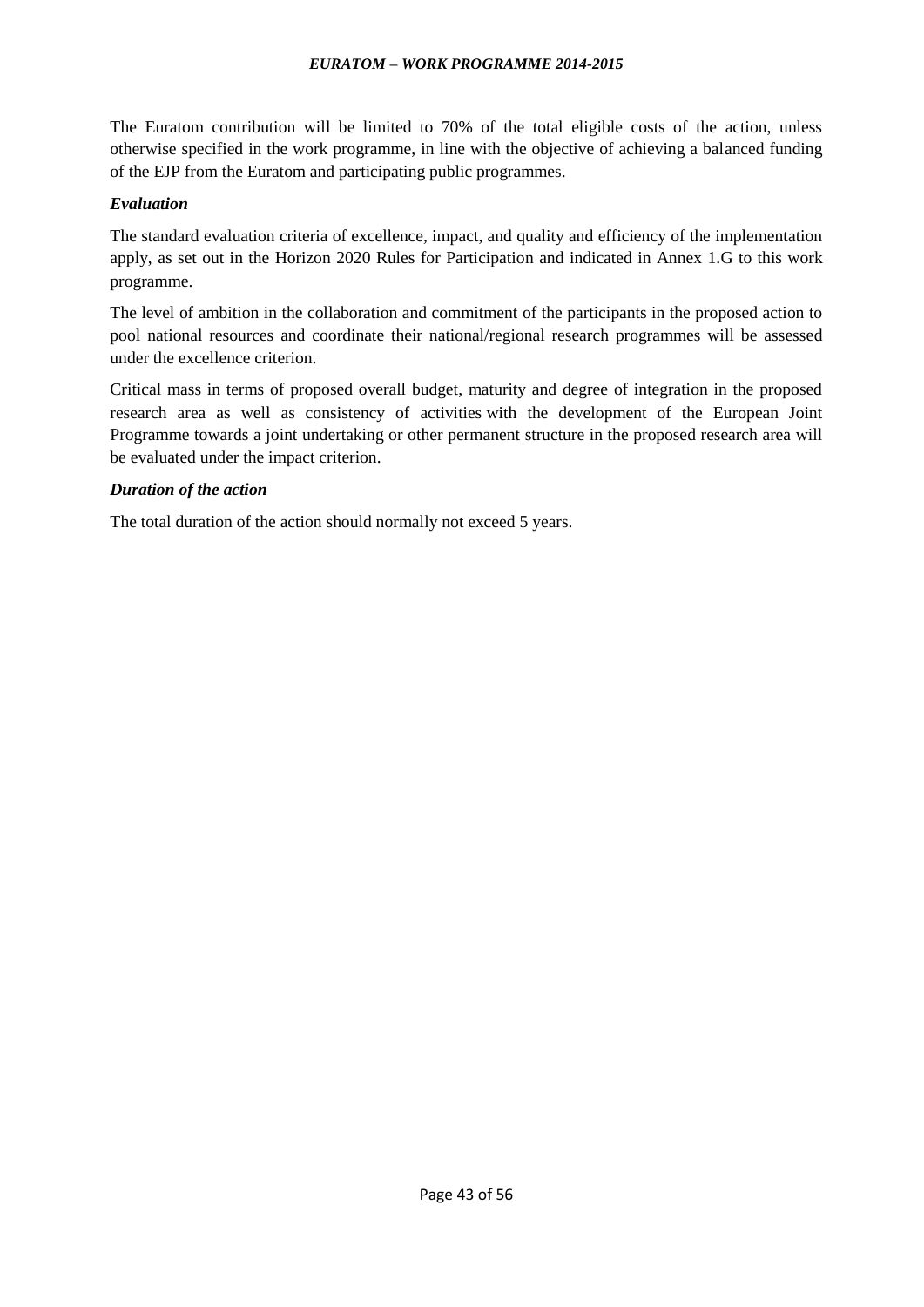### *EURATOM – WORK PROGRAMME 2014-2015*

The Euratom contribution will be limited to 70% of the total eligible costs of the action, unless otherwise specified in the work programme, in line with the objective of achieving a balanced funding of the EJP from the Euratom and participating public programmes.

### *Evaluation*

The standard evaluation criteria of excellence, impact, and quality and efficiency of the implementation apply, as set out in the Horizon 2020 Rules for Participation and indicated in Annex 1.G to this work programme.

The level of ambition in the collaboration and commitment of the participants in the proposed action to pool national resources and coordinate their national/regional research programmes will be assessed under the excellence criterion.

Critical mass in terms of proposed overall budget, maturity and degree of integration in the proposed research area as well as consistency of activities with the development of the European Joint Programme towards a joint undertaking or other permanent structure in the proposed research area will be evaluated under the impact criterion.

### *Duration of the action*

The total duration of the action should normally not exceed 5 years.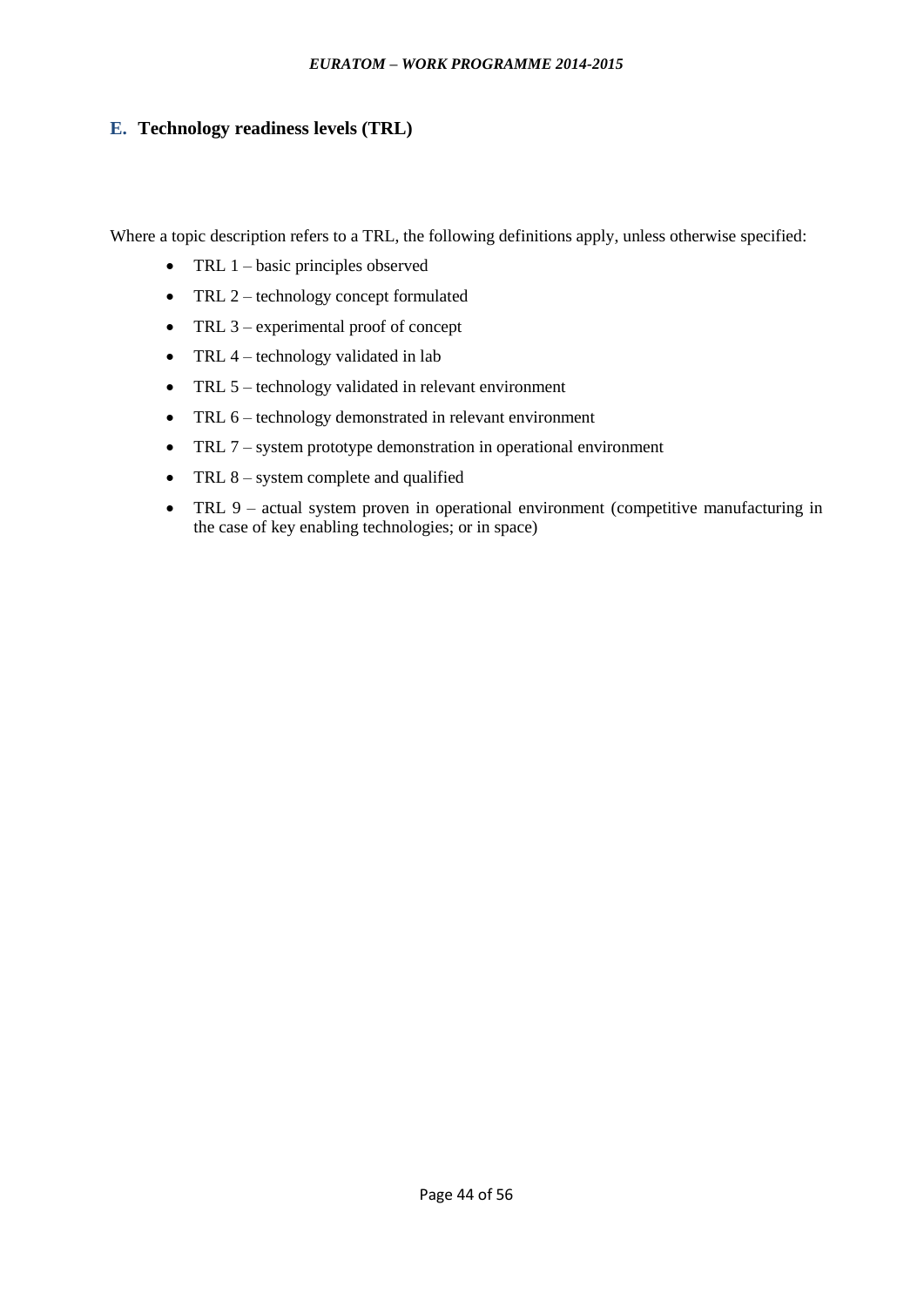## **E. Technology readiness levels (TRL)**

Where a topic description refers to a TRL, the following definitions apply, unless otherwise specified:

- TRL  $1$  basic principles observed
- TRL 2 technology concept formulated
- TRL 3 experimental proof of concept
- TRL  $4$  technology validated in lab
- TRL 5 technology validated in relevant environment
- TRL 6 technology demonstrated in relevant environment
- TRL 7 system prototype demonstration in operational environment
- $\bullet$  TRL 8 system complete and qualified
- TRL 9 actual system proven in operational environment (competitive manufacturing in the case of key enabling technologies; or in space)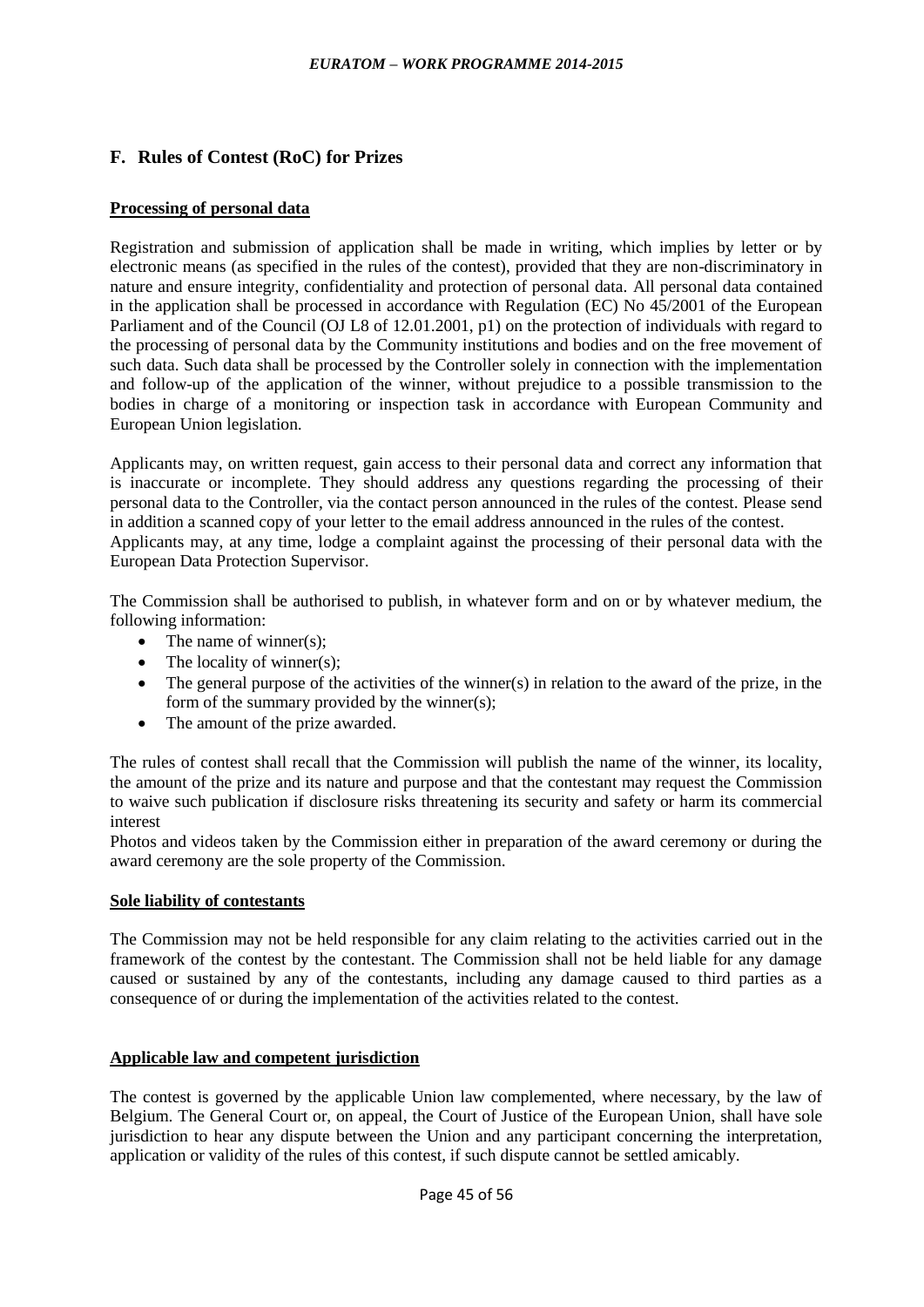## **F. Rules of Contest (RoC) for Prizes**

### **Processing of personal data**

Registration and submission of application shall be made in writing, which implies by letter or by electronic means (as specified in the rules of the contest), provided that they are non-discriminatory in nature and ensure integrity, confidentiality and protection of personal data. All personal data contained in the application shall be processed in accordance with Regulation (EC) No 45/2001 of the European Parliament and of the Council (OJ L8 of 12.01.2001, p1) on the protection of individuals with regard to the processing of personal data by the Community institutions and bodies and on the free movement of such data. Such data shall be processed by the Controller solely in connection with the implementation and follow-up of the application of the winner, without prejudice to a possible transmission to the bodies in charge of a monitoring or inspection task in accordance with European Community and European Union legislation.

Applicants may, on written request, gain access to their personal data and correct any information that is inaccurate or incomplete. They should address any questions regarding the processing of their personal data to the Controller, via the contact person announced in the rules of the contest. Please send in addition a scanned copy of your letter to the email address announced in the rules of the contest. Applicants may, at any time, lodge a complaint against the processing of their personal data with the European Data Protection Supervisor.

The Commission shall be authorised to publish, in whatever form and on or by whatever medium, the following information:

- $\bullet$  The name of winner(s):
- $\bullet$  The locality of winner(s);
- The general purpose of the activities of the winner(s) in relation to the award of the prize, in the form of the summary provided by the winner(s);
- The amount of the prize awarded.

The rules of contest shall recall that the Commission will publish the name of the winner, its locality, the amount of the prize and its nature and purpose and that the contestant may request the Commission to waive such publication if disclosure risks threatening its security and safety or harm its commercial interest

Photos and videos taken by the Commission either in preparation of the award ceremony or during the award ceremony are the sole property of the Commission.

### **Sole liability of contestants**

The Commission may not be held responsible for any claim relating to the activities carried out in the framework of the contest by the contestant. The Commission shall not be held liable for any damage caused or sustained by any of the contestants, including any damage caused to third parties as a consequence of or during the implementation of the activities related to the contest.

### **Applicable law and competent jurisdiction**

The contest is governed by the applicable Union law complemented, where necessary, by the law of Belgium. The General Court or, on appeal, the Court of Justice of the European Union, shall have sole jurisdiction to hear any dispute between the Union and any participant concerning the interpretation, application or validity of the rules of this contest, if such dispute cannot be settled amicably.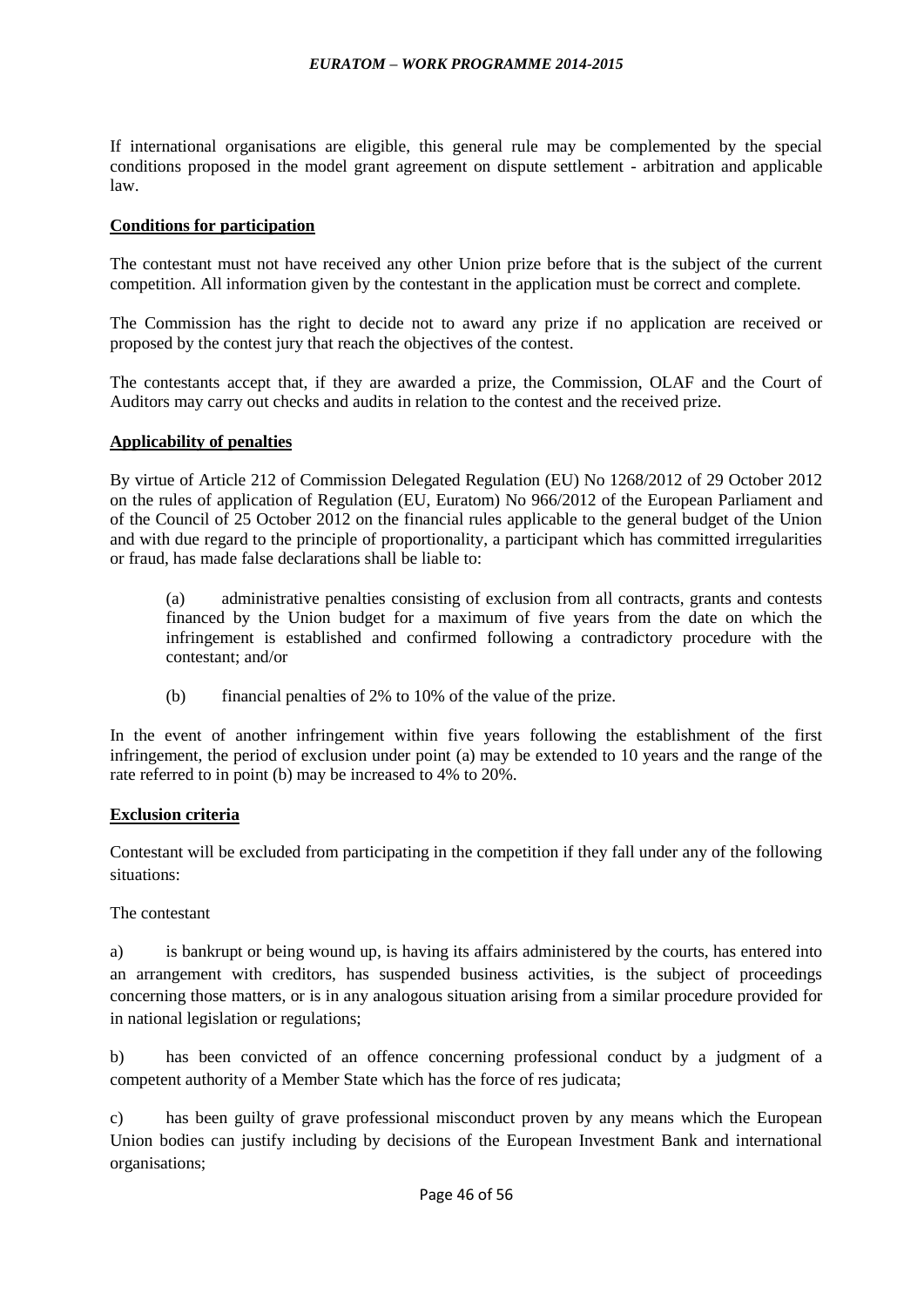If international organisations are eligible, this general rule may be complemented by the special conditions proposed in the model grant agreement on dispute settlement - arbitration and applicable law.

### **Conditions for participation**

The contestant must not have received any other Union prize before that is the subject of the current competition. All information given by the contestant in the application must be correct and complete.

The Commission has the right to decide not to award any prize if no application are received or proposed by the contest jury that reach the objectives of the contest.

The contestants accept that, if they are awarded a prize, the Commission, OLAF and the Court of Auditors may carry out checks and audits in relation to the contest and the received prize.

### **Applicability of penalties**

By virtue of Article 212 of Commission Delegated Regulation (EU) No 1268/2012 of 29 October 2012 on the rules of application of Regulation (EU, Euratom) No 966/2012 of the European Parliament and of the Council of 25 October 2012 on the financial rules applicable to the general budget of the Union and with due regard to the principle of proportionality, a participant which has committed irregularities or fraud, has made false declarations shall be liable to:

(a) administrative penalties consisting of exclusion from all contracts, grants and contests financed by the Union budget for a maximum of five years from the date on which the infringement is established and confirmed following a contradictory procedure with the contestant; and/or

(b) financial penalties of 2% to 10% of the value of the prize.

In the event of another infringement within five years following the establishment of the first infringement, the period of exclusion under point (a) may be extended to 10 years and the range of the rate referred to in point (b) may be increased to 4% to 20%.

### **Exclusion criteria**

Contestant will be excluded from participating in the competition if they fall under any of the following situations:

The contestant

a) is bankrupt or being wound up, is having its affairs administered by the courts, has entered into an arrangement with creditors, has suspended business activities, is the subject of proceedings concerning those matters, or is in any analogous situation arising from a similar procedure provided for in national legislation or regulations;

b) has been convicted of an offence concerning professional conduct by a judgment of a competent authority of a Member State which has the force of res judicata;

c) has been guilty of grave professional misconduct proven by any means which the European Union bodies can justify including by decisions of the European Investment Bank and international organisations;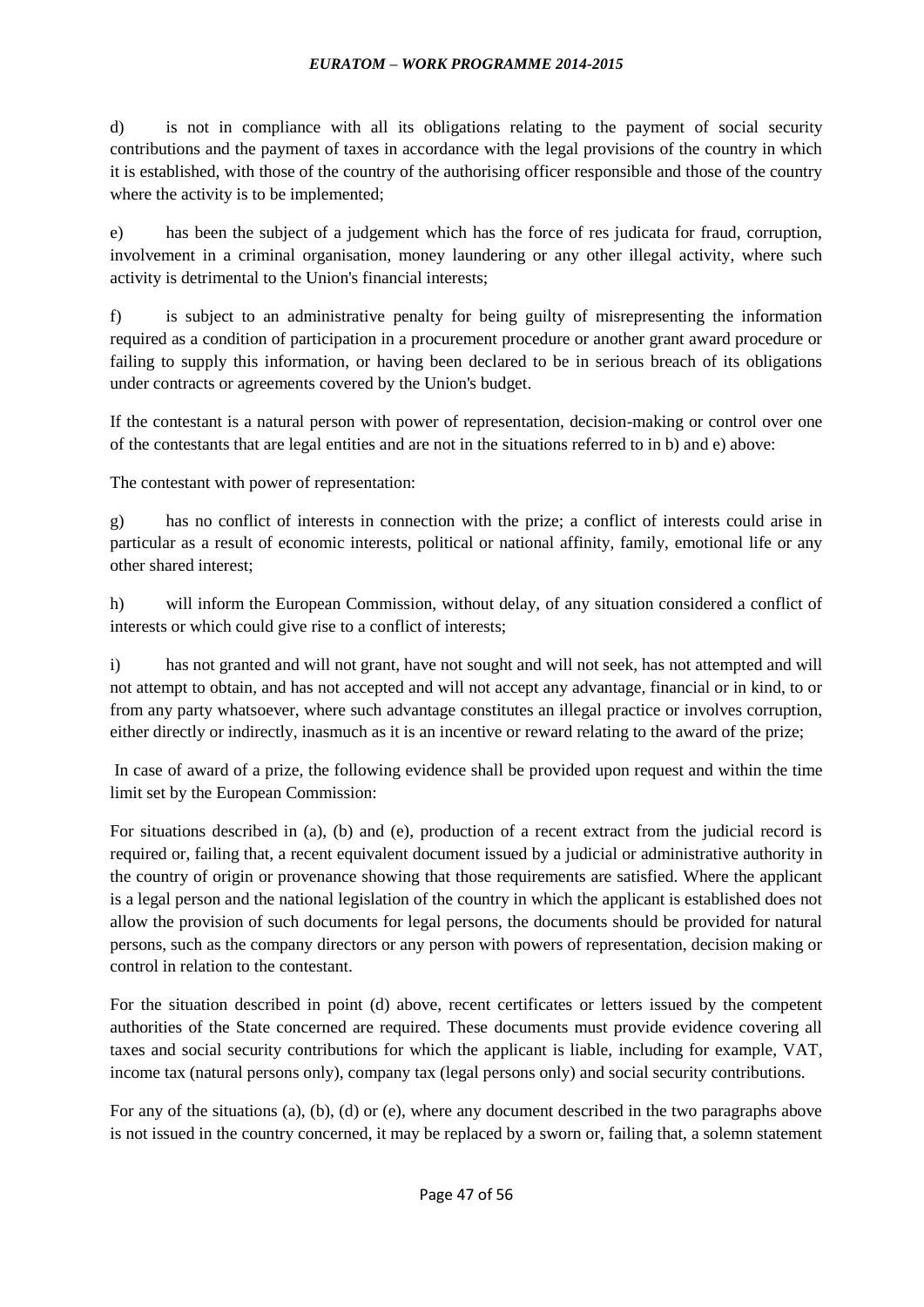### *EURATOM – WORK PROGRAMME 2014-2015*

d) is not in compliance with all its obligations relating to the payment of social security contributions and the payment of taxes in accordance with the legal provisions of the country in which it is established, with those of the country of the authorising officer responsible and those of the country where the activity is to be implemented;

e) has been the subject of a judgement which has the force of res judicata for fraud, corruption, involvement in a criminal organisation, money laundering or any other illegal activity, where such activity is detrimental to the Union's financial interests;

f) is subject to an administrative penalty for being guilty of misrepresenting the information required as a condition of participation in a procurement procedure or another grant award procedure or failing to supply this information, or having been declared to be in serious breach of its obligations under contracts or agreements covered by the Union's budget.

If the contestant is a natural person with power of representation, decision-making or control over one of the contestants that are legal entities and are not in the situations referred to in b) and e) above:

The contestant with power of representation:

g) has no conflict of interests in connection with the prize; a conflict of interests could arise in particular as a result of economic interests, political or national affinity, family, emotional life or any other shared interest;

h) will inform the European Commission, without delay, of any situation considered a conflict of interests or which could give rise to a conflict of interests;

i) has not granted and will not grant, have not sought and will not seek, has not attempted and will not attempt to obtain, and has not accepted and will not accept any advantage, financial or in kind, to or from any party whatsoever, where such advantage constitutes an illegal practice or involves corruption, either directly or indirectly, inasmuch as it is an incentive or reward relating to the award of the prize;

In case of award of a prize, the following evidence shall be provided upon request and within the time limit set by the European Commission:

For situations described in (a), (b) and (e), production of a recent extract from the judicial record is required or, failing that, a recent equivalent document issued by a judicial or administrative authority in the country of origin or provenance showing that those requirements are satisfied. Where the applicant is a legal person and the national legislation of the country in which the applicant is established does not allow the provision of such documents for legal persons, the documents should be provided for natural persons, such as the company directors or any person with powers of representation, decision making or control in relation to the contestant.

For the situation described in point (d) above, recent certificates or letters issued by the competent authorities of the State concerned are required. These documents must provide evidence covering all taxes and social security contributions for which the applicant is liable, including for example, VAT, income tax (natural persons only), company tax (legal persons only) and social security contributions.

For any of the situations (a), (b), (d) or (e), where any document described in the two paragraphs above is not issued in the country concerned, it may be replaced by a sworn or, failing that, a solemn statement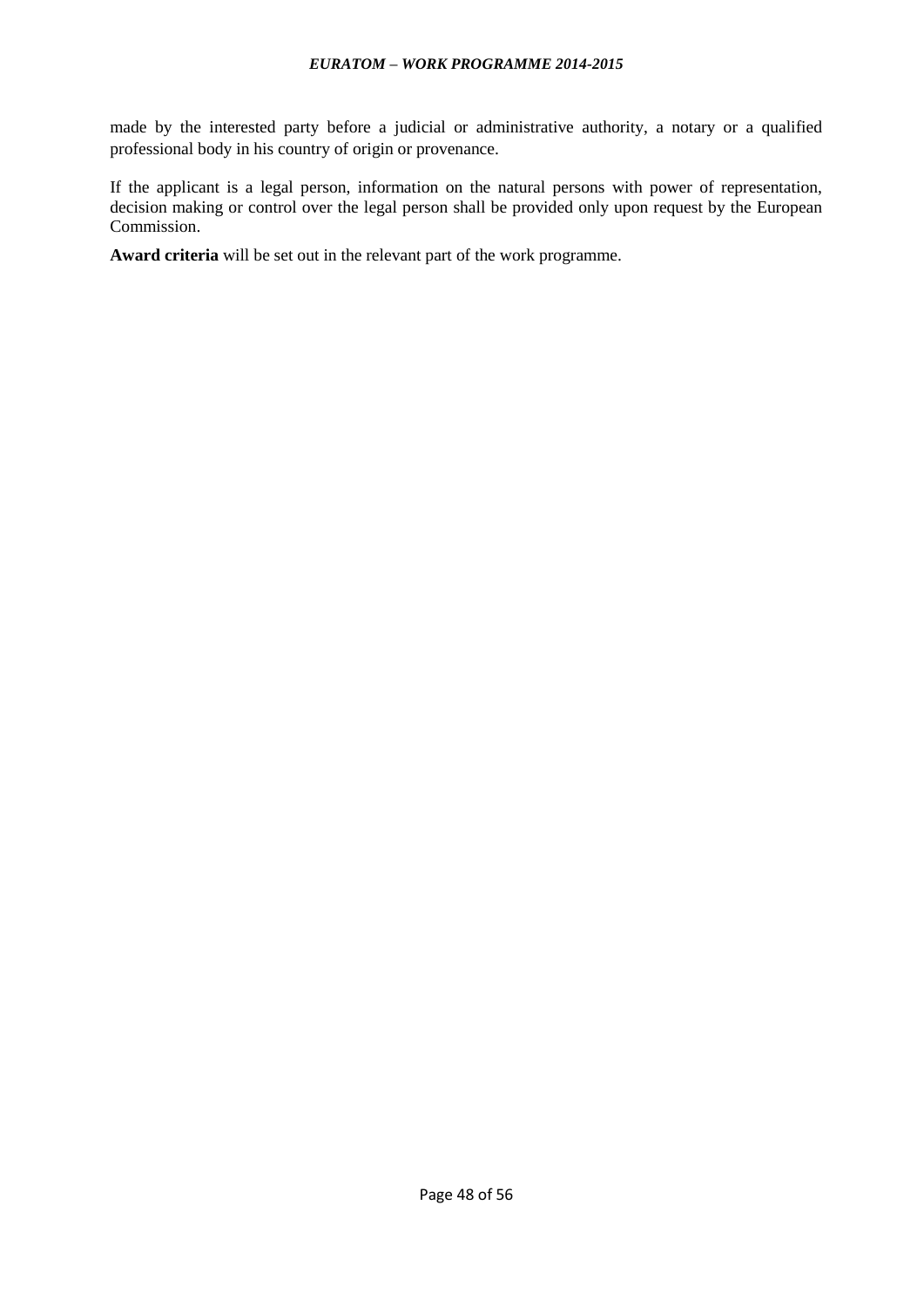made by the interested party before a judicial or administrative authority, a notary or a qualified professional body in his country of origin or provenance.

If the applicant is a legal person, information on the natural persons with power of representation, decision making or control over the legal person shall be provided only upon request by the European Commission.

**Award criteria** will be set out in the relevant part of the work programme.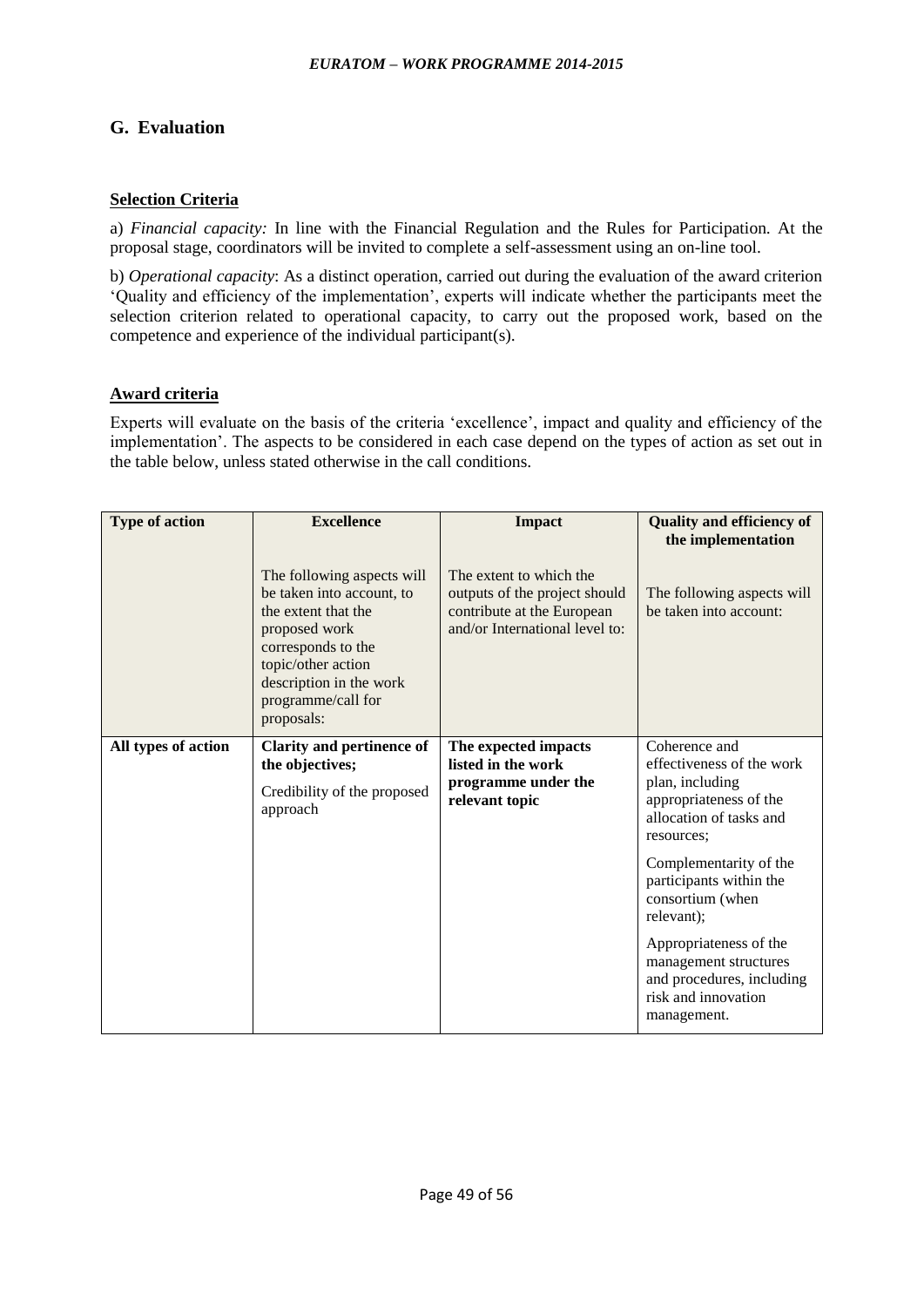## **G. Evaluation**

### **Selection Criteria**

a) *Financial capacity:* In line with the Financial Regulation and the Rules for Participation. At the proposal stage, coordinators will be invited to complete a self-assessment using an on-line tool.

b) *Operational capacity*: As a distinct operation, carried out during the evaluation of the award criterion 'Quality and efficiency of the implementation', experts will indicate whether the participants meet the selection criterion related to operational capacity, to carry out the proposed work, based on the competence and experience of the individual participant(s).

### **Award criteria**

Experts will evaluate on the basis of the criteria 'excellence', impact and quality and efficiency of the implementation'. The aspects to be considered in each case depend on the types of action as set out in the table below, unless stated otherwise in the call conditions.

| <b>Type of action</b> | <b>Excellence</b>                                                                                                                                                                                          | <b>Impact</b>                                                                                                            | <b>Quality and efficiency of</b><br>the implementation                                                                           |
|-----------------------|------------------------------------------------------------------------------------------------------------------------------------------------------------------------------------------------------------|--------------------------------------------------------------------------------------------------------------------------|----------------------------------------------------------------------------------------------------------------------------------|
|                       | The following aspects will<br>be taken into account, to<br>the extent that the<br>proposed work<br>corresponds to the<br>topic/other action<br>description in the work<br>programme/call for<br>proposals: | The extent to which the<br>outputs of the project should<br>contribute at the European<br>and/or International level to: | The following aspects will<br>be taken into account:                                                                             |
| All types of action   | <b>Clarity and pertinence of</b><br>the objectives;<br>Credibility of the proposed<br>approach                                                                                                             | The expected impacts<br>listed in the work<br>programme under the<br>relevant topic                                      | Coherence and<br>effectiveness of the work<br>plan, including<br>appropriateness of the<br>allocation of tasks and<br>resources; |
|                       |                                                                                                                                                                                                            |                                                                                                                          | Complementarity of the<br>participants within the<br>consortium (when<br>relevant);                                              |
|                       |                                                                                                                                                                                                            |                                                                                                                          | Appropriateness of the<br>management structures<br>and procedures, including<br>risk and innovation<br>management.               |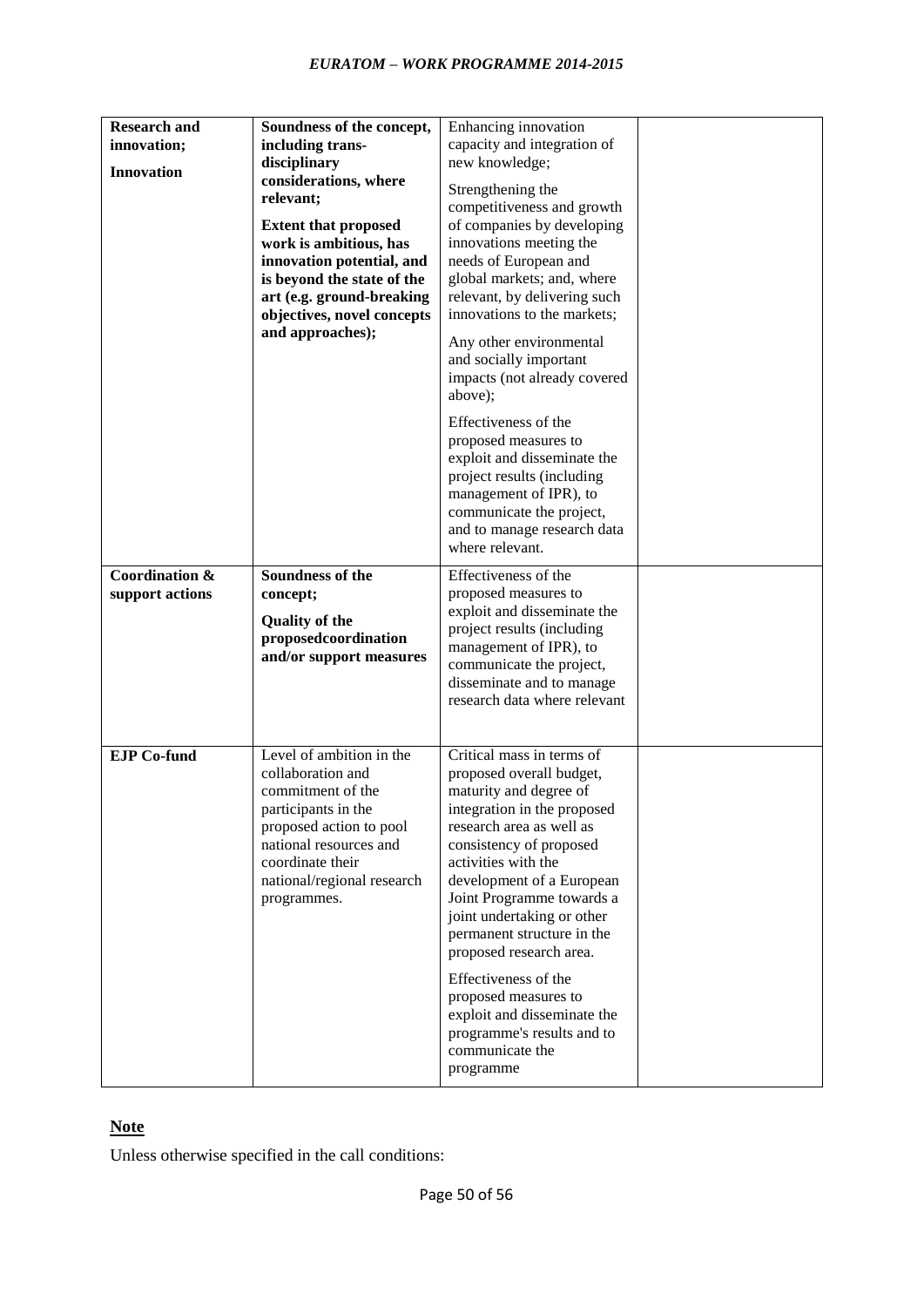| <b>Research and</b>       | Soundness of the concept,                                                                                                                                                                                                             | Enhancing innovation                                                                                                                                                                                                                                                                                                                                                                                                                                                                                                                                |  |
|---------------------------|---------------------------------------------------------------------------------------------------------------------------------------------------------------------------------------------------------------------------------------|-----------------------------------------------------------------------------------------------------------------------------------------------------------------------------------------------------------------------------------------------------------------------------------------------------------------------------------------------------------------------------------------------------------------------------------------------------------------------------------------------------------------------------------------------------|--|
| innovation;               | including trans-                                                                                                                                                                                                                      | capacity and integration of                                                                                                                                                                                                                                                                                                                                                                                                                                                                                                                         |  |
| <b>Innovation</b>         | disciplinary                                                                                                                                                                                                                          | new knowledge;                                                                                                                                                                                                                                                                                                                                                                                                                                                                                                                                      |  |
|                           | considerations, where<br>relevant;<br><b>Extent that proposed</b><br>work is ambitious, has<br>innovation potential, and<br>is beyond the state of the<br>art (e.g. ground-breaking<br>objectives, novel concepts<br>and approaches); | Strengthening the<br>competitiveness and growth<br>of companies by developing<br>innovations meeting the<br>needs of European and<br>global markets; and, where<br>relevant, by delivering such<br>innovations to the markets;<br>Any other environmental<br>and socially important<br>impacts (not already covered<br>above);<br>Effectiveness of the<br>proposed measures to<br>exploit and disseminate the<br>project results (including<br>management of IPR), to<br>communicate the project,<br>and to manage research data<br>where relevant. |  |
| <b>Coordination &amp;</b> | Soundness of the                                                                                                                                                                                                                      | Effectiveness of the                                                                                                                                                                                                                                                                                                                                                                                                                                                                                                                                |  |
| support actions           | concept;                                                                                                                                                                                                                              | proposed measures to                                                                                                                                                                                                                                                                                                                                                                                                                                                                                                                                |  |
|                           | <b>Quality of the</b>                                                                                                                                                                                                                 | exploit and disseminate the                                                                                                                                                                                                                                                                                                                                                                                                                                                                                                                         |  |
|                           | proposedcoordination                                                                                                                                                                                                                  | project results (including<br>management of IPR), to                                                                                                                                                                                                                                                                                                                                                                                                                                                                                                |  |
|                           | and/or support measures                                                                                                                                                                                                               | communicate the project,                                                                                                                                                                                                                                                                                                                                                                                                                                                                                                                            |  |
|                           |                                                                                                                                                                                                                                       | disseminate and to manage                                                                                                                                                                                                                                                                                                                                                                                                                                                                                                                           |  |
|                           |                                                                                                                                                                                                                                       | research data where relevant                                                                                                                                                                                                                                                                                                                                                                                                                                                                                                                        |  |
|                           |                                                                                                                                                                                                                                       |                                                                                                                                                                                                                                                                                                                                                                                                                                                                                                                                                     |  |
| <b>EJP Co-fund</b>        | Level of ambition in the                                                                                                                                                                                                              | Critical mass in terms of                                                                                                                                                                                                                                                                                                                                                                                                                                                                                                                           |  |
|                           | collaboration and                                                                                                                                                                                                                     | proposed overall budget,                                                                                                                                                                                                                                                                                                                                                                                                                                                                                                                            |  |
|                           | commitment of the                                                                                                                                                                                                                     | maturity and degree of                                                                                                                                                                                                                                                                                                                                                                                                                                                                                                                              |  |
|                           | participants in the                                                                                                                                                                                                                   | integration in the proposed                                                                                                                                                                                                                                                                                                                                                                                                                                                                                                                         |  |
|                           | proposed action to pool<br>national resources and                                                                                                                                                                                     | research area as well as<br>consistency of proposed                                                                                                                                                                                                                                                                                                                                                                                                                                                                                                 |  |
|                           | coordinate their                                                                                                                                                                                                                      | activities with the                                                                                                                                                                                                                                                                                                                                                                                                                                                                                                                                 |  |
|                           | national/regional research                                                                                                                                                                                                            | development of a European                                                                                                                                                                                                                                                                                                                                                                                                                                                                                                                           |  |
|                           | programmes.                                                                                                                                                                                                                           | Joint Programme towards a                                                                                                                                                                                                                                                                                                                                                                                                                                                                                                                           |  |
|                           |                                                                                                                                                                                                                                       | joint undertaking or other<br>permanent structure in the                                                                                                                                                                                                                                                                                                                                                                                                                                                                                            |  |
|                           |                                                                                                                                                                                                                                       | proposed research area.                                                                                                                                                                                                                                                                                                                                                                                                                                                                                                                             |  |
|                           |                                                                                                                                                                                                                                       | Effectiveness of the                                                                                                                                                                                                                                                                                                                                                                                                                                                                                                                                |  |
|                           |                                                                                                                                                                                                                                       | proposed measures to<br>exploit and disseminate the                                                                                                                                                                                                                                                                                                                                                                                                                                                                                                 |  |
|                           |                                                                                                                                                                                                                                       | programme's results and to                                                                                                                                                                                                                                                                                                                                                                                                                                                                                                                          |  |
|                           |                                                                                                                                                                                                                                       | communicate the<br>programme                                                                                                                                                                                                                                                                                                                                                                                                                                                                                                                        |  |

# **Note**

Unless otherwise specified in the call conditions: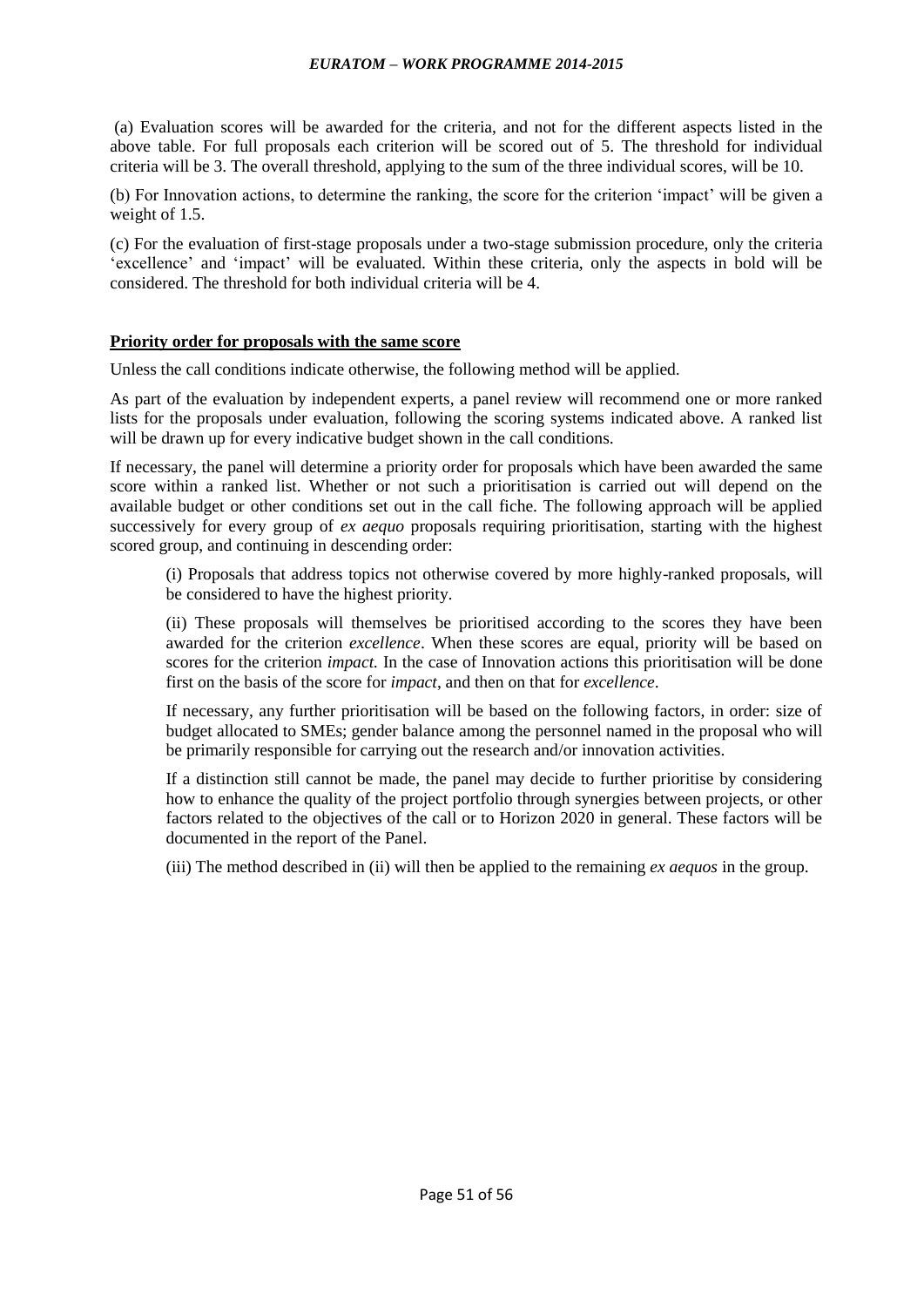### *EURATOM – WORK PROGRAMME 2014-2015*

(a) Evaluation scores will be awarded for the criteria, and not for the different aspects listed in the above table. For full proposals each criterion will be scored out of 5. The threshold for individual criteria will be 3. The overall threshold, applying to the sum of the three individual scores, will be 10.

(b) For Innovation actions, to determine the ranking, the score for the criterion 'impact' will be given a weight of 1.5.

(c) For the evaluation of first-stage proposals under a two-stage submission procedure, only the criteria 'excellence' and 'impact' will be evaluated. Within these criteria, only the aspects in bold will be considered. The threshold for both individual criteria will be 4.

### **Priority order for proposals with the same score**

Unless the call conditions indicate otherwise, the following method will be applied.

As part of the evaluation by independent experts, a panel review will recommend one or more ranked lists for the proposals under evaluation, following the scoring systems indicated above. A ranked list will be drawn up for every indicative budget shown in the call conditions.

If necessary, the panel will determine a priority order for proposals which have been awarded the same score within a ranked list. Whether or not such a prioritisation is carried out will depend on the available budget or other conditions set out in the call fiche. The following approach will be applied successively for every group of *ex aequo* proposals requiring prioritisation, starting with the highest scored group, and continuing in descending order:

(i) Proposals that address topics not otherwise covered by more highly-ranked proposals, will be considered to have the highest priority.

(ii) These proposals will themselves be prioritised according to the scores they have been awarded for the criterion *excellence*. When these scores are equal, priority will be based on scores for the criterion *impact.* In the case of Innovation actions this prioritisation will be done first on the basis of the score for *impact*, and then on that for *excellence*.

If necessary, any further prioritisation will be based on the following factors, in order: size of budget allocated to SMEs; gender balance among the personnel named in the proposal who will be primarily responsible for carrying out the research and/or innovation activities.

If a distinction still cannot be made, the panel may decide to further prioritise by considering how to enhance the quality of the project portfolio through synergies between projects, or other factors related to the objectives of the call or to Horizon 2020 in general. These factors will be documented in the report of the Panel.

(iii) The method described in (ii) will then be applied to the remaining *ex aequos* in the group.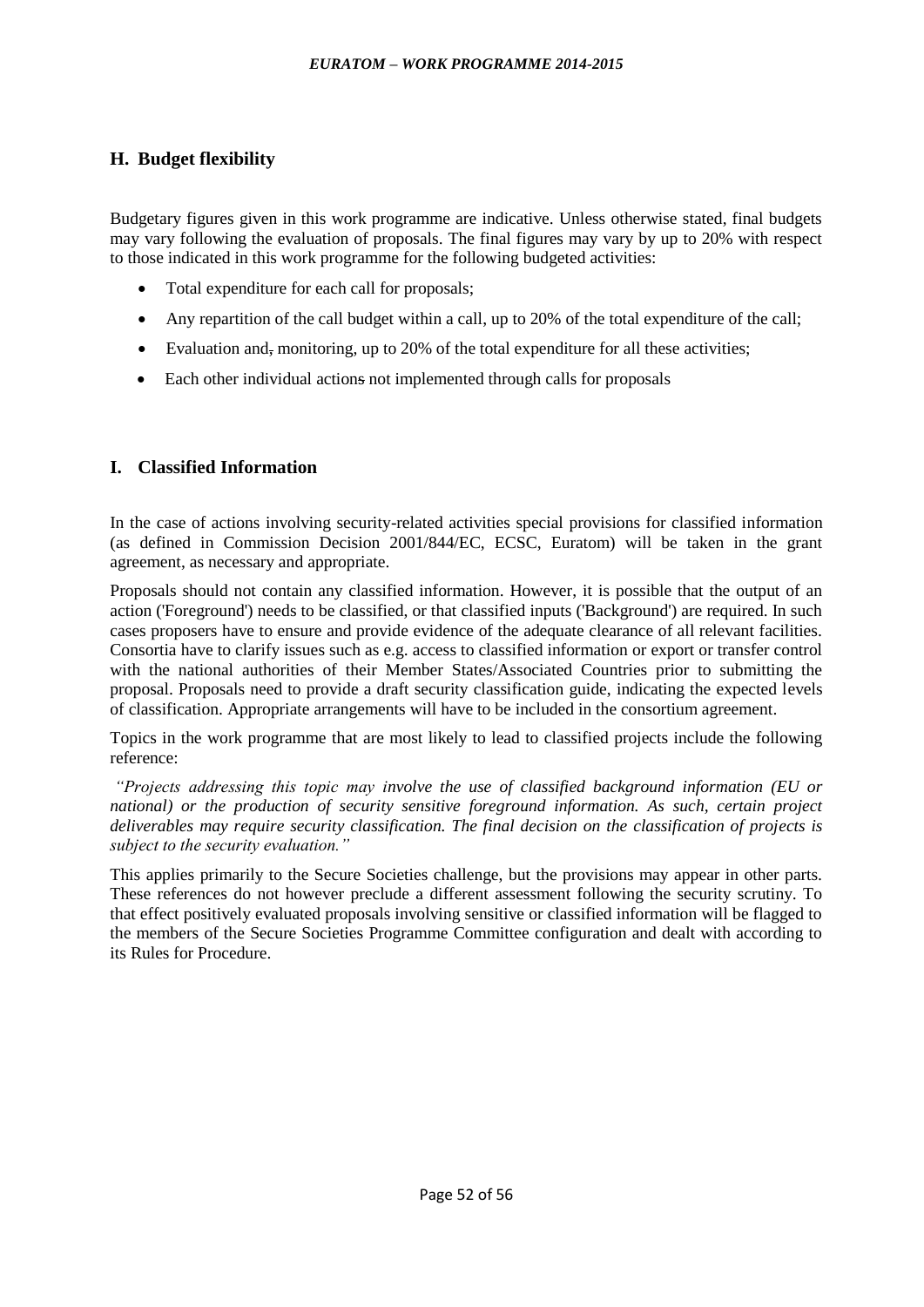### **H. Budget flexibility**

Budgetary figures given in this work programme are indicative. Unless otherwise stated, final budgets may vary following the evaluation of proposals. The final figures may vary by up to 20% with respect to those indicated in this work programme for the following budgeted activities:

- Total expenditure for each call for proposals;
- Any repartition of the call budget within a call, up to 20% of the total expenditure of the call;
- $\bullet$  Evaluation and, monitoring, up to 20% of the total expenditure for all these activities;
- Each other individual actions not implemented through calls for proposals

### **I. Classified Information**

In the case of actions involving security-related activities special provisions for classified information (as defined in Commission Decision 2001/844/EC, ECSC, Euratom) will be taken in the grant agreement, as necessary and appropriate.

Proposals should not contain any classified information. However, it is possible that the output of an action ('Foreground') needs to be classified, or that classified inputs ('Background') are required. In such cases proposers have to ensure and provide evidence of the adequate clearance of all relevant facilities. Consortia have to clarify issues such as e.g. access to classified information or export or transfer control with the national authorities of their Member States/Associated Countries prior to submitting the proposal. Proposals need to provide a draft security classification guide, indicating the expected levels of classification. Appropriate arrangements will have to be included in the consortium agreement.

Topics in the work programme that are most likely to lead to classified projects include the following reference:

*"Projects addressing this topic may involve the use of classified background information (EU or national) or the production of security sensitive foreground information. As such, certain project deliverables may require security classification. The final decision on the classification of projects is subject to the security evaluation."*

This applies primarily to the Secure Societies challenge, but the provisions may appear in other parts. These references do not however preclude a different assessment following the security scrutiny. To that effect positively evaluated proposals involving sensitive or classified information will be flagged to the members of the Secure Societies Programme Committee configuration and dealt with according to its Rules for Procedure.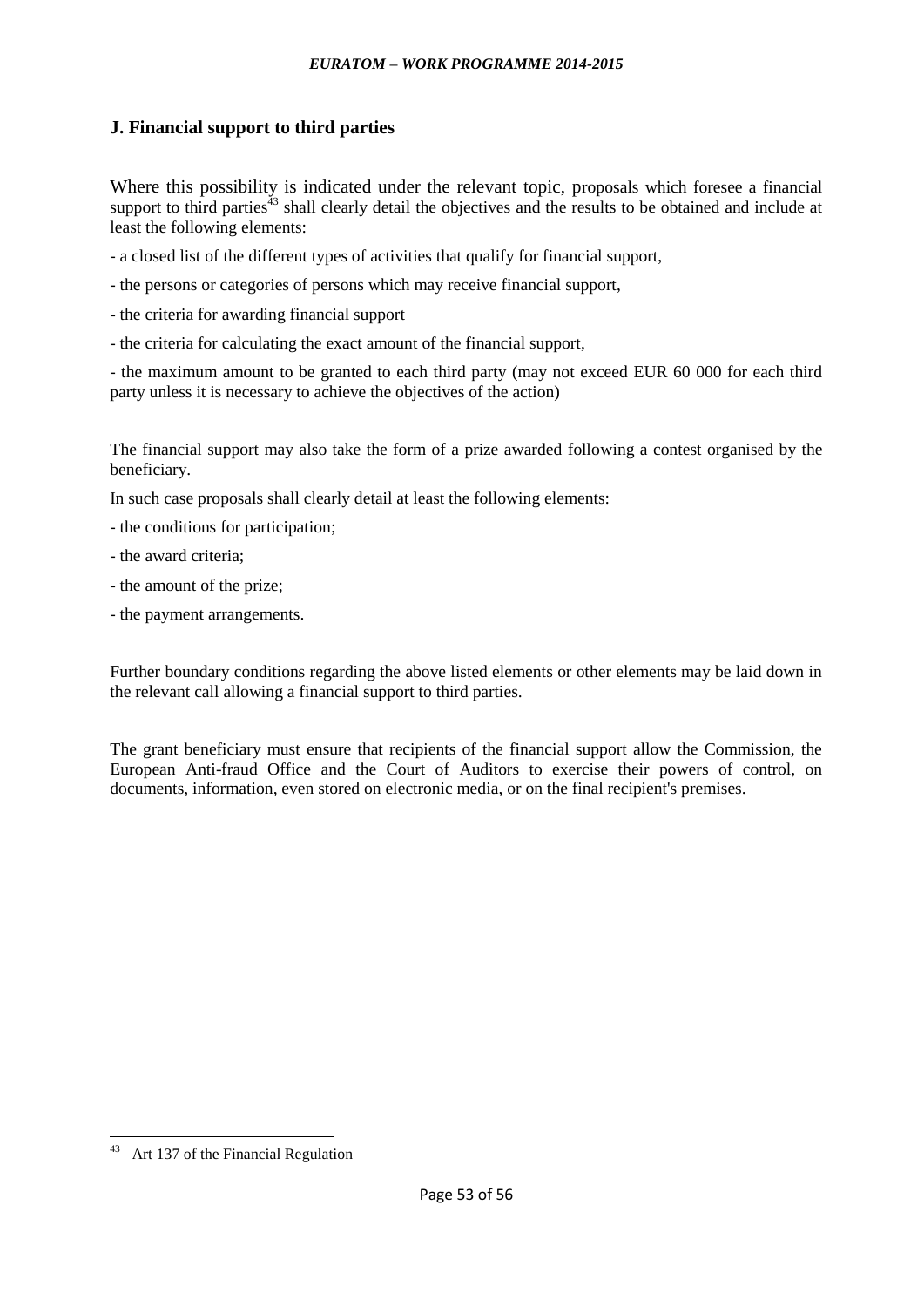## **J. Financial support to third parties**

Where this possibility is indicated under the relevant topic, proposals which foresee a financial support to third parties<sup> $43$ </sup> shall clearly detail the objectives and the results to be obtained and include at least the following elements:

- a closed list of the different types of activities that qualify for financial support,
- the persons or categories of persons which may receive financial support,
- the criteria for awarding financial support
- the criteria for calculating the exact amount of the financial support,

- the maximum amount to be granted to each third party (may not exceed EUR 60 000 for each third party unless it is necessary to achieve the objectives of the action)

The financial support may also take the form of a prize awarded following a contest organised by the beneficiary.

In such case proposals shall clearly detail at least the following elements:

- the conditions for participation;
- the award criteria;
- the amount of the prize;
- the payment arrangements.

Further boundary conditions regarding the above listed elements or other elements may be laid down in the relevant call allowing a financial support to third parties.

The grant beneficiary must ensure that recipients of the financial support allow the Commission, the European Anti-fraud Office and the Court of Auditors to exercise their powers of control, on documents, information, even stored on electronic media, or on the final recipient's premises.

 $\overline{\phantom{a}}$  $43$  Art 137 of the Financial Regulation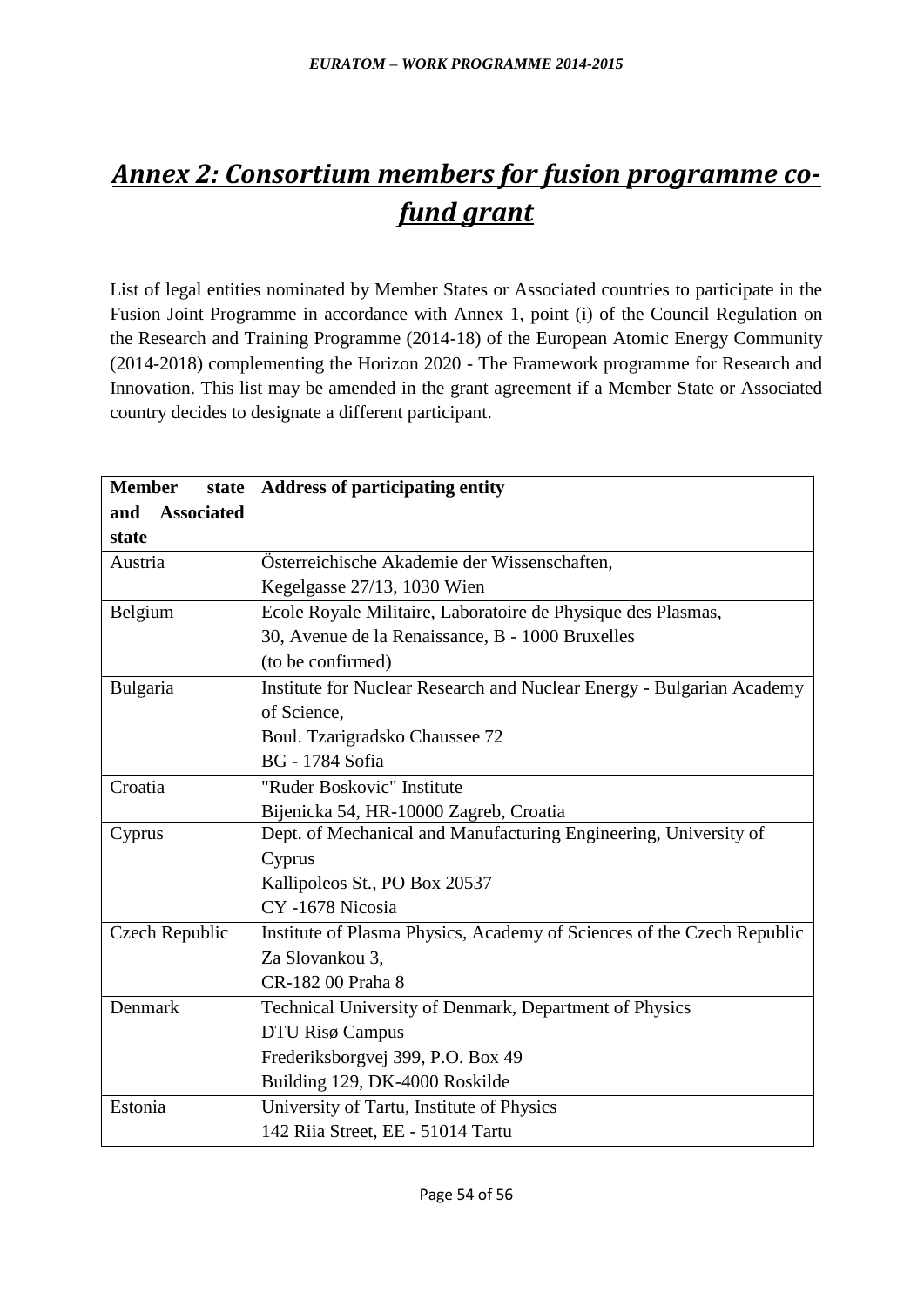# <span id="page-53-0"></span>*Annex 2: Consortium members for fusion programme cofund grant*

List of legal entities nominated by Member States or Associated countries to participate in the Fusion Joint Programme in accordance with Annex 1, point (i) of the Council Regulation on the Research and Training Programme (2014-18) of the European Atomic Energy Community (2014-2018) complementing the Horizon 2020 - The Framework programme for Research and Innovation. This list may be amended in the grant agreement if a Member State or Associated country decides to designate a different participant.

| <b>Member</b><br>state   | <b>Address of participating entity</b>                                 |
|--------------------------|------------------------------------------------------------------------|
| <b>Associated</b><br>and |                                                                        |
| state                    |                                                                        |
| Austria                  | Österreichische Akademie der Wissenschaften,                           |
|                          | Kegelgasse 27/13, 1030 Wien                                            |
| Belgium                  | Ecole Royale Militaire, Laboratoire de Physique des Plasmas,           |
|                          | 30, Avenue de la Renaissance, B - 1000 Bruxelles                       |
|                          | (to be confirmed)                                                      |
| Bulgaria                 | Institute for Nuclear Research and Nuclear Energy - Bulgarian Academy  |
|                          | of Science,                                                            |
|                          | Boul. Tzarigradsko Chaussee 72                                         |
|                          | <b>BG</b> - 1784 Sofia                                                 |
| Croatia                  | "Ruder Boskovic" Institute                                             |
|                          | Bijenicka 54, HR-10000 Zagreb, Croatia                                 |
| Cyprus                   | Dept. of Mechanical and Manufacturing Engineering, University of       |
|                          | Cyprus                                                                 |
|                          | Kallipoleos St., PO Box 20537                                          |
|                          | CY-1678 Nicosia                                                        |
| Czech Republic           | Institute of Plasma Physics, Academy of Sciences of the Czech Republic |
|                          | Za Slovankou 3,                                                        |
|                          | CR-182 00 Praha 8                                                      |
| Denmark                  | Technical University of Denmark, Department of Physics                 |
|                          | DTU Risø Campus                                                        |
|                          | Frederiksborgvej 399, P.O. Box 49                                      |
|                          | Building 129, DK-4000 Roskilde                                         |
| Estonia                  | University of Tartu, Institute of Physics                              |
|                          | 142 Riia Street, EE - 51014 Tartu                                      |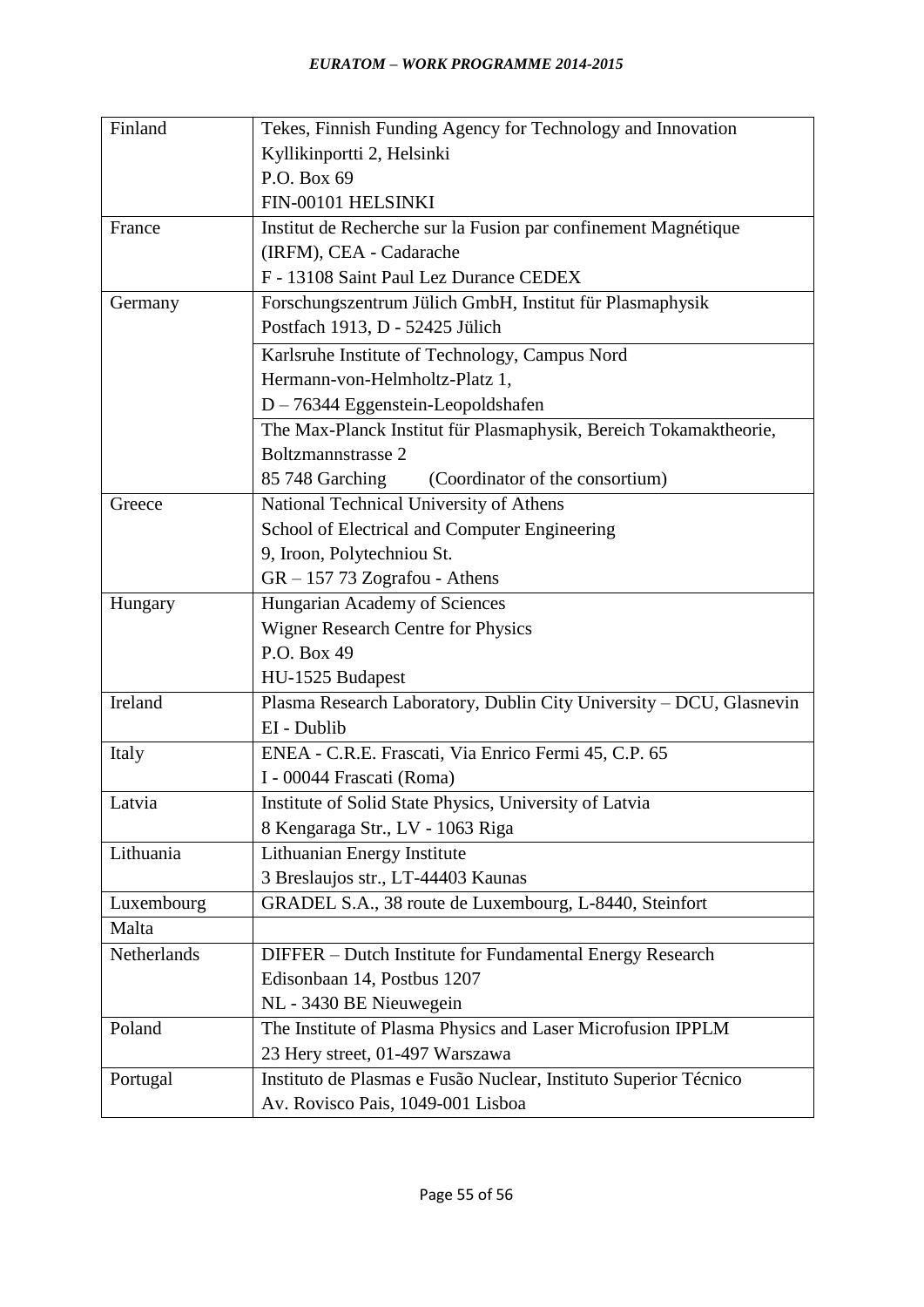| Finland     | Tekes, Finnish Funding Agency for Technology and Innovation         |
|-------------|---------------------------------------------------------------------|
|             | Kyllikinportti 2, Helsinki                                          |
|             | P.O. Box 69                                                         |
|             | FIN-00101 HELSINKI                                                  |
| France      | Institut de Recherche sur la Fusion par confinement Magnétique      |
|             | (IRFM), CEA - Cadarache                                             |
|             | F - 13108 Saint Paul Lez Durance CEDEX                              |
| Germany     | Forschungszentrum Jülich GmbH, Institut für Plasmaphysik            |
|             | Postfach 1913, D - 52425 Jülich                                     |
|             | Karlsruhe Institute of Technology, Campus Nord                      |
|             | Hermann-von-Helmholtz-Platz 1,                                      |
|             | $D - 76344$ Eggenstein-Leopoldshafen                                |
|             | The Max-Planck Institut für Plasmaphysik, Bereich Tokamaktheorie,   |
|             | Boltzmannstrasse 2                                                  |
|             | 85 748 Garching<br>(Coordinator of the consortium)                  |
| Greece      | National Technical University of Athens                             |
|             | School of Electrical and Computer Engineering                       |
|             | 9, Iroon, Polytechniou St.                                          |
|             | $GR - 15773$ Zografou - Athens                                      |
| Hungary     | Hungarian Academy of Sciences                                       |
|             | <b>Wigner Research Centre for Physics</b>                           |
|             | P.O. Box 49                                                         |
|             | HU-1525 Budapest                                                    |
| Ireland     | Plasma Research Laboratory, Dublin City University - DCU, Glasnevin |
|             | EI - Dublib                                                         |
| Italy       | ENEA - C.R.E. Frascati, Via Enrico Fermi 45, C.P. 65                |
|             | I - 00044 Frascati (Roma)                                           |
| Latvia      | Institute of Solid State Physics, University of Latvia              |
|             | 8 Kengaraga Str., LV - 1063 Riga                                    |
| Lithuania   | Lithuanian Energy Institute                                         |
|             | 3 Breslaujos str., LT-44403 Kaunas                                  |
| Luxembourg  | GRADEL S.A., 38 route de Luxembourg, L-8440, Steinfort              |
| Malta       |                                                                     |
| Netherlands | DIFFER – Dutch Institute for Fundamental Energy Research            |
|             | Edisonbaan 14, Postbus 1207                                         |
|             | NL - 3430 BE Nieuwegein                                             |
| Poland      | The Institute of Plasma Physics and Laser Microfusion IPPLM         |
|             | 23 Hery street, 01-497 Warszawa                                     |
| Portugal    | Instituto de Plasmas e Fusão Nuclear, Instituto Superior Técnico    |
|             | Av. Rovisco Pais, 1049-001 Lisboa                                   |